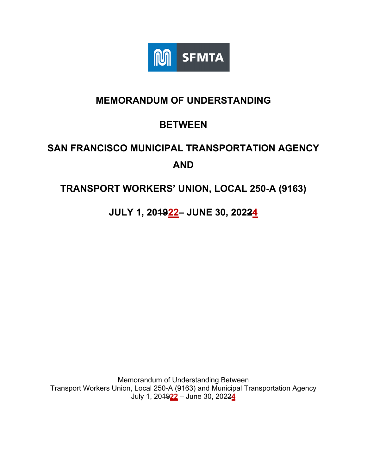

## **MEMORANDUM OF UNDERSTANDING**

## **BETWEEN**

# **SAN FRANCISCO MUNICIPAL TRANSPORTATION AGENCY AND**

## **TRANSPORT WORKERS' UNION, LOCAL 250-A (9163)**

**JULY 1, 201922– JUNE 30, 20224** 

Memorandum of Understanding Between Transport Workers Union, Local 250-A (9163) and Municipal Transportation Agency July 1, 2019**22** – June 30, 2022**4**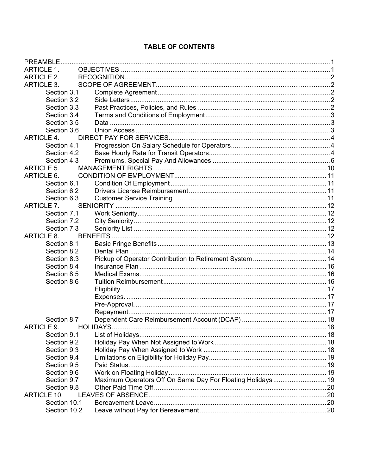#### **TABLE OF CONTENTS**

| <b>ARTICLE 1.</b>          |                                                            |  |
|----------------------------|------------------------------------------------------------|--|
| ARTICLE 2.                 |                                                            |  |
| <b>ARTICLE 3.</b>          |                                                            |  |
| Section 3.1                |                                                            |  |
| Section 3.2                |                                                            |  |
| Section 3.3                |                                                            |  |
| Section 3.4                |                                                            |  |
| Section 3.5                |                                                            |  |
| Section 3.6                |                                                            |  |
| <b>ARTICLE 4.</b>          |                                                            |  |
| Section 4.1                |                                                            |  |
| Section 4.2                |                                                            |  |
| Section 4.3                |                                                            |  |
| <b>ARTICLE 5.</b>          |                                                            |  |
| ARTICLE 6.                 |                                                            |  |
| Section 6.1                |                                                            |  |
| Section 6.2                |                                                            |  |
| Section 6.3                |                                                            |  |
| <b>ARTICLE 7.</b>          |                                                            |  |
| Section 7.1                |                                                            |  |
| Section 7.2                |                                                            |  |
| Section 7.3                |                                                            |  |
| ARTICLE 8.                 |                                                            |  |
| Section 8.1                |                                                            |  |
| Section 8.2                |                                                            |  |
| Section 8.3                |                                                            |  |
| Section 8.4                |                                                            |  |
| Section 8.5                |                                                            |  |
| Section 8.6                |                                                            |  |
|                            |                                                            |  |
|                            |                                                            |  |
|                            |                                                            |  |
|                            |                                                            |  |
| Section 8.7                |                                                            |  |
| <b>ARTICLE 9.</b>          |                                                            |  |
| Section 9.1                |                                                            |  |
| Section 9.2                |                                                            |  |
| Section 9.3<br>Section 9.4 |                                                            |  |
| Section 9.5                |                                                            |  |
| Section 9.6                |                                                            |  |
| Section 9.7                | Maximum Operators Off On Same Day For Floating Holidays 19 |  |
| Section 9.8                |                                                            |  |
| <b>ARTICLE 10.</b>         |                                                            |  |
| Section 10.1               |                                                            |  |
| Section 10.2               |                                                            |  |
|                            |                                                            |  |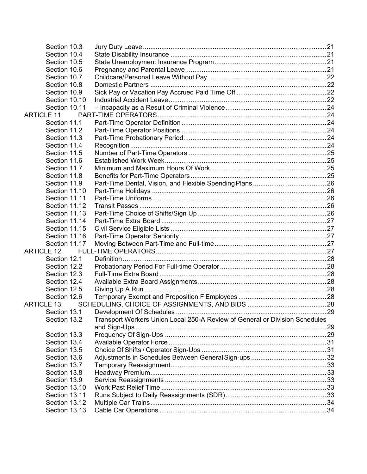| Section 10.3       |                                                                             |  |
|--------------------|-----------------------------------------------------------------------------|--|
| Section 10.4       |                                                                             |  |
| Section 10.5       |                                                                             |  |
| Section 10.6       |                                                                             |  |
| Section 10.7       |                                                                             |  |
| Section 10.8       |                                                                             |  |
| Section 10.9       |                                                                             |  |
| Section 10.10      |                                                                             |  |
| Section 10.11      |                                                                             |  |
| ARTICLE 11.        |                                                                             |  |
| Section 11.1       |                                                                             |  |
| Section 11.2       |                                                                             |  |
| Section 11.3       |                                                                             |  |
| Section 11.4       |                                                                             |  |
| Section 11.5       |                                                                             |  |
| Section 11.6       |                                                                             |  |
| Section 11.7       |                                                                             |  |
| Section 11.8       |                                                                             |  |
| Section 11.9       |                                                                             |  |
| Section 11.10      |                                                                             |  |
| Section 11.11      |                                                                             |  |
| Section 11.12      |                                                                             |  |
| Section 11.13      |                                                                             |  |
| Section 11.14      |                                                                             |  |
| Section 11.15      |                                                                             |  |
| Section 11.16      |                                                                             |  |
| Section 11.17      |                                                                             |  |
| <b>ARTICLE 12.</b> |                                                                             |  |
| Section 12.1       |                                                                             |  |
| Section 12.2       |                                                                             |  |
| Section 12.3       |                                                                             |  |
| Section 12.4       |                                                                             |  |
| Section 12.5       |                                                                             |  |
| Section 12.6       |                                                                             |  |
| <b>ARTICLE 13:</b> |                                                                             |  |
| Section 13.1       |                                                                             |  |
| Section 13.2       | Transport Workers Union Local 250-A Review of General or Division Schedules |  |
|                    |                                                                             |  |
| Section 13.3       |                                                                             |  |
| Section 13.4       |                                                                             |  |
| Section 13.5       |                                                                             |  |
| Section 13.6       |                                                                             |  |
| Section 13.7       |                                                                             |  |
| Section 13.8       |                                                                             |  |
| Section 13.9       |                                                                             |  |
| Section 13.10      |                                                                             |  |
| Section 13.11      |                                                                             |  |
| Section 13.12      |                                                                             |  |
| Section 13.13      |                                                                             |  |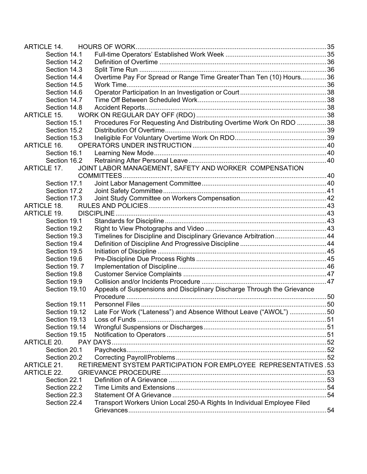| <b>ARTICLE 14.</b> |                                                                         |  |
|--------------------|-------------------------------------------------------------------------|--|
| Section 14.1       |                                                                         |  |
| Section 14.2       |                                                                         |  |
| Section 14.3       |                                                                         |  |
| Section 14.4       | Overtime Pay For Spread or Range Time Greater Than Ten (10) Hours36     |  |
| Section 14.5       |                                                                         |  |
| Section 14.6       |                                                                         |  |
| Section 14.7       |                                                                         |  |
| Section 14.8       |                                                                         |  |
| <b>ARTICLE 15.</b> |                                                                         |  |
| Section 15.1       | Procedures For Requesting And Distributing Overtime Work On RDO 38      |  |
| Section 15.2       |                                                                         |  |
| Section 15.3       |                                                                         |  |
| <b>ARTICLE 16.</b> |                                                                         |  |
| Section 16.1       |                                                                         |  |
| Section 16.2       |                                                                         |  |
| ARTICLE 17.        | JOINT LABOR MANAGEMENT, SAFETY AND WORKER COMPENSATION                  |  |
|                    |                                                                         |  |
| Section 17.1       |                                                                         |  |
| Section 17.2       |                                                                         |  |
| Section 17.3       |                                                                         |  |
| <b>ARTICLE 18.</b> |                                                                         |  |
| <b>ARTICLE 19.</b> |                                                                         |  |
| Section 19.1       |                                                                         |  |
| Section 19.2       |                                                                         |  |
| Section 19.3       | Timelines for Discipline and Disciplinary Grievance Arbitration44       |  |
| Section 19.4       |                                                                         |  |
| Section 19.5       |                                                                         |  |
| Section 19.6       |                                                                         |  |
| Section 19.7       |                                                                         |  |
| Section 19.8       |                                                                         |  |
| Section 19.9       |                                                                         |  |
| Section 19.10      | Appeals of Suspensions and Disciplinary Discharge Through the Grievance |  |
|                    |                                                                         |  |
| Section 19.11      |                                                                         |  |
| Section 19.12      | Late For Work ("Lateness") and Absence Without Leave ("AWOL") 50        |  |
| Section 19.13      |                                                                         |  |
| Section 19.14      |                                                                         |  |
| Section 19.15      |                                                                         |  |
| <b>ARTICLE 20.</b> |                                                                         |  |
| Section 20.1       |                                                                         |  |
| Section 20.2       |                                                                         |  |
| <b>ARTICLE 21.</b> | RETIREMENT SYSTEM PARTICIPATION FOR EMPLOYEE REPRESENTATIVES .53        |  |
| <b>ARTICLE 22.</b> |                                                                         |  |
| Section 22.1       |                                                                         |  |
| Section 22.2       |                                                                         |  |
| Section 22.3       |                                                                         |  |
|                    | Transport Workers Union Local 250-A Rights In Individual Employee Filed |  |
| Section 22.4       |                                                                         |  |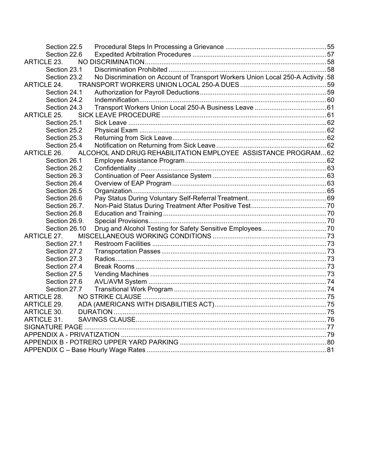| Section 22.5       |                                                                                  |  |
|--------------------|----------------------------------------------------------------------------------|--|
| Section 22.6       |                                                                                  |  |
| <b>ARTICLE 23.</b> |                                                                                  |  |
| Section 23.1       |                                                                                  |  |
| Section 23.2       | No Discrimination on Account of Transport Workers Union Local 250-A Activity .58 |  |
| <b>ARTICLE 24.</b> |                                                                                  |  |
| Section 24.1       |                                                                                  |  |
| Section 24.2       |                                                                                  |  |
| Section 24.3       |                                                                                  |  |
| <b>ARTICLE 25.</b> |                                                                                  |  |
| Section 25.1       |                                                                                  |  |
| Section 25.2       |                                                                                  |  |
| Section 25.3       |                                                                                  |  |
| Section 25.4       |                                                                                  |  |
| <b>ARTICLE 26.</b> | ALCOHOL AND DRUG REHABILITATION EMPLOYEE ASSISTANCE PROGRAM 62                   |  |
| Section 26.1       |                                                                                  |  |
| Section 26.2       |                                                                                  |  |
| Section 26.3       |                                                                                  |  |
| Section 26.4       |                                                                                  |  |
| Section 26.5       |                                                                                  |  |
| Section 26.6       |                                                                                  |  |
| Section 26.7.      |                                                                                  |  |
| Section 26.8       |                                                                                  |  |
| Section 26.9.      |                                                                                  |  |
| Section 26.10      |                                                                                  |  |
| ARTICLE 27.        |                                                                                  |  |
| Section 27.1       |                                                                                  |  |
| Section 27.2       |                                                                                  |  |
| Section 27.3       |                                                                                  |  |
| Section 27.4       |                                                                                  |  |
| Section 27.5       |                                                                                  |  |
| Section 27.6       |                                                                                  |  |
| Section 27.7       |                                                                                  |  |
| <b>ARTICLE 28.</b> |                                                                                  |  |
| ARTICLE 29.        |                                                                                  |  |
| ARTICLE 30.        |                                                                                  |  |
| <b>ARTICLE 31.</b> |                                                                                  |  |
|                    |                                                                                  |  |
|                    |                                                                                  |  |
|                    |                                                                                  |  |
|                    |                                                                                  |  |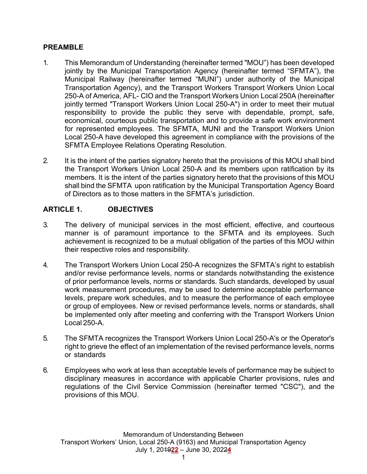#### **PREAMBLE**

- 1. This Memorandum of Understanding (hereinafter termed "MOU") has been developed jointly by the Municipal Transportation Agency (hereinafter termed "SFMTA"), the Municipal Railway (hereinafter termed "MUNI") under authority of the Municipal Transportation Agency), and the Transport Workers Transport Workers Union Local 250-A of America, AFL- CIO and the Transport Workers Union Local 250A (hereinafter jointly termed "Transport Workers Union Local 250-A") in order to meet their mutual responsibility to provide the public they serve with dependable, prompt, safe, economical, courteous public transportation and to provide a safe work environment for represented employees. The SFMTA, MUNI and the Transport Workers Union Local 250-A have developed this agreement in compliance with the provisions of the SFMTA Employee Relations Operating Resolution.
- 2. It is the intent of the parties signatory hereto that the provisions of this MOU shall bind the Transport Workers Union Local 250-A and its members upon ratification by its members. It is the intent of the parties signatory hereto that the provisions of this MOU shall bind the SFMTA upon ratification by the Municipal Transportation Agency Board of Directors as to those matters in the SFMTA's jurisdiction.

## **ARTICLE 1. OBJECTIVES**

- 3. The delivery of municipal services in the most efficient, effective, and courteous manner is of paramount importance to the SFMTA and its employees. Such achievement is recognized to be a mutual obligation of the parties of this MOU within their respective roles and responsibility.
- 4. The Transport Workers Union Local 250-A recognizes the SFMTA's right to establish and/or revise performance levels, norms or standards notwithstanding the existence of prior performance levels, norms or standards. Such standards, developed by usual work measurement procedures, may be used to determine acceptable performance levels, prepare work schedules, and to measure the performance of each employee or group of employees. New or revised performance levels, norms or standards, shall be implemented only after meeting and conferring with the Transport Workers Union Local 250-A.
- 5. The SFMTA recognizes the Transport Workers Union Local 250-A's or the Operator's right to grieve the effect of an implementation of the revised performance levels, norms or standards
- 6. Employees who work at less than acceptable levels of performance may be subject to disciplinary measures in accordance with applicable Charter provisions, rules and regulations of the Civil Service Commission (hereinafter termed "CSC"), and the provisions of this MOU.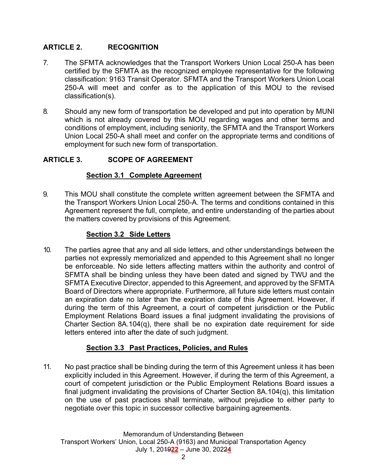## **ARTICLE 2. RECOGNITION**

- 7. The SFMTA acknowledges that the Transport Workers Union Local 250-A has been certified by the SFMTA as the recognized employee representative for the following classification: 9163 Transit Operator. SFMTA and the Transport Workers Union Local 250-A will meet and confer as to the application of this MOU to the revised classification(s).
- 8. Should any new form of transportation be developed and put into operation by MUNI which is not already covered by this MOU regarding wages and other terms and conditions of employment, including seniority, the SFMTA and the Transport Workers Union Local 250-A shall meet and confer on the appropriate terms and conditions of employment for such new form of transportation.

## **ARTICLE 3. SCOPE OF AGREEMENT**

## **Section 3.1 Complete Agreement**

9. This MOU shall constitute the complete written agreement between the SFMTA and the Transport Workers Union Local 250-A. The terms and conditions contained in this Agreement represent the full, complete, and entire understanding of the parties about the matters covered by provisions of this Agreement.

## **Section 3.2 Side Letters**

10. The parties agree that any and all side letters, and other understandings between the parties not expressly memorialized and appended to this Agreement shall no longer be enforceable. No side letters affecting matters within the authority and control of SFMTA shall be binding unless they have been dated and signed by TWU and the SFMTA Executive Director, appended to this Agreement, and approved by the SFMTA Board of Directors where appropriate. Furthermore, all future side letters must contain an expiration date no later than the expiration date of this Agreement. However, if during the term of this Agreement, a court of competent jurisdiction or the Public Employment Relations Board issues a final judgment invalidating the provisions of Charter Section 8A.104(q), there shall be no expiration date requirement for side letters entered into after the date of such judgment.

## **Section 3.3 Past Practices, Policies, and Rules**

11. No past practice shall be binding during the term of this Agreement unless it has been explicitly included in this Agreement. However, if during the term of this Agreement, a court of competent jurisdiction or the Public Employment Relations Board issues a final judgment invalidating the provisions of Charter Section 8A.104(q), this limitation on the use of past practices shall terminate, without prejudice to either party to negotiate over this topic in successor collective bargaining agreements.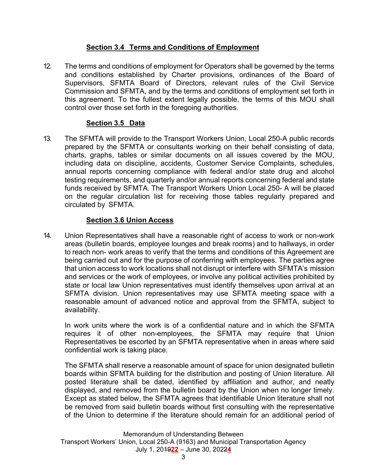## **Section 3.4 Terms and Conditions of Employment**

12. The terms and conditions of employment for Operators shall be governed by the terms and conditions established by Charter provisions, ordinances of the Board of Supervisors, SFMTA Board of Directors, relevant rules of the Civil Service Commission and SFMTA, and by the terms and conditions of employment set forth in this agreement. To the fullest extent legally possible, the terms of this MOU shall control over those set forth in the foregoing authorities.

## **Section 3.5 Data**

13. The SFMTA will provide to the Transport Workers Union, Local 250-A public records prepared by the SFMTA or consultants working on their behalf consisting of data, charts, graphs, tables or similar documents on all issues covered by the MOU, including data on discipline, accidents, Customer Service Complaints, schedules, annual reports concerning compliance with federal and/or state drug and alcohol testing requirements, and quarterly and/or annual reports concerning federal and state funds received by SFMTA. The Transport Workers Union Local 250- A will be placed on the regular circulation list for receiving those tables regularly prepared and circulated by SFMTA.

## **Section 3.6 Union Access**

14. Union Representatives shall have a reasonable right of access to work or non-work areas (bulletin boards, employee lounges and break rooms) and to hallways, in order to reach non- work areas to verify that the terms and conditions of this Agreement are being carried out and for the purpose of conferring with employees. The parties agree that union access to work locations shall not disrupt or interfere with SFMTA's mission and services or the work of employees, or involve any political activities prohibited by state or local law Union representatives must identify themselves upon arrival at an SFMTA division. Union representatives may use SFMTA meeting space with a reasonable amount of advanced notice and approval from the SFMTA, subject to availability.

 In work units where the work is of a confidential nature and in which the SFMTA requires it of other non-employees, the SFMTA may require that Union Representatives be escorted by an SFMTA representative when in areas where said confidential work is taking place.

 The SFMTA shall reserve a reasonable amount of space for union designated bulletin boards within SFMTA building for the distribution and posting of Union literature. All posted literature shall be dated, identified by affiliation and author, and neatly displayed, and removed from the bulletin board by the Union when no longer timely. Except as stated below, the SFMTA agrees that identifiable Union literature shall not be removed from said bulletin boards without first consulting with the representative of the Union to determine if the literature should remain for an additional period of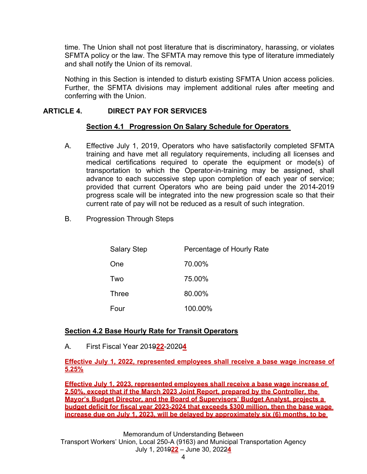time. The Union shall not post literature that is discriminatory, harassing, or violates SFMTA policy or the law. The SFMTA may remove this type of literature immediately and shall notify the Union of its removal.

 Nothing in this Section is intended to disturb existing SFMTA Union access policies. Further, the SFMTA divisions may implement additional rules after meeting and conferring with the Union.

## **ARTICLE 4. DIRECT PAY FOR SERVICES**

## **Section 4.1 Progression On Salary Schedule for Operators**

- A. Effective July 1, 2019, Operators who have satisfactorily completed SFMTA training and have met all regulatory requirements, including all licenses and medical certifications required to operate the equipment or mode(s) of transportation to which the Operator-in-training may be assigned, shall advance to each successive step upon completion of each year of service; provided that current Operators who are being paid under the 2014-2019 progress scale will be integrated into the new progression scale so that their current rate of pay will not be reduced as a result of such integration.
- B. Progression Through Steps

| <b>Salary Step</b> | Percentage of Hourly Rate |
|--------------------|---------------------------|
| One                | 70.00%                    |
| Two                | 75.00%                    |
| <b>Three</b>       | 80.00%                    |
| Four               | 100.00%                   |

## **Section 4.2 Base Hourly Rate for Transit Operators**

A. First Fiscal Year 2019**22**-2020**4**

#### **Effective July 1, 2022, represented employees shall receive a base wage increase of 5.25%**

**Effective July 1, 2023, represented employees shall receive a base wage increase of 2.50%, except that if the March 2023 Joint Report, prepared by the Controller, the Mayor's Budget Director, and the Board of Supervisors' Budget Analyst, projects a budget deficit for fiscal year 2023-2024 that exceeds \$300 million, then the base wage increase due on July 1, 2023, will be delayed by approximately six (6) months, to be** 

Memorandum of Understanding Between Transport Workers' Union, Local 250-A (9163) and Municipal Transportation Agency July 1, 2019**22** – June 30, 2022**4**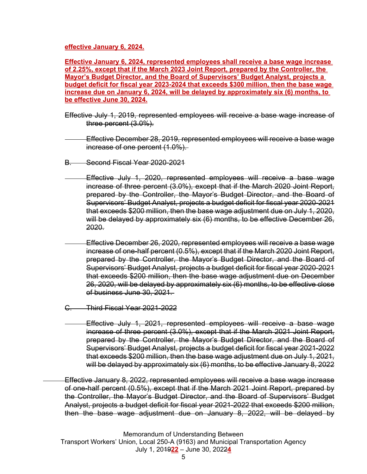#### **effective January 6, 2024.**

**Effective January 6, 2024, represented employees shall receive a base wage increase of 2.25%, except that if the March 2023 Joint Report, prepared by the Controller, the Mayor's Budget Director, and the Board of Supervisors' Budget Analyst, projects a budget deficit for fiscal year 2023-2024 that exceeds \$300 million, then the base wage increase due on January 6, 2024, will be delayed by approximately six (6) months, to be effective June 30, 2024.** 

- Effective July 1, 2019, represented employees will receive a base wage increase of three percent (3.0%).
- Effective December 28, 2019, represented employees will receive a base wage increase of one percent (1.0%).
- B. Second Fiscal Year 2020-2021
- Effective July 1, 2020, represented employees will receive a base wage increase of three percent (3.0%), except that if the March 2020 Joint Report, prepared by the Controller, the Mayor's Budget Director, and the Board of Supervisors' Budget Analyst, projects a budget deficit for fiscal year 2020-2021 that exceeds \$200 million, then the base wage adjustment due on July 1, 2020, will be delayed by approximately six (6) months, to be effective December 26, 2020.
- Effective December 26, 2020, represented employees will receive a base wage increase of one-half percent (0.5%), except that if the March 2020 Joint Report, prepared by the Controller, the Mayor's Budget Director, and the Board of Supervisors' Budget Analyst, projects a budget deficit for fiscal year 2020-2021 that exceeds \$200 million, then the base wage adjustment due on December 26, 2020, will be delayed by approximately six (6) months, to be effective close of business June 30, 2021.
- C. Third Fiscal Year 2021-2022
	- Effective July 1, 2021, represented employees will receive a base wage increase of three percent (3.0%), except that if the March 2021 Joint Report, prepared by the Controller, the Mayor's Budget Director, and the Board of Supervisors' Budget Analyst, projects a budget deficit for fiscal year 2021-2022 that exceeds \$200 million, then the base wage adjustment due on July 1, 2021, will be delayed by approximately six (6) months, to be effective January 8, 2022
- Effective January 8, 2022, represented employees will receive a base wage increase of one-half percent (0.5%), except that if the March 2021 Joint Report, prepared by the Controller, the Mayor's Budget Director, and the Board of Supervisors' Budget Analyst, projects a budget deficit for fiscal year 2021-2022 that exceeds \$200 million, then the base wage adjustment due on January 8, 2022, will be delayed by

Memorandum of Understanding Between Transport Workers' Union, Local 250-A (9163) and Municipal Transportation Agency July 1, 2019**22** – June 30, 2022**4**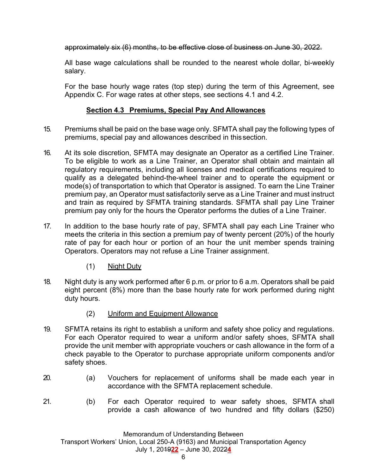approximately six (6) months, to be effective close of business on June 30, 2022.

 All base wage calculations shall be rounded to the nearest whole dollar, bi-weekly salary.

 For the base hourly wage rates (top step) during the term of this Agreement, see Appendix C. For wage rates at other steps, see sections 4.1 and 4.2.

## **Section 4.3 Premiums, Special Pay And Allowances**

- 15. Premiums shall be paid on the base wage only. SFMTA shall pay the following types of premiums, special pay and allowances described in this section.
- 16. At its sole discretion, SFMTA may designate an Operator as a certified Line Trainer. To be eligible to work as a Line Trainer, an Operator shall obtain and maintain all regulatory requirements, including all licenses and medical certifications required to qualify as a delegated behind-the-wheel trainer and to operate the equipment or mode(s) of transportation to which that Operator is assigned. To earn the Line Trainer premium pay, an Operator must satisfactorily serve as a Line Trainer and must instruct and train as required by SFMTA training standards. SFMTA shall pay Line Trainer premium pay only for the hours the Operator performs the duties of a Line Trainer.
- 17. In addition to the base hourly rate of pay, SFMTA shall pay each Line Trainer who meets the criteria in this section a premium pay of twenty percent (20%) of the hourly rate of pay for each hour or portion of an hour the unit member spends training Operators. Operators may not refuse a Line Trainer assignment.
	- (1) Night Duty
- 18. Night duty is any work performed after 6 p.m. or prior to 6 a.m. Operators shall be paid eight percent (8%) more than the base hourly rate for work performed during night duty hours.
	- (2) Uniform and Equipment Allowance
- 19. SFMTA retains its right to establish a uniform and safety shoe policy and regulations. For each Operator required to wear a uniform and/or safety shoes, SFMTA shall provide the unit member with appropriate vouchers or cash allowance in the form of a check payable to the Operator to purchase appropriate uniform components and/or safety shoes.
- 20. (a) Vouchers for replacement of uniforms shall be made each year in accordance with the SFMTA replacement schedule.
- 21. (b) For each Operator required to wear safety shoes, SFMTA shall provide a cash allowance of two hundred and fifty dollars (\$250)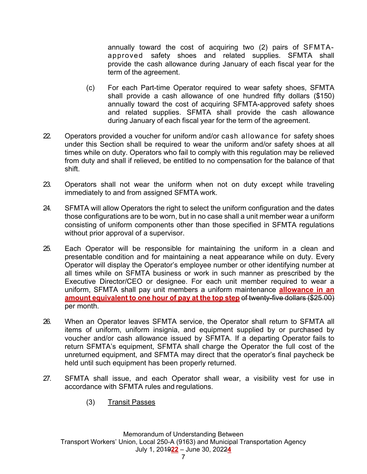annually toward the cost of acquiring two (2) pairs of SFMTA approved safety shoes and related supplies. SFMTA shall provide the cash allowance during January of each fiscal year for the term of the agreement.

- (c) For each Part-time Operator required to wear safety shoes, SFMTA shall provide a cash allowance of one hundred fifty dollars (\$150) annually toward the cost of acquiring SFMTA-approved safety shoes and related supplies. SFMTA shall provide the cash allowance during January of each fiscal year for the term of the agreement.
- 22. Operators provided a voucher for uniform and/or cash allowance for safety shoes under this Section shall be required to wear the uniform and/or safety shoes at all times while on duty. Operators who fail to comply with this regulation may be relieved from duty and shall if relieved, be entitled to no compensation for the balance of that shift.
- 23. Operators shall not wear the uniform when not on duty except while traveling immediately to and from assigned SFMTA work.
- 24. SFMTA will allow Operators the right to select the uniform configuration and the dates those configurations are to be worn, but in no case shall a unit member wear a uniform consisting of uniform components other than those specified in SFMTA regulations without prior approval of a supervisor.
- 25. Each Operator will be responsible for maintaining the uniform in a clean and presentable condition and for maintaining a neat appearance while on duty. Every Operator will display the Operator's employee number or other identifying number at all times while on SFMTA business or work in such manner as prescribed by the Executive Director/CEO or designee. For each unit member required to wear a uniform, SFMTA shall pay unit members a uniform maintenance **allowance in an amount equivalent to one hour of pay at the top step** of twenty-five dollars (\$25.00) per month.
- 26. When an Operator leaves SFMTA service, the Operator shall return to SFMTA all items of uniform, uniform insignia, and equipment supplied by or purchased by voucher and/or cash allowance issued by SFMTA. If a departing Operator fails to return SFMTA's equipment, SFMTA shall charge the Operator the full cost of the unreturned equipment, and SFMTA may direct that the operator's final paycheck be held until such equipment has been properly returned.
- 27. SFMTA shall issue, and each Operator shall wear, a visibility vest for use in accordance with SFMTA rules and regulations.
	- (3) Transit Passes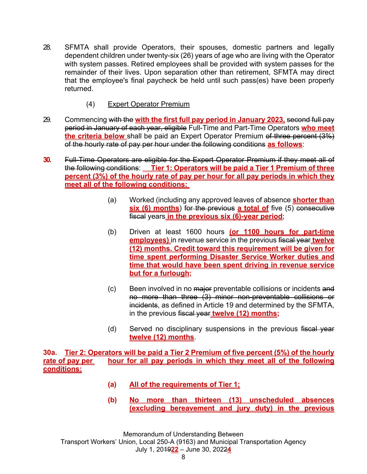- 28. SFMTA shall provide Operators, their spouses, domestic partners and legally dependent children under twenty-six (26) years of age who are living with the Operator with system passes. Retired employees shall be provided with system passes for the remainder of their lives. Upon separation other than retirement, SFMTA may direct that the employee's final paycheck be held until such pass(es) have been properly returned.
	- (4) Expert Operator Premium
- 29. Commencing with the **with the first full pay period in January 2023,** second full pay period in January of each year, eligible Full-Time and Part-Time Operators **who meet the criteria below** shall be paid an Expert Operator Premium of three percent (3%) of the hourly rate of pay per hour under the following conditions **as follows**:
- **30.** Full-Time Operators are eligible for the Expert Operator Premium if they meet all of the following conditions: **Tier 1: Operators will be paid a Tier 1 Premium of three percent (3%) of the hourly rate of pay per hour for all pay periods in which they meet all of the following conditions:** 
	- (a) Worked (including any approved leaves of absence **shorter than six (6) months)** for the previous **a total of** five (5) consecutive fiscal years **in the previous six (6)-year period**;
	- (b) Driven at least 1600 hours **(or 1100 hours for part-time employees)** in revenue service in the previous fiscal year **twelve (12) months. Credit toward this requirement will be given for time spent performing Disaster Service Worker duties and time that would have been spent driving in revenue service but for a furlough;**
	- (c) Been involved in no major preventable collisions or incidents and no more than three (3) minor non-preventable collisions or incidents, as defined in Article 19 and determined by the SFMTA, in the previous fiscal year **twelve (12) months;**
	- (d) Served no disciplinary suspensions in the previous fiscal year **twelve (12) months**.

**30a. Tier 2: Operators will be paid a Tier 2 Premium of five percent (5%) of the hourly**  rate of pay per hour for all pay periods in which they meet all of the following **conditions:** 

- **(a) All of the requirements of Tier 1;**
- **(b) No more than thirteen (13) unscheduled absences (excluding bereavement and jury duty) in the previous**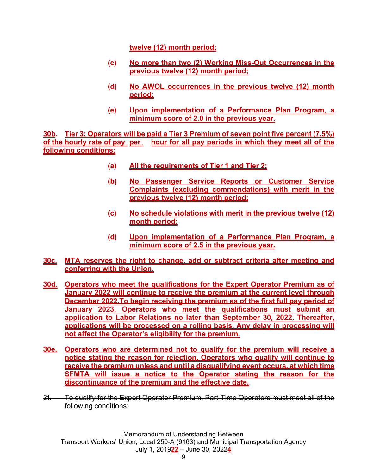**twelve (12) month period;** 

- **(c) No more than two (2) Working Miss-Out Occurrences in the previous twelve (12) month period;**
- **(d) No AWOL occurrences in the previous twelve (12) month period;**
- **(e) Upon implementation of a Performance Plan Program, a minimum score of 2.0 in the previous year.**

**30b. Tier 3: Operators will be paid a Tier 3 Premium of seven point five percent (7.5%) of the hourly rate of pay per hour for all pay periods in which they meet all of the following conditions:** 

- **(a) All the requirements of Tier 1 and Tier 2;**
- **(b) No Passenger Service Reports or Customer Service Complaints (excluding commendations) with merit in the previous twelve (12) month period;**
- **(c) No schedule violations with merit in the previous twelve (12) month period;**
- **(d) Upon implementation of a Performance Plan Program, a minimum score of 2.5 in the previous year.**
- **30c. MTA reserves the right to change, add or subtract criteria after meeting and conferring with the Union.**
- **30d. Operators who meet the qualifications for the Expert Operator Premium as of January 2022 will continue to receive the premium at the current level through December 2022.To begin receiving the premium as of the first full pay period of January 2023, Operators who meet the qualifications must submit an application to Labor Relations no later than September 30, 2022. Thereafter, applications will be processed on a rolling basis. Any delay in processing will not affect the Operator's eligibility for the premium.**
- **30e. Operators who are determined not to qualify for the premium will receive a notice stating the reason for rejection. Operators who qualify will continue to receive the premium unless and until a disqualifying event occurs, at which time SFMTA will issue a notice to the Operator stating the reason for the discontinuance of the premium and the effective date.**
- 31. To qualify for the Expert Operator Premium, Part-Time Operators must meet all of the following conditions: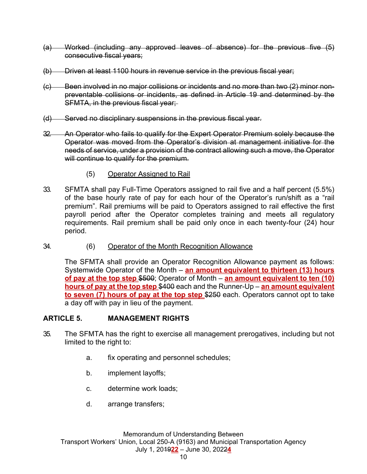- (a) Worked (including any approved leaves of absence) for the previous five (5) consecutive fiscal years;
- (b) Driven at least 1100 hours in revenue service in the previous fiscal year;
- (c) Been involved in no major collisions or incidents and no more than two (2) minor nonpreventable collisions or incidents, as defined in Article 19 and determined by the SFMTA, in the previous fiscal year;
- (d) Served no disciplinary suspensions in the previous fiscal year.
- 32. An Operator who fails to qualify for the Expert Operator Premium solely because the Operator was moved from the Operator's division at management initiative for the needs of service, under a provision of the contract allowing such a move, the Operator will continue to qualify for the premium.
	- (5) Operator Assigned to Rail
- 33. SFMTA shall pay Full-Time Operators assigned to rail five and a half percent (5.5%) of the base hourly rate of pay for each hour of the Operator's run/shift as a "rail premium". Rail premiums will be paid to Operators assigned to rail effective the first payroll period after the Operator completes training and meets all regulatory requirements. Rail premium shall be paid only once in each twenty-four (24) hour period.
- 34. (6) Operator of the Month Recognition Allowance

 The SFMTA shall provide an Operator Recognition Allowance payment as follows: Systemwide Operator of the Month – **an amount equivalent to thirteen (13) hours of pay at the top step** \$500; Operator of Month – **an amount equivalent to ten (10) hours of pay at the top step** \$400 each and the Runner-Up – **an amount equivalent to seven (7) hours of pay at the top step** \$250 each. Operators cannot opt to take a day off with pay in lieu of the payment.

## **ARTICLE 5. MANAGEMENT RIGHTS**

- 35. The SFMTA has the right to exercise all management prerogatives, including but not limited to the right to:
	- a. fix operating and personnel schedules;
	- b. implement layoffs;
	- c. determine work loads;
	- d. arrange transfers;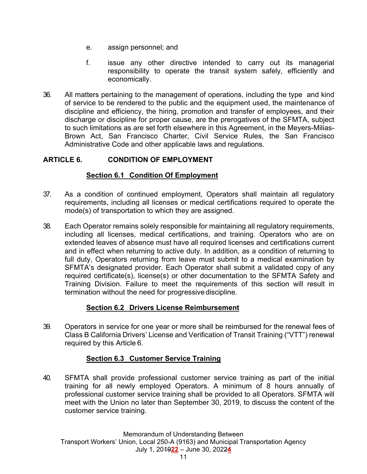- e. assign personnel; and
- f. issue any other directive intended to carry out its managerial responsibility to operate the transit system safely, efficiently and economically.
- 36. All matters pertaining to the management of operations, including the type and kind of service to be rendered to the public and the equipment used, the maintenance of discipline and efficiency, the hiring, promotion and transfer of employees, and their discharge or discipline for proper cause, are the prerogatives of the SFMTA, subject to such limitations as are set forth elsewhere in this Agreement, in the Meyers-Milias-Brown Act, San Francisco Charter, Civil Service Rules, the San Francisco Administrative Code and other applicable laws and regulations.

## **ARTICLE 6. CONDITION OF EMPLOYMENT**

#### **Section 6.1 Condition Of Employment**

- 37. As a condition of continued employment, Operators shall maintain all regulatory requirements, including all licenses or medical certifications required to operate the mode(s) of transportation to which they are assigned.
- 38. Each Operator remains solely responsible for maintaining all regulatory requirements, including all licenses, medical certifications, and training. Operators who are on extended leaves of absence must have all required licenses and certifications current and in effect when returning to active duty. In addition, as a condition of returning to full duty, Operators returning from leave must submit to a medical examination by SFMTA's designated provider. Each Operator shall submit a validated copy of any required certificate(s), license(s) or other documentation to the SFMTA Safety and Training Division. Failure to meet the requirements of this section will result in termination without the need for progressive discipline.

## **Section 6.2 Drivers License Reimbursement**

39. Operators in service for one year or more shall be reimbursed for the renewal fees of Class B California Drivers' License and Verification of Transit Training ("VTT") renewal required by this Article 6.

## **Section 6.3 Customer Service Training**

40. SFMTA shall provide professional customer service training as part of the initial training for all newly employed Operators. A minimum of 8 hours annually of professional customer service training shall be provided to all Operators. SFMTA will meet with the Union no later than September 30, 2019, to discuss the content of the customer service training.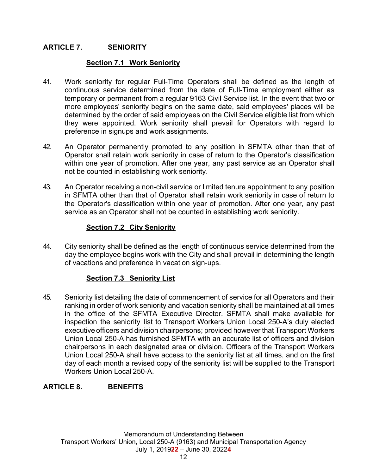## **ARTICLE 7. SENIORITY**

#### **Section 7.1 Work Seniority**

- 41. Work seniority for regular Full-Time Operators shall be defined as the length of continuous service determined from the date of Full-Time employment either as temporary or permanent from a regular 9163 Civil Service list. In the event that two or more employees' seniority begins on the same date, said employees' places will be determined by the order of said employees on the Civil Service eligible list from which they were appointed. Work seniority shall prevail for Operators with regard to preference in signups and work assignments.
- 42. An Operator permanently promoted to any position in SFMTA other than that of Operator shall retain work seniority in case of return to the Operator's classification within one year of promotion. After one year, any past service as an Operator shall not be counted in establishing work seniority.
- 43. An Operator receiving a non-civil service or limited tenure appointment to any position in SFMTA other than that of Operator shall retain work seniority in case of return to the Operator's classification within one year of promotion. After one year, any past service as an Operator shall not be counted in establishing work seniority.

#### **Section 7.2 City Seniority**

44. City seniority shall be defined as the length of continuous service determined from the day the employee begins work with the City and shall prevail in determining the length of vacations and preference in vacation sign-ups.

## **Section 7.3 Seniority List**

45. Seniority list detailing the date of commencement of service for all Operators and their ranking in order of work seniority and vacation seniority shall be maintained at all times in the office of the SFMTA Executive Director. SFMTA shall make available for inspection the seniority list to Transport Workers Union Local 250-A's duly elected executive officers and division chairpersons; provided however that Transport Workers Union Local 250-A has furnished SFMTA with an accurate list of officers and division chairpersons in each designated area or division. Officers of the Transport Workers Union Local 250-A shall have access to the seniority list at all times, and on the first day of each month a revised copy of the seniority list will be supplied to the Transport Workers Union Local 250-A.

## **ARTICLE 8. BENEFITS**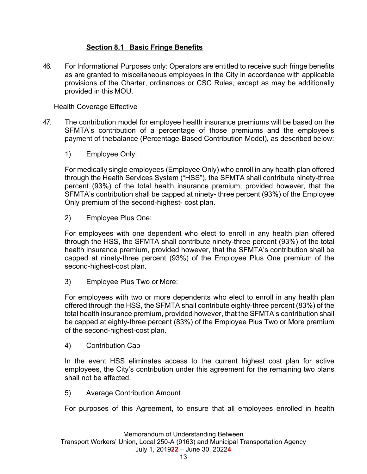## **Section 8.1 Basic Fringe Benefits**

46. For Informational Purposes only: Operators are entitled to receive such fringe benefits as are granted to miscellaneous employees in the City in accordance with applicable provisions of the Charter, ordinances or CSC Rules, except as may be additionally provided in this MOU.

Health Coverage Effective

- 47. The contribution model for employee health insurance premiums will be based on the SFMTA's contribution of a percentage of those premiums and the employee's payment of the balance (Percentage-Based Contribution Model), as described below:
	- 1) Employee Only:

 For medically single employees (Employee Only) who enroll in any health plan offered through the Health Services System ("HSS"), the SFMTA shall contribute ninety-three percent (93%) of the total health insurance premium, provided however, that the SFMTA's contribution shall be capped at ninety- three percent (93%) of the Employee Only premium of the second-highest- cost plan.

2) Employee Plus One:

 For employees with one dependent who elect to enroll in any health plan offered through the HSS, the SFMTA shall contribute ninety-three percent (93%) of the total health insurance premium, provided however, that the SFMTA's contribution shall be capped at ninety-three percent (93%) of the Employee Plus One premium of the second-highest-cost plan.

3) Employee Plus Two or More:

 For employees with two or more dependents who elect to enroll in any health plan offered through the HSS, the SFMTA shall contribute eighty-three percent (83%) of the total health insurance premium, provided however, that the SFMTA's contribution shall be capped at eighty-three percent (83%) of the Employee Plus Two or More premium of the second-highest-cost plan.

4) Contribution Cap

 In the event HSS eliminates access to the current highest cost plan for active employees, the City's contribution under this agreement for the remaining two plans shall not be affected.

5) Average Contribution Amount

For purposes of this Agreement, to ensure that all employees enrolled in health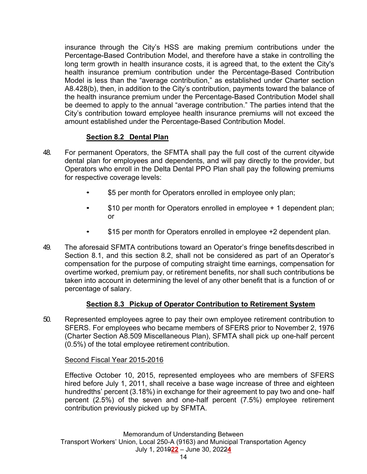insurance through the City's HSS are making premium contributions under the Percentage-Based Contribution Model, and therefore have a stake in controlling the long term growth in health insurance costs, it is agreed that, to the extent the City's health insurance premium contribution under the Percentage-Based Contribution Model is less than the "average contribution," as established under Charter section A8.428(b), then, in addition to the City's contribution, payments toward the balance of the health insurance premium under the Percentage-Based Contribution Model shall be deemed to apply to the annual "average contribution." The parties intend that the City's contribution toward employee health insurance premiums will not exceed the amount established under the Percentage-Based Contribution Model.

## **Section 8.2 Dental Plan**

- 48. For permanent Operators, the SFMTA shall pay the full cost of the current citywide dental plan for employees and dependents, and will pay directly to the provider, but Operators who enroll in the Delta Dental PPO Plan shall pay the following premiums for respective coverage levels:
	- \$5 per month for Operators enrolled in employee only plan;
	- \$10 per month for Operators enrolled in employee + 1 dependent plan; or
	- \$15 per month for Operators enrolled in employee +2 dependent plan.
- 49. The aforesaid SFMTA contributions toward an Operator's fringe benefits described in Section 8.1, and this section 8.2, shall not be considered as part of an Operator's compensation for the purpose of computing straight time earnings, compensation for overtime worked, premium pay, or retirement benefits, nor shall such contributions be taken into account in determining the level of any other benefit that is a function of or percentage of salary.

## **Section 8.3 Pickup of Operator Contribution to Retirement System**

50. Represented employees agree to pay their own employee retirement contribution to SFERS. For employees who became members of SFERS prior to November 2, 1976 (Charter Section A8.509 Miscellaneous Plan), SFMTA shall pick up one-half percent (0.5%) of the total employee retirement contribution.

#### Second Fiscal Year 2015-2016

 Effective October 10, 2015, represented employees who are members of SFERS hired before July 1, 2011, shall receive a base wage increase of three and eighteen hundredths' percent (3.18%) in exchange for their agreement to pay two and one- half percent (2.5%) of the seven and one-half percent (7.5%) employee retirement contribution previously picked up by SFMTA.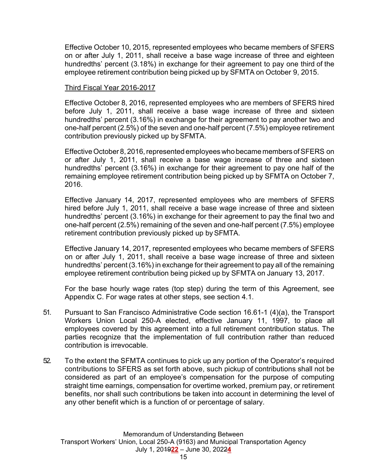Effective October 10, 2015, represented employees who became members of SFERS on or after July 1, 2011, shall receive a base wage increase of three and eighteen hundredths' percent (3.18%) in exchange for their agreement to pay one third of the employee retirement contribution being picked up by SFMTA on October 9, 2015.

#### Third Fiscal Year 2016-2017

 Effective October 8, 2016, represented employees who are members of SFERS hired before July 1, 2011, shall receive a base wage increase of three and sixteen hundredths' percent (3.16%) in exchange for their agreement to pay another two and one-half percent (2.5%) of the seven and one-half percent (7.5%) employee retirement contribution previously picked up by SFMTA.

 Effective October 8, 2016, represented employees who became members of SFERS on or after July 1, 2011, shall receive a base wage increase of three and sixteen hundredths' percent (3.16%) in exchange for their agreement to pay one half of the remaining employee retirement contribution being picked up by SFMTA on October 7, 2016.

 Effective January 14, 2017, represented employees who are members of SFERS hired before July 1, 2011, shall receive a base wage increase of three and sixteen hundredths' percent (3.16%) in exchange for their agreement to pay the final two and one-half percent (2.5%) remaining of the seven and one-half percent (7.5%) employee retirement contribution previously picked up by SFMTA.

 Effective January 14, 2017, represented employees who became members of SFERS on or after July 1, 2011, shall receive a base wage increase of three and sixteen hundredths' percent (3.16%) in exchange for their agreement to pay all of the remaining employee retirement contribution being picked up by SFMTA on January 13, 2017.

 For the base hourly wage rates (top step) during the term of this Agreement, see Appendix C. For wage rates at other steps, see section 4.1.

- 51. Pursuant to San Francisco Administrative Code section 16.61-1 (4)(a), the Transport Workers Union Local 250-A elected, effective January 11, 1997, to place all employees covered by this agreement into a full retirement contribution status. The parties recognize that the implementation of full contribution rather than reduced contribution is irrevocable.
- 52. To the extent the SFMTA continues to pick up any portion of the Operator's required contributions to SFERS as set forth above, such pickup of contributions shall not be considered as part of an employee's compensation for the purpose of computing straight time earnings, compensation for overtime worked, premium pay, or retirement benefits, nor shall such contributions be taken into account in determining the level of any other benefit which is a function of or percentage of salary.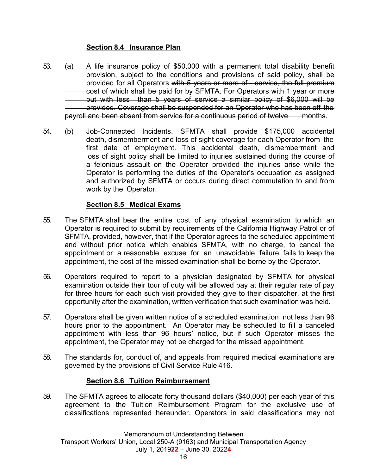#### **Section 8.4 Insurance Plan**

- 53. (a) A life insurance policy of \$50,000 with a permanent total disability benefit provision, subject to the conditions and provisions of said policy, shall be provided for all Operators with 5 years or more of - service, the full premium cost of which shall be paid for by SFMTA. For Operators with 1 year or more but with less than 5 years of service a similar policy of \$6,000 will be provided. Coverage shall be suspended for an Operator who has been off the payroll and been absent from service for a continuous period of twelve months.
- 54. (b) Job-Connected Incidents. SFMTA shall provide \$175,000 accidental death, dismemberment and loss of sight coverage for each Operator from the first date of employment. This accidental death, dismemberment and loss of sight policy shall be limited to injuries sustained during the course of a felonious assault on the Operator provided the injuries arise while the Operator is performing the duties of the Operator's occupation as assigned and authorized by SFMTA or occurs during direct commutation to and from work by the Operator.

#### **Section 8.5 Medical Exams**

- 55. The SFMTA shall bear the entire cost of any physical examination to which an Operator is required to submit by requirements of the California Highway Patrol or of SFMTA, provided, however, that if the Operator agrees to the scheduled appointment and without prior notice which enables SFMTA, with no charge, to cancel the appointment or a reasonable excuse for an unavoidable failure, fails to keep the appointment, the cost of the missed examination shall be borne by the Operator.
- 56. Operators required to report to a physician designated by SFMTA for physical examination outside their tour of duty will be allowed pay at their regular rate of pay for three hours for each such visit provided they give to their dispatcher, at the first opportunity after the examination, written verification that such examination was held.
- 57. Operators shall be given written notice of a scheduled examination not less than 96 hours prior to the appointment. An Operator may be scheduled to fill a canceled appointment with less than 96 hours' notice, but if such Operator misses the appointment, the Operator may not be charged for the missed appointment.
- 58. The standards for, conduct of, and appeals from required medical examinations are governed by the provisions of Civil Service Rule 416.

## **Section 8.6 Tuition Reimbursement**

59. The SFMTA agrees to allocate forty thousand dollars (\$40,000) per each year of this agreement to the Tuition Reimbursement Program for the exclusive use of classifications represented hereunder. Operators in said classifications may not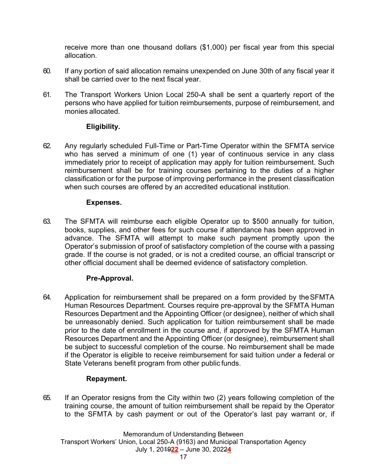receive more than one thousand dollars (\$1,000) per fiscal year from this special allocation.

- 60. If any portion of said allocation remains unexpended on June 30th of any fiscal year it shall be carried over to the next fiscal year.
- 61. The Transport Workers Union Local 250-A shall be sent a quarterly report of the persons who have applied for tuition reimbursements, purpose of reimbursement, and monies allocated.

## **Eligibility.**

62. Any regularly scheduled Full-Time or Part-Time Operator within the SFMTA service who has served a minimum of one (1) year of continuous service in any class immediately prior to receipt of application may apply for tuition reimbursement. Such reimbursement shall be for training courses pertaining to the duties of a higher classification or for the purpose of improving performance in the present classification when such courses are offered by an accredited educational institution.

## **Expenses.**

63. The SFMTA will reimburse each eligible Operator up to \$500 annually for tuition, books, supplies, and other fees for such course if attendance has been approved in advance. The SFMTA will attempt to make such payment promptly upon the Operator's submission of proof of satisfactory completion of the course with a passing grade. If the course is not graded, or is not a credited course, an official transcript or other official document shall be deemed evidence of satisfactory completion.

## **Pre-Approval.**

64. Application for reimbursement shall be prepared on a form provided by the SFMTA Human Resources Department. Courses require pre-approval by the SFMTA Human Resources Department and the Appointing Officer (or designee), neither of which shall be unreasonably denied. Such application for tuition reimbursement shall be made prior to the date of enrollment in the course and, if approved by the SFMTA Human Resources Department and the Appointing Officer (or designee), reimbursement shall be subject to successful completion of the course. No reimbursement shall be made if the Operator is eligible to receive reimbursement for said tuition under a federal or State Veterans benefit program from other public funds.

## **Repayment.**

65. If an Operator resigns from the City within two (2) years following completion of the training course, the amount of tuition reimbursement shall be repaid by the Operator to the SFMTA by cash payment or out of the Operator's last pay warrant or, if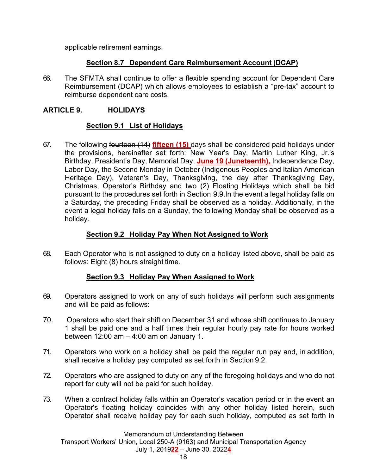applicable retirement earnings.

## **Section 8.7 Dependent Care Reimbursement Account (DCAP)**

66. The SFMTA shall continue to offer a flexible spending account for Dependent Care Reimbursement (DCAP) which allows employees to establish a "pre-tax" account to reimburse dependent care costs.

## **ARTICLE 9. HOLIDAYS**

## **Section 9.1 List of Holidays**

67. The following fourteen (14) **fifteen (15)** days shall be considered paid holidays under the provisions, hereinafter set forth: New Year's Day, Martin Luther King, Jr.'s Birthday, President's Day, Memorial Day, **June 19 (Juneteenth),** Independence Day, Labor Day, the Second Monday in October (Indigenous Peoples and Italian American Heritage Day), Veteran's Day, Thanksgiving, the day after Thanksgiving Day, Christmas, Operator's Birthday and two (2) Floating Holidays which shall be bid pursuant to the procedures set forth in Section 9.9.In the event a legal holiday falls on a Saturday, the preceding Friday shall be observed as a holiday. Additionally, in the event a legal holiday falls on a Sunday, the following Monday shall be observed as a holiday.

## **Section 9.2 Holiday Pay When Not Assigned to Work**

68. Each Operator who is not assigned to duty on a holiday listed above, shall be paid as follows: Eight (8) hours straight time.

## **Section 9.3 Holiday Pay When Assigned to Work**

- 69. Operators assigned to work on any of such holidays will perform such assignments and will be paid as follows:
- 70.Operators who start their shift on December 31 and whose shift continues to January 1 shall be paid one and a half times their regular hourly pay rate for hours worked between 12:00 am – 4:00 am on January 1.
- 71. Operators who work on a holiday shall be paid the regular run pay and, in addition, shall receive a holiday pay computed as set forth in Section 9.2.
- 72. Operators who are assigned to duty on any of the foregoing holidays and who do not report for duty will not be paid for such holiday.
- 73. When a contract holiday falls within an Operator's vacation period or in the event an Operator's floating holiday coincides with any other holiday listed herein, such Operator shall receive holiday pay for each such holiday, computed as set forth in

Memorandum of Understanding Between Transport Workers' Union, Local 250-A (9163) and Municipal Transportation Agency July 1, 2019**22** – June 30, 2022**4**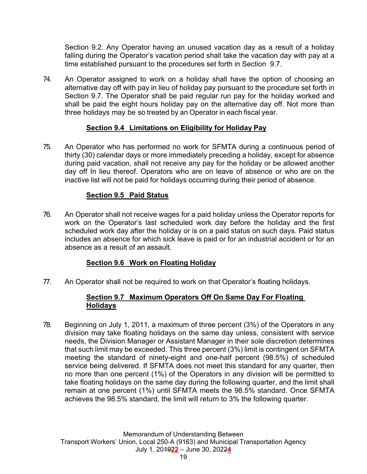Section 9.2. Any Operator having an unused vacation day as a result of a holiday falling during the Operator's vacation period shall take the vacation day with pay at a time established pursuant to the procedures set forth in Section 9.7.

74. An Operator assigned to work on a holiday shall have the option of choosing an alternative day off with pay in lieu of holiday pay pursuant to the procedure set forth in Section 9.7. The Operator shall be paid regular run pay for the holiday worked and shall be paid the eight hours holiday pay on the alternative day off. Not more than three holidays may be so treated by an Operator in each fiscal year.

## **Section 9.4 Limitations on Eligibility for Holiday Pay**

75. An Operator who has performed no work for SFMTA during a continuous period of thirty (30) calendar days or more immediately preceding a holiday, except for absence during paid vacation, shall not receive any pay for the holiday or be allowed another day off In lieu thereof. Operators who are on leave of absence or who are on the inactive list will not be paid for holidays occurring during their period of absence.

#### **Section 9.5 Paid Status**

76. An Operator shall not receive wages for a paid holiday unless the Operator reports for work on the Operator's last scheduled work day before the holiday and the first scheduled work day after the holiday or is on a paid status on such days. Paid status includes an absence for which sick leave is paid or for an industrial accident or for an absence as a result of an assault.

## **Section 9.6 Work on Floating Holiday**

77. An Operator shall not be required to work on that Operator's floating holidays.

#### **Section 9.7 Maximum Operators Off On Same Day For Floating Holidays**

78. Beginning on July 1, 2011, a maximum of three percent (3%) of the Operators in any division may take floating holidays on the same day unless, consistent with service needs, the Division Manager or Assistant Manager in their sole discretion determines that such limit may be exceeded. This three percent (3%) limit is contingent on SFMTA meeting the standard of ninety-eight and one-half percent (98.5%) of scheduled service being delivered. If SFMTA does not meet this standard for any quarter, then no more than one percent (1%) of the Operators in any division will be permitted to take floating holidays on the same day during the following quarter, and the limit shall remain at one percent (1%) until SFMTA meets the 98.5% standard. Once SFMTA achieves the 98.5% standard, the limit will return to 3% the following quarter.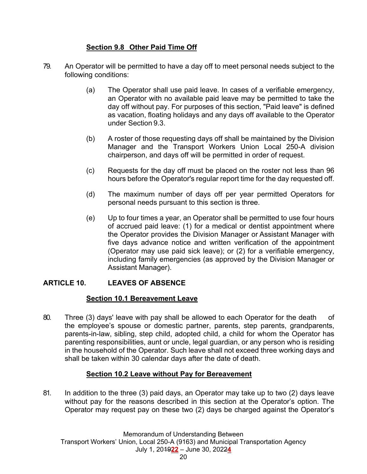## **Section 9.8 Other Paid Time Off**

- 79. An Operator will be permitted to have a day off to meet personal needs subject to the following conditions:
	- (a) The Operator shall use paid leave. In cases of a verifiable emergency, an Operator with no available paid leave may be permitted to take the day off without pay. For purposes of this section, "Paid leave" is defined as vacation, floating holidays and any days off available to the Operator under Section 9.3.
	- (b) A roster of those requesting days off shall be maintained by the Division Manager and the Transport Workers Union Local 250-A division chairperson, and days off will be permitted in order of request.
	- (c) Requests for the day off must be placed on the roster not less than 96 hours before the Operator's regular report time for the day requested off.
	- (d) The maximum number of days off per year permitted Operators for personal needs pursuant to this section is three.
	- (e) Up to four times a year, an Operator shall be permitted to use four hours of accrued paid leave: (1) for a medical or dentist appointment where the Operator provides the Division Manager or Assistant Manager with five days advance notice and written verification of the appointment (Operator may use paid sick leave); or (2) for a verifiable emergency, including family emergencies (as approved by the Division Manager or Assistant Manager).

## **ARTICLE 10. LEAVES OF ABSENCE**

## **Section 10.1 Bereavement Leave**

80. Three (3) days' leave with pay shall be allowed to each Operator for the death of the employee's spouse or domestic partner, parents, step parents, grandparents, parents-in-law, sibling, step child, adopted child, a child for whom the Operator has parenting responsibilities, aunt or uncle, legal guardian, or any person who is residing in the household of the Operator. Such leave shall not exceed three working days and shall be taken within 30 calendar days after the date of death.

## **Section 10.2 Leave without Pay for Bereavement**

81. In addition to the three (3) paid days, an Operator may take up to two (2) days leave without pay for the reasons described in this section at the Operator's option. The Operator may request pay on these two (2) days be charged against the Operator's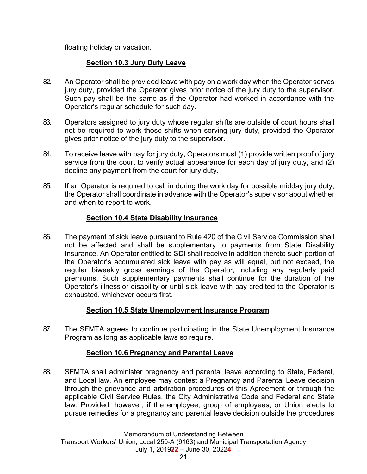floating holiday or vacation.

## **Section 10.3 Jury Duty Leave**

- 82. An Operator shall be provided leave with pay on a work day when the Operator serves jury duty, provided the Operator gives prior notice of the jury duty to the supervisor. Such pay shall be the same as if the Operator had worked in accordance with the Operator's regular schedule for such day.
- 83. Operators assigned to jury duty whose regular shifts are outside of court hours shall not be required to work those shifts when serving jury duty, provided the Operator gives prior notice of the jury duty to the supervisor.
- 84. To receive leave with pay for jury duty, Operators must (1) provide written proof of jury service from the court to verify actual appearance for each day of jury duty, and (2) decline any payment from the court for jury duty.
- 85. If an Operator is required to call in during the work day for possible midday jury duty, the Operator shall coordinate in advance with the Operator's supervisor about whether and when to report to work.

## **Section 10.4 State Disability Insurance**

86. The payment of sick leave pursuant to Rule 420 of the Civil Service Commission shall not be affected and shall be supplementary to payments from State Disability Insurance. An Operator entitled to SDI shall receive in addition thereto such portion of the Operator's accumulated sick leave with pay as will equal, but not exceed, the regular biweekly gross earnings of the Operator, including any regularly paid premiums. Such supplementary payments shall continue for the duration of the Operator's illness or disability or until sick leave with pay credited to the Operator is exhausted, whichever occurs first.

## **Section 10.5 State Unemployment Insurance Program**

87. The SFMTA agrees to continue participating in the State Unemployment Insurance Program as long as applicable laws so require.

## **Section 10.6 Pregnancy and Parental Leave**

88. SFMTA shall administer pregnancy and parental leave according to State, Federal, and Local law. An employee may contest a Pregnancy and Parental Leave decision through the grievance and arbitration procedures of this Agreement or through the applicable Civil Service Rules, the City Administrative Code and Federal and State law. Provided, however, if the employee, group of employees, or Union elects to pursue remedies for a pregnancy and parental leave decision outside the procedures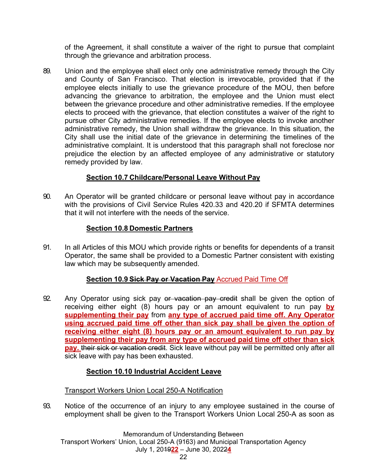of the Agreement, it shall constitute a waiver of the right to pursue that complaint through the grievance and arbitration process.

89. Union and the employee shall elect only one administrative remedy through the City and County of San Francisco. That election is irrevocable, provided that if the employee elects initially to use the grievance procedure of the MOU, then before advancing the grievance to arbitration, the employee and the Union must elect between the grievance procedure and other administrative remedies. If the employee elects to proceed with the grievance, that election constitutes a waiver of the right to pursue other City administrative remedies. If the employee elects to invoke another administrative remedy, the Union shall withdraw the grievance. In this situation, the City shall use the initial date of the grievance in determining the timelines of the administrative complaint. It is understood that this paragraph shall not foreclose nor prejudice the election by an affected employee of any administrative or statutory remedy provided by law.

## **Section 10.7 Childcare/Personal Leave Without Pay**

90. An Operator will be granted childcare or personal leave without pay in accordance with the provisions of Civil Service Rules 420.33 and 420.20 if SFMTA determines that it will not interfere with the needs of the service.

## **Section 10.8 Domestic Partners**

91. In all Articles of this MOU which provide rights or benefits for dependents of a transit Operator, the same shall be provided to a Domestic Partner consistent with existing law which may be subsequently amended.

## **Section 10.9 Sick Pay or Vacation Pay** Accrued Paid Time Off

92. Any Operator using sick pay or vacation pay credit shall be given the option of receiving either eight (8) hours pay or an amount equivalent to run pay **by supplementing their pay** from **any type of accrued paid time off. Any Operator using accrued paid time off other than sick pay shall be given the option of receiving either eight (8) hours pay or an amount equivalent to run pay by supplementing their pay from any type of accrued paid time off other than sick**  pay. their sick or vacation credit. Sick leave without pay will be permitted only after all sick leave with pay has been exhausted.

## **Section 10.10 Industrial Accident Leave**

## Transport Workers Union Local 250-A Notification

93. Notice of the occurrence of an injury to any employee sustained in the course of employment shall be given to the Transport Workers Union Local 250-A as soon as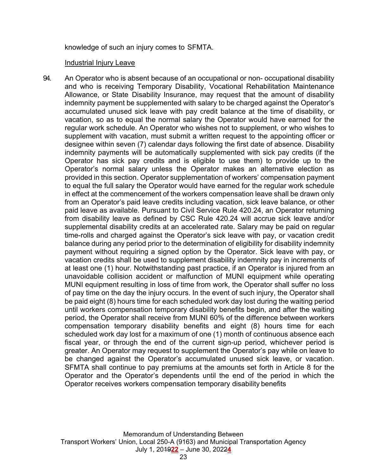knowledge of such an injury comes to SFMTA.

#### Industrial Injury Leave

94. An Operator who is absent because of an occupational or non- occupational disability and who is receiving Temporary Disability, Vocational Rehabilitation Maintenance Allowance, or State Disability Insurance, may request that the amount of disability indemnity payment be supplemented with salary to be charged against the Operator's accumulated unused sick leave with pay credit balance at the time of disability, or vacation, so as to equal the normal salary the Operator would have earned for the regular work schedule. An Operator who wishes not to supplement, or who wishes to supplement with vacation, must submit a written request to the appointing officer or designee within seven (7) calendar days following the first date of absence. Disability indemnity payments will be automatically supplemented with sick pay credits (if the Operator has sick pay credits and is eligible to use them) to provide up to the Operator's normal salary unless the Operator makes an alternative election as provided in this section. Operator supplementation of workers' compensation payment to equal the full salary the Operator would have earned for the regular work schedule in effect at the commencement of the workers compensation leave shall be drawn only from an Operator's paid leave credits including vacation, sick leave balance, or other paid leave as available. Pursuant to Civil Service Rule 420.24, an Operator returning from disability leave as defined by CSC Rule 420.24 will accrue sick leave and/or supplemental disability credits at an accelerated rate. Salary may be paid on regular time-rolls and charged against the Operator's sick leave with pay, or vacation credit balance during any period prior to the determination of eligibility for disability indemnity payment without requiring a signed option by the Operator. Sick leave with pay, or vacation credits shall be used to supplement disability indemnity pay in increments of at least one (1) hour. Notwithstanding past practice, if an Operator is injured from an unavoidable collision accident or malfunction of MUNI equipment while operating MUNI equipment resulting in loss of time from work, the Operator shall suffer no loss of pay time on the day the injury occurs. In the event of such injury, the Operator shall be paid eight (8) hours time for each scheduled work day lost during the waiting period until workers compensation temporary disability benefits begin, and after the waiting period, the Operator shall receive from MUNI 60% of the difference between workers compensation temporary disability benefits and eight (8) hours time for each scheduled work day lost for a maximum of one (1) month of continuous absence each fiscal year, or through the end of the current sign-up period, whichever period is greater. An Operator may request to supplement the Operator's pay while on leave to be changed against the Operator's accumulated unused sick leave, or vacation. SFMTA shall continue to pay premiums at the amounts set forth in Article 8 for the Operator and the Operator's dependents until the end of the period in which the Operator receives workers compensation temporary disability benefits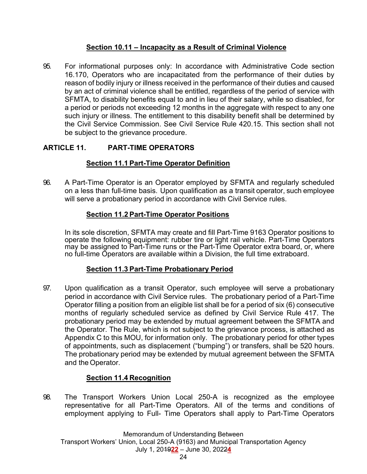## **Section 10.11 – Incapacity as a Result of Criminal Violence**

95. For informational purposes only: In accordance with Administrative Code section 16.170, Operators who are incapacitated from the performance of their duties by reason of bodily injury or illness received in the performance of their duties and caused by an act of criminal violence shall be entitled, regardless of the period of service with SFMTA, to disability benefits equal to and in lieu of their salary, while so disabled, for a period or periods not exceeding 12 months in the aggregate with respect to any one such injury or illness. The entitlement to this disability benefit shall be determined by the Civil Service Commission. See Civil Service Rule 420.15. This section shall not be subject to the grievance procedure.

## **ARTICLE 11. PART-TIME OPERATORS**

## **Section 11.1 Part-Time Operator Definition**

96. A Part-Time Operator is an Operator employed by SFMTA and regularly scheduled on a less than full-time basis. Upon qualification as a transit operator, such employee will serve a probationary period in accordance with Civil Service rules.

## **Section 11.2 Part-Time Operator Positions**

 In its sole discretion, SFMTA may create and fill Part-Time 9163 Operator positions to operate the following equipment: rubber tire or light rail vehicle. Part-Time Operators may be assigned to Part-Time runs or the Part-Time Operator extra board, or, where no full-time Operators are available within a Division, the full time extraboard.

## **Section 11.3 Part-Time Probationary Period**

97. Upon qualification as a transit Operator, such employee will serve a probationary period in accordance with Civil Service rules. The probationary period of a Part-Time Operator filling a position from an eligible list shall be for a period of six (6) consecutive months of regularly scheduled service as defined by Civil Service Rule 417. The probationary period may be extended by mutual agreement between the SFMTA and the Operator. The Rule, which is not subject to the grievance process, is attached as Appendix C to this MOU, for information only. The probationary period for other types of appointments, such as displacement ("bumping") or transfers, shall be 520 hours. The probationary period may be extended by mutual agreement between the SFMTA and the Operator.

## **Section 11.4 Recognition**

98. The Transport Workers Union Local 250-A is recognized as the employee representative for all Part-Time Operators. All of the terms and conditions of employment applying to Full- Time Operators shall apply to Part-Time Operators

Memorandum of Understanding Between Transport Workers' Union, Local 250-A (9163) and Municipal Transportation Agency July 1, 2019**22** – June 30, 2022**4**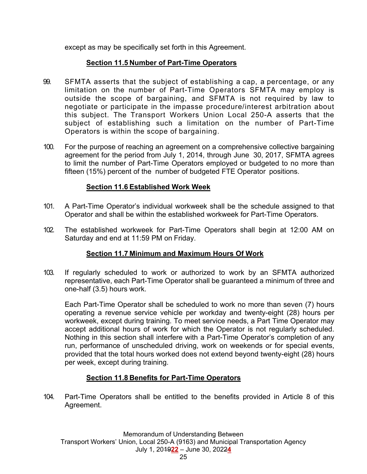except as may be specifically set forth in this Agreement.

## **Section 11.5 Number of Part-Time Operators**

- 99. SFMTA asserts that the subject of establishing a cap, a percentage, or any limitation on the number of Part-Time Operators SFMTA may employ is outside the scope of bargaining, and SFMTA is not required by law to negotiate or participate in the impasse procedure/interest arbitration about this subject. The Transport Workers Union Local 250-A asserts that the subject of establishing such a limitation on the number of Part-Time Operators is within the scope of bargaining.
- 100. For the purpose of reaching an agreement on a comprehensive collective bargaining agreement for the period from July 1, 2014, through June 30, 2017, SFMTA agrees to limit the number of Part-Time Operators employed or budgeted to no more than fifteen (15%) percent of the number of budgeted FTE Operator positions.

## **Section 11.6 Established Work Week**

- 101. A Part-Time Operator's individual workweek shall be the schedule assigned to that Operator and shall be within the established workweek for Part-Time Operators.
- 102. The established workweek for Part-Time Operators shall begin at 12:00 AM on Saturday and end at 11:59 PM on Friday.

## **Section 11.7 Minimum and Maximum Hours Of Work**

103. If regularly scheduled to work or authorized to work by an SFMTA authorized representative, each Part-Time Operator shall be guaranteed a minimum of three and one-half (3.5) hours work.

 Each Part-Time Operator shall be scheduled to work no more than seven (7) hours operating a revenue service vehicle per workday and twenty-eight (28) hours per workweek, except during training. To meet service needs, a Part Time Operator may accept additional hours of work for which the Operator is not regularly scheduled. Nothing in this section shall interfere with a Part-Time Operator's completion of any run, performance of unscheduled driving, work on weekends or for special events, provided that the total hours worked does not extend beyond twenty-eight (28) hours per week, except during training.

## **Section 11.8 Benefits for Part-Time Operators**

104. Part-Time Operators shall be entitled to the benefits provided in Article 8 of this Agreement.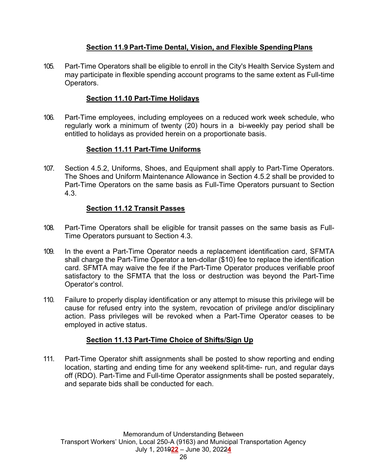## **Section 11.9 Part-Time Dental, Vision, and Flexible Spending Plans**

105. Part-Time Operators shall be eligible to enroll in the City's Health Service System and may participate in flexible spending account programs to the same extent as Full-time Operators.

## **Section 11.10 Part-Time Holidays**

106. Part-Time employees, including employees on a reduced work week schedule, who regularly work a minimum of twenty (20) hours in a bi-weekly pay period shall be entitled to holidays as provided herein on a proportionate basis.

## **Section 11.11 Part-Time Uniforms**

107. Section 4.5.2, Uniforms, Shoes, and Equipment shall apply to Part-Time Operators. The Shoes and Uniform Maintenance Allowance in Section 4.5.2 shall be provided to Part-Time Operators on the same basis as Full-Time Operators pursuant to Section 4.3.

## **Section 11.12 Transit Passes**

- 108. Part-Time Operators shall be eligible for transit passes on the same basis as Full-Time Operators pursuant to Section 4.3.
- 109. In the event a Part-Time Operator needs a replacement identification card, SFMTA shall charge the Part-Time Operator a ten-dollar (\$10) fee to replace the identification card. SFMTA may waive the fee if the Part-Time Operator produces verifiable proof satisfactory to the SFMTA that the loss or destruction was beyond the Part-Time Operator's control.
- 110. Failure to properly display identification or any attempt to misuse this privilege will be cause for refused entry into the system, revocation of privilege and/or disciplinary action. Pass privileges will be revoked when a Part-Time Operator ceases to be employed in active status.

## **Section 11.13 Part-Time Choice of Shifts/Sign Up**

111. Part-Time Operator shift assignments shall be posted to show reporting and ending location, starting and ending time for any weekend split-time- run, and regular days off (RDO). Part-Time and Full-time Operator assignments shall be posted separately, and separate bids shall be conducted for each.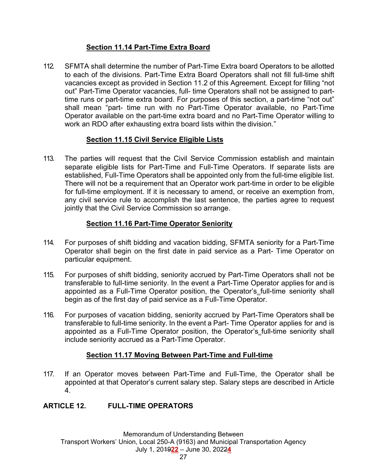## **Section 11.14 Part-Time Extra Board**

112. SFMTA shall determine the number of Part-Time Extra board Operators to be allotted to each of the divisions. Part-Time Extra Board Operators shall not fill full-time shift vacancies except as provided in Section 11.2 of this Agreement. Except for filling "not out" Part-Time Operator vacancies, full- time Operators shall not be assigned to parttime runs or part-time extra board. For purposes of this section, a part-time "not out" shall mean "part- time run with no Part-Time Operator available, no Part-Time Operator available on the part-time extra board and no Part-Time Operator willing to work an RDO after exhausting extra board lists within the division."

## **Section 11.15 Civil Service Eligible Lists**

113. The parties will request that the Civil Service Commission establish and maintain separate eligible lists for Part-Time and Full-Time Operators. If separate lists are established, Full-Time Operators shall be appointed only from the full-time eligible list. There will not be a requirement that an Operator work part-time in order to be eligible for full-time employment. If it is necessary to amend, or receive an exemption from, any civil service rule to accomplish the last sentence, the parties agree to request jointly that the Civil Service Commission so arrange.

## **Section 11.16 Part-Time Operator Seniority**

- 114. For purposes of shift bidding and vacation bidding, SFMTA seniority for a Part-Time Operator shall begin on the first date in paid service as a Part- Time Operator on particular equipment.
- 115. For purposes of shift bidding, seniority accrued by Part-Time Operators shall not be transferable to full-time seniority. In the event a Part-Time Operator applies for and is appointed as a Full-Time Operator position, the Operator's full-time seniority shall begin as of the first day of paid service as a Full-Time Operator.
- 116. For purposes of vacation bidding, seniority accrued by Part-Time Operators shall be transferable to full-time seniority. In the event a Part- Time Operator applies for and is appointed as a Full-Time Operator position, the Operator's full-time seniority shall include seniority accrued as a Part-Time Operator.

## **Section 11.17 Moving Between Part-Time and Full-time**

117. If an Operator moves between Part-Time and Full-Time, the Operator shall be appointed at that Operator's current salary step. Salary steps are described in Article 4.

## **ARTICLE 12. FULL-TIME OPERATORS**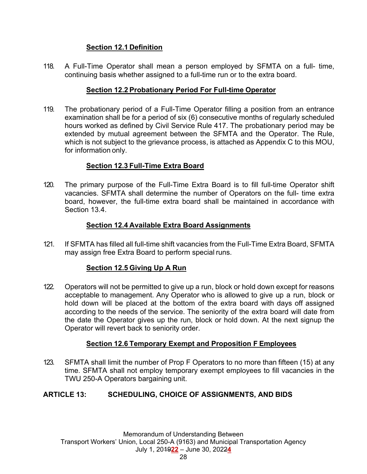## **Section 12.1 Definition**

118. A Full-Time Operator shall mean a person employed by SFMTA on a full- time, continuing basis whether assigned to a full-time run or to the extra board.

## **Section 12.2 Probationary Period For Full-time Operator**

119. The probationary period of a Full-Time Operator filling a position from an entrance examination shall be for a period of six (6) consecutive months of regularly scheduled hours worked as defined by Civil Service Rule 417. The probationary period may be extended by mutual agreement between the SFMTA and the Operator. The Rule, which is not subject to the grievance process, is attached as Appendix C to this MOU, for information only.

## **Section 12.3 Full-Time Extra Board**

120. The primary purpose of the Full-Time Extra Board is to fill full-time Operator shift vacancies. SFMTA shall determine the number of Operators on the full- time extra board, however, the full-time extra board shall be maintained in accordance with Section 13.4.

## **Section 12.4 Available Extra Board Assignments**

121. If SFMTA has filled all full-time shift vacancies from the Full-Time Extra Board, SFMTA may assign free Extra Board to perform special runs.

## **Section 12.5 Giving Up A Run**

122. Operators will not be permitted to give up a run, block or hold down except for reasons acceptable to management. Any Operator who is allowed to give up a run, block or hold down will be placed at the bottom of the extra board with days off assigned according to the needs of the service. The seniority of the extra board will date from the date the Operator gives up the run, block or hold down. At the next signup the Operator will revert back to seniority order.

## **Section 12.6 Temporary Exempt and Proposition F Employees**

123. SFMTA shall limit the number of Prop F Operators to no more than fifteen (15) at any time. SFMTA shall not employ temporary exempt employees to fill vacancies in the TWU 250-A Operators bargaining unit.

## **ARTICLE 13: SCHEDULING, CHOICE OF ASSIGNMENTS, AND BIDS**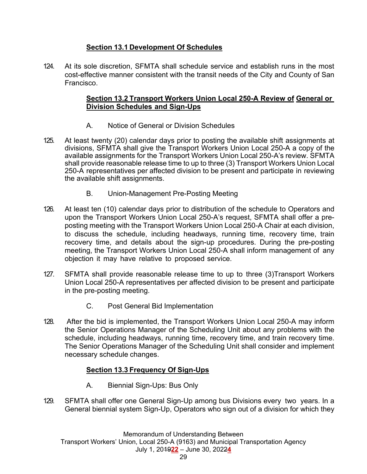## **Section 13.1 Development Of Schedules**

124. At its sole discretion, SFMTA shall schedule service and establish runs in the most cost-effective manner consistent with the transit needs of the City and County of San Francisco.

## **Section 13.2 Transport Workers Union Local 250-A Review of General or Division Schedules and Sign-Ups**

- A. Notice of General or Division Schedules
- 125. At least twenty (20) calendar days prior to posting the available shift assignments at divisions, SFMTA shall give the Transport Workers Union Local 250-A a copy of the available assignments for the Transport Workers Union Local 250-A's review. SFMTA shall provide reasonable release time to up to three (3) Transport Workers Union Local 250-A representatives per affected division to be present and participate in reviewing the available shift assignments.
	- B. Union-Management Pre-Posting Meeting
- 126. At least ten (10) calendar days prior to distribution of the schedule to Operators and upon the Transport Workers Union Local 250-A's request, SFMTA shall offer a preposting meeting with the Transport Workers Union Local 250-A Chair at each division, to discuss the schedule, including headways, running time, recovery time, train recovery time, and details about the sign-up procedures. During the pre-posting meeting, the Transport Workers Union Local 250-A shall inform management of any objection it may have relative to proposed service.
- 127. SFMTA shall provide reasonable release time to up to three (3)Transport Workers Union Local 250-A representatives per affected division to be present and participate in the pre-posting meeting.
	- C. Post General Bid Implementation
- 128. After the bid is implemented, the Transport Workers Union Local 250-A may inform the Senior Operations Manager of the Scheduling Unit about any problems with the schedule, including headways, running time, recovery time, and train recovery time. The Senior Operations Manager of the Scheduling Unit shall consider and implement necessary schedule changes.

## **Section 13.3 Frequency Of Sign-Ups**

- A. Biennial Sign-Ups: Bus Only
- 129. SFMTA shall offer one General Sign-Up among bus Divisions every two years. In a General biennial system Sign-Up, Operators who sign out of a division for which they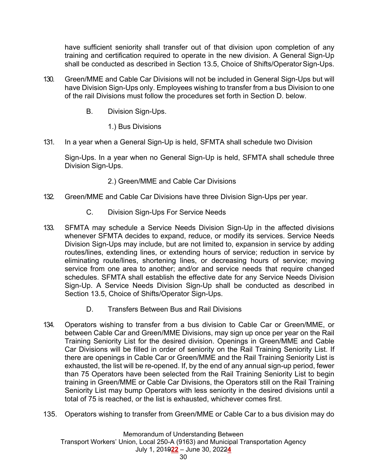have sufficient seniority shall transfer out of that division upon completion of any training and certification required to operate in the new division. A General Sign-Up shall be conducted as described in Section 13.5, Choice of Shifts/Operator Sign-Ups.

- 130. Green/MME and Cable Car Divisions will not be included in General Sign-Ups but will have Division Sign-Ups only. Employees wishing to transfer from a bus Division to one of the rail Divisions must follow the procedures set forth in Section D. below.
	- B. Division Sign-Ups.
		- 1.) Bus Divisions
- 131. In a year when a General Sign-Up is held, SFMTA shall schedule two Division

Sign-Ups. In a year when no General Sign-Up is held, SFMTA shall schedule three Division Sign-Ups.

- 2.) Green/MME and Cable Car Divisions
- 132. Green/MME and Cable Car Divisions have three Division Sign-Ups per year.
	- C. Division Sign-Ups For Service Needs
- 133. SFMTA may schedule a Service Needs Division Sign-Up in the affected divisions whenever SFMTA decides to expand, reduce, or modify its services. Service Needs Division Sign-Ups may include, but are not limited to, expansion in service by adding routes/lines, extending lines, or extending hours of service; reduction in service by eliminating route/lines, shortening lines, or decreasing hours of service; moving service from one area to another; and/or and service needs that require changed schedules. SFMTA shall establish the effective date for any Service Needs Division Sign-Up. A Service Needs Division Sign-Up shall be conducted as described in Section 13.5, Choice of Shifts/Operator Sign-Ups.
	- D. Transfers Between Bus and Rail Divisions
- 134. Operators wishing to transfer from a bus division to Cable Car or Green/MME, or between Cable Car and Green/MME Divisions, may sign up once per year on the Rail Training Seniority List for the desired division. Openings in Green/MME and Cable Car Divisions will be filled in order of seniority on the Rail Training Seniority List. If there are openings in Cable Car or Green/MME and the Rail Training Seniority List is exhausted, the list will be re-opened. If, by the end of any annual sign-up period, fewer than 75 Operators have been selected from the Rail Training Seniority List to begin training in Green/MME or Cable Car Divisions, the Operators still on the Rail Training Seniority List may bump Operators with less seniority in the desired divisions until a total of 75 is reached, or the list is exhausted, whichever comes first.
- 135. Operators wishing to transfer from Green/MME or Cable Car to a bus division may do

Memorandum of Understanding Between Transport Workers' Union, Local 250-A (9163) and Municipal Transportation Agency July 1, 2019**22** – June 30, 2022**4**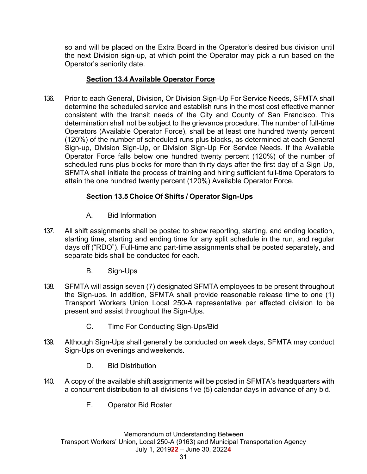so and will be placed on the Extra Board in the Operator's desired bus division until the next Division sign-up, at which point the Operator may pick a run based on the Operator's seniority date.

#### **Section 13.4 Available Operator Force**

136. Prior to each General, Division, Or Division Sign-Up For Service Needs, SFMTA shall determine the scheduled service and establish runs in the most cost effective manner consistent with the transit needs of the City and County of San Francisco. This determination shall not be subject to the grievance procedure. The number of full-time Operators (Available Operator Force), shall be at least one hundred twenty percent (120%) of the number of scheduled runs plus blocks, as determined at each General Sign-up, Division Sign-Up, or Division Sign-Up For Service Needs. If the Available Operator Force falls below one hundred twenty percent (120%) of the number of scheduled runs plus blocks for more than thirty days after the first day of a Sign Up, SFMTA shall initiate the process of training and hiring sufficient full-time Operators to attain the one hundred twenty percent (120%) Available Operator Force.

## **Section 13.5 Choice Of Shifts / Operator Sign-Ups**

- A. Bid Information
- 137. All shift assignments shall be posted to show reporting, starting, and ending location, starting time, starting and ending time for any split schedule in the run, and regular days off ("RDO"). Full-time and part-time assignments shall be posted separately, and separate bids shall be conducted for each.
	- B. Sign-Ups
- 138. SFMTA will assign seven (7) designated SFMTA employees to be present throughout the Sign-ups. In addition, SFMTA shall provide reasonable release time to one (1) Transport Workers Union Local 250-A representative per affected division to be present and assist throughout the Sign-Ups.
	- C. Time For Conducting Sign-Ups/Bid
- 139. Although Sign-Ups shall generally be conducted on week days, SFMTA may conduct Sign-Ups on evenings and weekends.
	- D. Bid Distribution
- 140. A copy of the available shift assignments will be posted in SFMTA's headquarters with a concurrent distribution to all divisions five (5) calendar days in advance of any bid.
	- E. Operator Bid Roster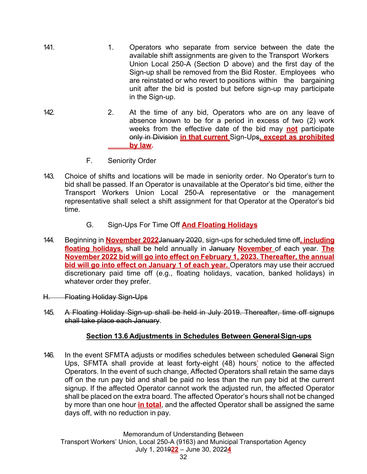- 141. 141. 1. Operators who separate from service between the date the available shift assignments are given to the Transport Workers Union Local 250-A (Section D above) and the first day of the Sign-up shall be removed from the Bid Roster. Employees who are reinstated or who revert to positions within the bargaining unit after the bid is posted but before sign-up may participate in the Sign-up.
- 142. 2. At the time of any bid, Operators who are on any leave of absence known to be for a period in excess of two (2) work weeks from the effective date of the bid may **not** participate only in Division **in that current** Sign-Ups**, except as prohibited by law.**
	- F. Seniority Order
- 143. Choice of shifts and locations will be made in seniority order. No Operator's turn to bid shall be passed. If an Operator is unavailable at the Operator's bid time, either the Transport Workers Union Local 250-A representative or the management representative shall select a shift assignment for that Operator at the Operator's bid time.
	- G. Sign-Ups For Time Off **And Floating Holidays**
- 144. Beginning in **November 2022**January 2020, sign-ups for scheduled time off**, including floating holidays,** shall be held annually in January **November** of each year. **The November 2022 bid will go into effect on February 1, 2023. Thereafter, the annual bid will go into effect on January 1 of each year.** Operators may use their accrued discretionary paid time off (e.g., floating holidays, vacation, banked holidays) in whatever order they prefer.
- H. Floating Holiday Sign-Ups
- 145. A Floating Holiday Sign-up shall be held in July 2019. Thereafter, time off signups shall take place each January.

## **Section 13.6 Adjustments in Schedules Between General Sign-ups**

146. In the event SFMTA adjusts or modifies schedules between scheduled General Sign Ups, SFMTA shall provide at least forty-eight (48) hours' notice to the affected Operators. In the event of such change, Affected Operators shall retain the same days off on the run pay bid and shall be paid no less than the run pay bid at the current signup. If the affected Operator cannot work the adjusted run, the affected Operator shall be placed on the extra board. The affected Operator's hours shall not be changed by more than one hour **in total**, and the affected Operator shall be assigned the same days off, with no reduction in pay.

Memorandum of Understanding Between Transport Workers' Union, Local 250-A (9163) and Municipal Transportation Agency July 1, 2019**22** – June 30, 2022**4**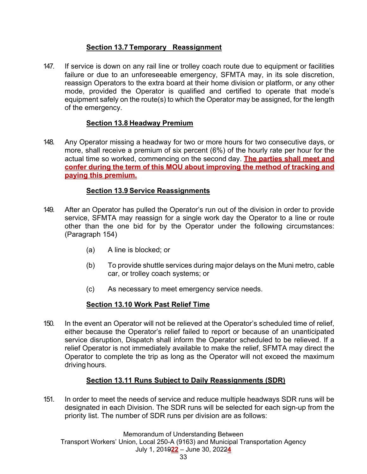## **Section 13.7 Temporary Reassignment**

147. If service is down on any rail line or trolley coach route due to equipment or facilities failure or due to an unforeseeable emergency, SFMTA may, in its sole discretion, reassign Operators to the extra board at their home division or platform, or any other mode, provided the Operator is qualified and certified to operate that mode's equipment safely on the route(s) to which the Operator may be assigned, for the length of the emergency.

## **Section 13.8 Headway Premium**

148. Any Operator missing a headway for two or more hours for two consecutive days, or more, shall receive a premium of six percent (6%) of the hourly rate per hour for the actual time so worked, commencing on the second day. **The parties shall meet and confer during the term of this MOU about improving the method of tracking and paying this premium.**

# **Section 13.9 Service Reassignments**

- 149. After an Operator has pulled the Operator's run out of the division in order to provide service, SFMTA may reassign for a single work day the Operator to a line or route other than the one bid for by the Operator under the following circumstances: (Paragraph 154)
	- (a) A line is blocked; or
	- (b) To provide shuttle services during major delays on the Muni metro, cable car, or trolley coach systems; or
	- (c) As necessary to meet emergency service needs.

# **Section 13.10 Work Past Relief Time**

150. In the event an Operator will not be relieved at the Operator's scheduled time of relief, either because the Operator's relief failed to report or because of an unanticipated service disruption, Dispatch shall inform the Operator scheduled to be relieved. If a relief Operator is not immediately available to make the relief, SFMTA may direct the Operator to complete the trip as long as the Operator will not exceed the maximum driving hours.

## **Section 13.11 Runs Subject to Daily Reassignments (SDR)**

151. In order to meet the needs of service and reduce multiple headways SDR runs will be designated in each Division. The SDR runs will be selected for each sign-up from the priority list. The number of SDR runs per division are as follows:

Memorandum of Understanding Between Transport Workers' Union, Local 250-A (9163) and Municipal Transportation Agency July 1, 2019**22** – June 30, 2022**4**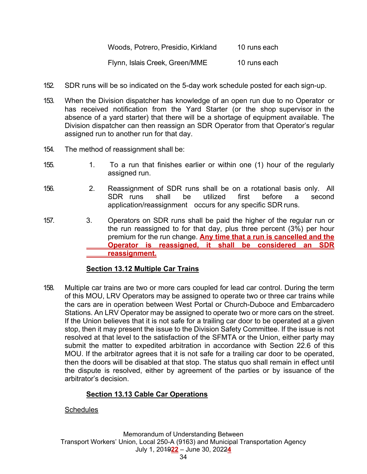| Woods, Potrero, Presidio, Kirkland | 10 runs each |
|------------------------------------|--------------|
| Flynn, Islais Creek, Green/MME     | 10 runs each |

- 152. SDR runs will be so indicated on the 5-day work schedule posted for each sign-up.
- 153. When the Division dispatcher has knowledge of an open run due to no Operator or has received notification from the Yard Starter (or the shop supervisor in the absence of a yard starter) that there will be a shortage of equipment available. The Division dispatcher can then reassign an SDR Operator from that Operator's regular assigned run to another run for that day.
- 154. The method of reassignment shall be:
- 155. 1. To a run that finishes earlier or within one (1) hour of the regularly assigned run.
- 156. 2. Reassignment of SDR runs shall be on a rotational basis only. All SDR runs shall be utilized first before a second application/reassignment occurs for any specific SDR runs.
- 157. 3. Operators on SDR runs shall be paid the higher of the regular run or the run reassigned to for that day, plus three percent (3%) per hour premium for the run change. **Any time that a run is cancelled and the Operator is reassigned, it shall be considered an SDR reassignment.**

## **Section 13.12 Multiple Car Trains**

158. Multiple car trains are two or more cars coupled for lead car control. During the term of this MOU, LRV Operators may be assigned to operate two or three car trains while the cars are in operation between West Portal or Church-Duboce and Embarcadero Stations. An LRV Operator may be assigned to operate two or more cars on the street. If the Union believes that it is not safe for a trailing car door to be operated at a given stop, then it may present the issue to the Division Safety Committee. If the issue is not resolved at that level to the satisfaction of the SFMTA or the Union, either party may submit the matter to expedited arbitration in accordance with Section 22.6 of this MOU. If the arbitrator agrees that it is not safe for a trailing car door to be operated, then the doors will be disabled at that stop. The status quo shall remain in effect until the dispute is resolved, either by agreement of the parties or by issuance of the arbitrator's decision.

# **Section 13.13 Cable Car Operations**

## **Schedules**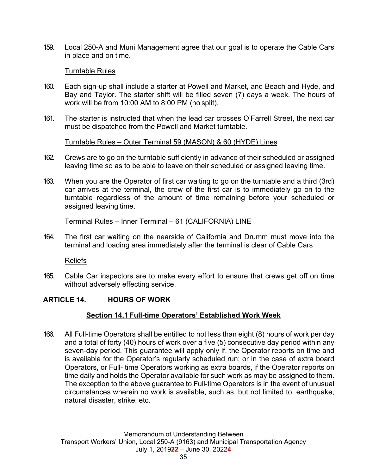159. Local 250-A and Muni Management agree that our goal is to operate the Cable Cars in place and on time.

#### Turntable Rules

- 160. Each sign-up shall include a starter at Powell and Market, and Beach and Hyde, and Bay and Taylor. The starter shift will be filled seven (7) days a week. The hours of work will be from 10:00 AM to 8:00 PM (no split).
- 161. The starter is instructed that when the lead car crosses O'Farrell Street, the next car must be dispatched from the Powell and Market turntable.

#### Turntable Rules – Outer Terminal 59 (MASON) & 60 (HYDE) Lines

- 162. Crews are to go on the turntable sufficiently in advance of their scheduled or assigned leaving time so as to be able to leave on their scheduled or assigned leaving time.
- 163. When you are the Operator of first car waiting to go on the turntable and a third (3rd) car arrives at the terminal, the crew of the first car is to immediately go on to the turntable regardless of the amount of time remaining before your scheduled or assigned leaving time.

#### Terminal Rules – Inner Terminal – 61 (CALIFORNIA) LINE

164. The first car waiting on the nearside of California and Drumm must move into the terminal and loading area immediately after the terminal is clear of Cable Cars

#### Reliefs

165. Cable Car inspectors are to make every effort to ensure that crews get off on time without adversely effecting service.

### **ARTICLE 14. HOURS OF WORK**

### **Section 14.1 Full-time Operators' Established Work Week**

166. All Full-time Operators shall be entitled to not less than eight (8) hours of work per day and a total of forty (40) hours of work over a five (5) consecutive day period within any seven-day period. This guarantee will apply only if, the Operator reports on time and is available for the Operator's regularly scheduled run; or in the case of extra board Operators, or Full- time Operators working as extra boards, if the Operator reports on time daily and holds the Operator available for such work as may be assigned to them. The exception to the above guarantee to Full-time Operators is in the event of unusual circumstances wherein no work is available, such as, but not limited to, earthquake, natural disaster, strike, etc.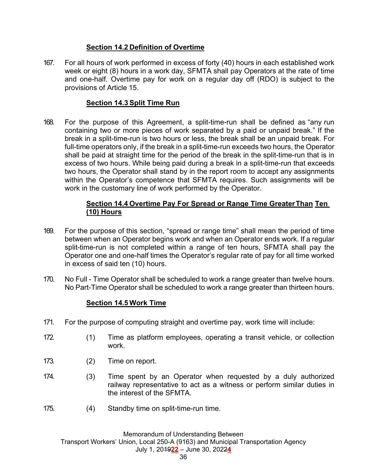## **Section 14.2 Definition of Overtime**

167. For all hours of work performed in excess of forty (40) hours in each established work week or eight (8) hours in a work day, SFMTA shall pay Operators at the rate of time and one-half. Overtime pay for work on a regular day off (RDO) is subject to the provisions of Article 15.

## **Section 14.3 Split Time Run**

168. For the purpose of this Agreement, a split-time-run shall be defined as "any run containing two or more pieces of work separated by a paid or unpaid break." If the break in a split-time-run is two hours or less, the break shall be an unpaid break. For full-time operators only, if the break in a split-time-run exceeds two hours, the Operator shall be paid at straight time for the period of the break in the split-time-run that is in excess of two hours. While being paid during a break in a split-time-run that exceeds two hours, the Operator shall stand by in the report room to accept any assignments within the Operator's competence that SFMTA requires. Such assignments will be work in the customary line of work performed by the Operator.

## **Section 14.4 Overtime Pay For Spread or Range Time Greater Than Ten (10) Hours**

- 169. For the purpose of this section, "spread or range time" shall mean the period of time between when an Operator begins work and when an Operator ends work. If a regular split-time-run is not completed within a range of ten hours, SFMTA shall pay the Operator one and one-half times the Operator's regular rate of pay for all time worked in excess of said ten (10) hours.
- 170. No Full Time Operator shall be scheduled to work a range greater than twelve hours. No Part-Time Operator shall be scheduled to work a range greater than thirteen hours.

## **Section 14.5 Work Time**

- 171. For the purpose of computing straight and overtime pay, work time will include:
- 172. (1) Time as platform employees, operating a transit vehicle, or collection work.
- 173. (2) Time on report.
- 174. (3) Time spent by an Operator when requested by a duly authorized railway representative to act as a witness or perform similar duties in the interest of the SFMTA.
- 175. (4) Standby time on split-time-run time.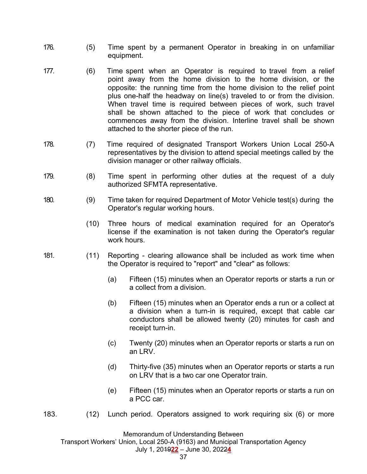- 176. (5) Time spent by a permanent Operator in breaking in on unfamiliar equipment.
- 177. (6) Time spent when an Operator is required to travel from a relief point away from the home division to the home division, or the opposite: the running time from the home division to the relief point plus one-half the headway on line(s) traveled to or from the division. When travel time is required between pieces of work, such travel shall be shown attached to the piece of work that concludes or commences away from the division. Interline travel shall be shown attached to the shorter piece of the run.
- 178. (7) Time required of designated Transport Workers Union Local 250-A representatives by the division to attend special meetings called by the division manager or other railway officials.
- 179. (8) Time spent in performing other duties at the request of a duly authorized SFMTA representative.
- 180. (9) Time taken for required Department of Motor Vehicle test(s) during the Operator's regular working hours.
	- (10) Three hours of medical examination required for an Operator's license if the examination is not taken during the Operator's regular work hours.
- 181. (11) Reporting clearing allowance shall be included as work time when the Operator is required to "report" and "clear" as follows:
	- (a) Fifteen (15) minutes when an Operator reports or starts a run or a collect from a division.
	- (b) Fifteen (15) minutes when an Operator ends a run or a collect at a division when a turn-in is required, except that cable car conductors shall be allowed twenty (20) minutes for cash and receipt turn-in.
	- (c) Twenty (20) minutes when an Operator reports or starts a run on an LRV.
	- (d) Thirty-five (35) minutes when an Operator reports or starts a run on LRV that is a two car one Operator train.
	- (e) Fifteen (15) minutes when an Operator reports or starts a run on a PCC car.
- 183. (12) Lunch period. Operators assigned to work requiring six (6) or more

Memorandum of Understanding Between

Transport Workers' Union, Local 250-A (9163) and Municipal Transportation Agency

July 1, 2019**22** – June 30, 2022**4**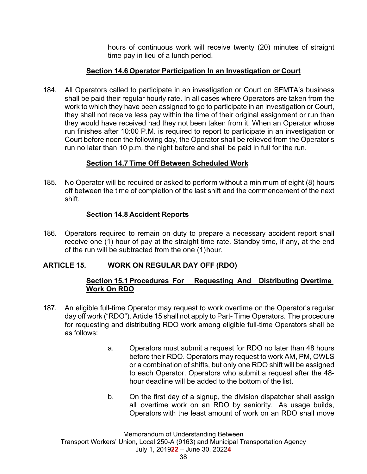hours of continuous work will receive twenty (20) minutes of straight time pay in lieu of a lunch period.

### **Section 14.6 Operator Participation In an Investigation or Court**

184. All Operators called to participate in an investigation or Court on SFMTA's business shall be paid their regular hourly rate. In all cases where Operators are taken from the work to which they have been assigned to go to participate in an investigation or Court, they shall not receive less pay within the time of their original assignment or run than they would have received had they not been taken from it. When an Operator whose run finishes after 10:00 P.M. is required to report to participate in an investigation or Court before noon the following day, the Operator shall be relieved from the Operator's run no later than 10 p.m. the night before and shall be paid in full for the run.

## **Section 14.7 Time Off Between Scheduled Work**

185. No Operator will be required or asked to perform without a minimum of eight (8) hours off between the time of completion of the last shift and the commencement of the next shift.

### **Section 14.8 Accident Reports**

186. Operators required to remain on duty to prepare a necessary accident report shall receive one (1) hour of pay at the straight time rate. Standby time, if any, at the end of the run will be subtracted from the one (1) hour.

## **ARTICLE 15. WORK ON REGULAR DAY OFF (RDO)**

### **Section 15.1 Procedures For Requesting And Distributing Overtime Work On RDO**

- 187. An eligible full-time Operator may request to work overtime on the Operator's regular day off work ("RDO"). Article 15 shall not apply to Part- Time Operators. The procedure for requesting and distributing RDO work among eligible full-time Operators shall be as follows:
	- a. Operators must submit a request for RDO no later than 48 hours before their RDO. Operators may request to work AM, PM, OWLS or a combination of shifts, but only one RDO shift will be assigned to each Operator. Operators who submit a request after the 48 hour deadline will be added to the bottom of the list.
	- b. On the first day of a signup, the division dispatcher shall assign all overtime work on an RDO by seniority. As usage builds, Operators with the least amount of work on an RDO shall move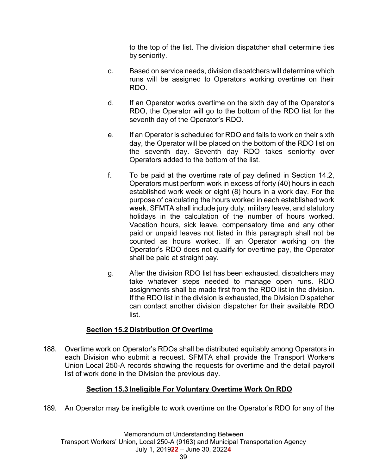to the top of the list. The division dispatcher shall determine ties by seniority.

- c. Based on service needs, division dispatchers will determine which runs will be assigned to Operators working overtime on their RDO.
- d. If an Operator works overtime on the sixth day of the Operator's RDO, the Operator will go to the bottom of the RDO list for the seventh day of the Operator's RDO.
- e. If an Operator is scheduled for RDO and fails to work on their sixth day, the Operator will be placed on the bottom of the RDO list on the seventh day. Seventh day RDO takes seniority over Operators added to the bottom of the list.
- f. To be paid at the overtime rate of pay defined in Section 14.2, Operators must perform work in excess of forty (40) hours in each established work week or eight (8) hours in a work day. For the purpose of calculating the hours worked in each established work week, SFMTA shall include jury duty, military leave, and statutory holidays in the calculation of the number of hours worked. Vacation hours, sick leave, compensatory time and any other paid or unpaid leaves not listed in this paragraph shall not be counted as hours worked. If an Operator working on the Operator's RDO does not qualify for overtime pay, the Operator shall be paid at straight pay.
- g. After the division RDO list has been exhausted, dispatchers may take whatever steps needed to manage open runs. RDO assignments shall be made first from the RDO list in the division. If the RDO list in the division is exhausted, the Division Dispatcher can contact another division dispatcher for their available RDO list.

## **Section 15.2 Distribution Of Overtime**

188. Overtime work on Operator's RDOs shall be distributed equitably among Operators in each Division who submit a request. SFMTA shall provide the Transport Workers Union Local 250-A records showing the requests for overtime and the detail payroll list of work done in the Division the previous day.

## **Section 15.3 Ineligible For Voluntary Overtime Work On RDO**

189. An Operator may be ineligible to work overtime on the Operator's RDO for any of the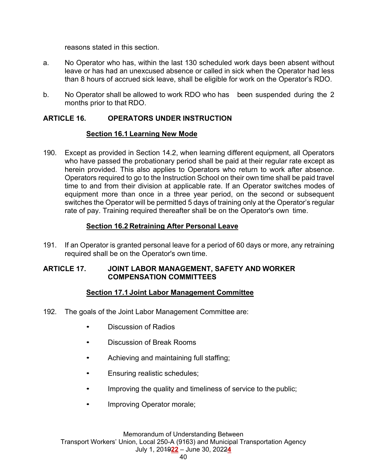reasons stated in this section.

- a. No Operator who has, within the last 130 scheduled work days been absent without leave or has had an unexcused absence or called in sick when the Operator had less than 8 hours of accrued sick leave, shall be eligible for work on the Operator's RDO.
- b. No Operator shall be allowed to work RDO who has been suspended during the 2 months prior to that RDO.

### **ARTICLE 16. OPERATORS UNDER INSTRUCTION**

### **Section 16.1 Learning New Mode**

190. Except as provided in Section 14.2, when learning different equipment, all Operators who have passed the probationary period shall be paid at their regular rate except as herein provided. This also applies to Operators who return to work after absence. Operators required to go to the Instruction School on their own time shall be paid travel time to and from their division at applicable rate. If an Operator switches modes of equipment more than once in a three year period, on the second or subsequent switches the Operator will be permitted 5 days of training only at the Operator's regular rate of pay. Training required thereafter shall be on the Operator's own time.

## **Section 16.2 Retraining After Personal Leave**

191. If an Operator is granted personal leave for a period of 60 days or more, any retraining required shall be on the Operator's own time.

### **ARTICLE 17. JOINT LABOR MANAGEMENT, SAFETY AND WORKER COMPENSATION COMMITTEES**

## **Section 17.1 Joint Labor Management Committee**

- 192. The goals of the Joint Labor Management Committee are:
	- Discussion of Radios
	- Discussion of Break Rooms
	- Achieving and maintaining full staffing;
	- Ensuring realistic schedules;
	- Improving the quality and timeliness of service to the public;
	- Improving Operator morale;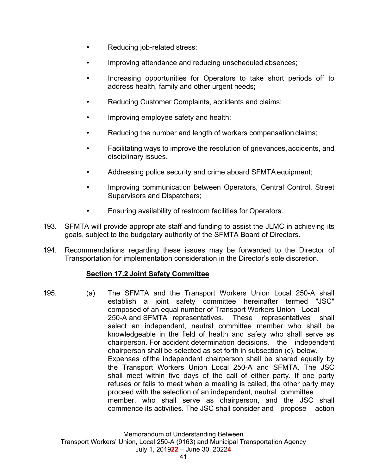- Reducing job-related stress;
- Improving attendance and reducing unscheduled absences;
- Increasing opportunities for Operators to take short periods off to address health, family and other urgent needs;
- Reducing Customer Complaints, accidents and claims;
- Improving employee safety and health;
- Reducing the number and length of workers compensation claims;
- Facilitating ways to improve the resolution of grievances, accidents, and disciplinary issues.
- Addressing police security and crime aboard SFMTA equipment;
- Improving communication between Operators, Central Control, Street Supervisors and Dispatchers;
- Ensuring availability of restroom facilities for Operators.
- 193. SFMTA will provide appropriate staff and funding to assist the JLMC in achieving its goals, subject to the budgetary authority of the SFMTA Board of Directors.
- 194. Recommendations regarding these issues may be forwarded to the Director of Transportation for implementation consideration in the Director's sole discretion.

### **Section 17.2 Joint Safety Committee**

195. (a) The SFMTA and the Transport Workers Union Local 250-A shall establish a joint safety committee hereinafter termed "JSC" composed of an equal number of Transport Workers Union Local 250-A and SFMTA representatives. These representatives shall select an independent, neutral committee member who shall be knowledgeable in the field of health and safety who shall serve as chairperson. For accident determination decisions, the independent chairperson shall be selected as set forth in subsection (c), below. Expenses of the independent chairperson shall be shared equally by the Transport Workers Union Local 250-A and SFMTA. The JSC shall meet within five days of the call of either party. If one party refuses or fails to meet when a meeting is called, the other party may proceed with the selection of an independent, neutral committee member, who shall serve as chairperson, and the JSC shall commence its activities. The JSC shall consider and propose action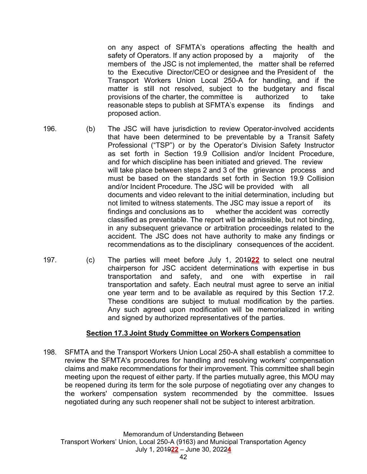on any aspect of SFMTA's operations affecting the health and safety of Operators. If any action proposed by a majority of the members of the JSC is not implemented, the matter shall be referred to the Executive Director/CEO or designee and the President of the Transport Workers Union Local 250-A for handling, and if the matter is still not resolved, subject to the budgetary and fiscal provisions of the charter, the committee is authorized to take reasonable steps to publish at SFMTA's expense its findings and proposed action.

- 
- 196. (b) The JSC will have jurisdiction to review Operator-involved accidents that have been determined to be preventable by a Transit Safety Professional ("TSP") or by the Operator's Division Safety Instructor as set forth in Section 19.9 Collision and/or Incident Procedure, and for which discipline has been initiated and grieved. The review will take place between steps 2 and 3 of the grievance process and must be based on the standards set forth in Section 19.9 Collision and/or Incident Procedure. The JSC will be provided with all documents and video relevant to the initial determination, including but not limited to witness statements. The JSC may issue a report of its findings and conclusions as to whether the accident was correctly classified as preventable. The report will be admissible, but not binding, in any subsequent grievance or arbitration proceedings related to the accident. The JSC does not have authority to make any findings or recommendations as to the disciplinary consequences of the accident.
- 197. (c) The parties will meet before July 1, 2019**22** to select one neutral chairperson for JSC accident determinations with expertise in bus transportation and safety, and one with expertise in rail transportation and safety. Each neutral must agree to serve an initial one year term and to be available as required by this Section 17.2. These conditions are subject to mutual modification by the parties. Any such agreed upon modification will be memorialized in writing and signed by authorized representatives of the parties.

## **Section 17.3 Joint Study Committee on Workers Compensation**

198. SFMTA and the Transport Workers Union Local 250-A shall establish a committee to review the SFMTA's procedures for handling and resolving workers' compensation claims and make recommendations for their improvement. This committee shall begin meeting upon the request of either party. If the parties mutually agree, this MOU may be reopened during its term for the sole purpose of negotiating over any changes to the workers' compensation system recommended by the committee. Issues negotiated during any such reopener shall not be subject to interest arbitration.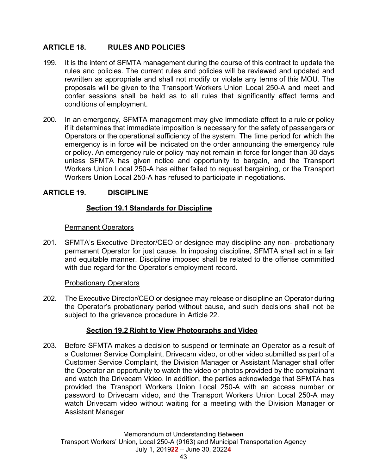## **ARTICLE 18. RULES AND POLICIES**

- 199. It is the intent of SFMTA management during the course of this contract to update the rules and policies. The current rules and policies will be reviewed and updated and rewritten as appropriate and shall not modify or violate any terms of this MOU. The proposals will be given to the Transport Workers Union Local 250-A and meet and confer sessions shall be held as to all rules that significantly affect terms and conditions of employment.
- 200. In an emergency, SFMTA management may give immediate effect to a rule or policy if it determines that immediate imposition is necessary for the safety of passengers or Operators or the operational sufficiency of the system. The time period for which the emergency is in force will be indicated on the order announcing the emergency rule or policy. An emergency rule or policy may not remain in force for longer than 30 days unless SFMTA has given notice and opportunity to bargain, and the Transport Workers Union Local 250-A has either failed to request bargaining, or the Transport Workers Union Local 250-A has refused to participate in negotiations.

# **ARTICLE 19. DISCIPLINE**

## **Section 19.1 Standards for Discipline**

### Permanent Operators

201. SFMTA's Executive Director/CEO or designee may discipline any non- probationary permanent Operator for just cause. In imposing discipline, SFMTA shall act in a fair and equitable manner. Discipline imposed shall be related to the offense committed with due regard for the Operator's employment record.

### **Probationary Operators**

202. The Executive Director/CEO or designee may release or discipline an Operator during the Operator's probationary period without cause, and such decisions shall not be subject to the grievance procedure in Article 22.

## **Section 19.2 Right to View Photographs and Video**

203. Before SFMTA makes a decision to suspend or terminate an Operator as a result of a Customer Service Complaint, Drivecam video, or other video submitted as part of a Customer Service Complaint, the Division Manager or Assistant Manager shall offer the Operator an opportunity to watch the video or photos provided by the complainant and watch the Drivecam Video. In addition, the parties acknowledge that SFMTA has provided the Transport Workers Union Local 250-A with an access number or password to Drivecam video, and the Transport Workers Union Local 250-A may watch Drivecam video without waiting for a meeting with the Division Manager or Assistant Manager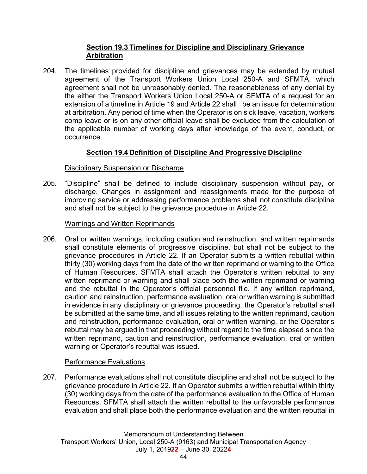## **Section 19.3 Timelines for Discipline and Disciplinary Grievance Arbitration**

204. The timelines provided for discipline and grievances may be extended by mutual agreement of the Transport Workers Union Local 250-A and SFMTA, which agreement shall not be unreasonably denied. The reasonableness of any denial by the either the Transport Workers Union Local 250-A or SFMTA of a request for an extension of a timeline in Article 19 and Article 22 shall be an issue for determination at arbitration. Any period of time when the Operator is on sick leave, vacation, workers comp leave or is on any other official leave shall be excluded from the calculation of the applicable number of working days after knowledge of the event, conduct, or occurrence.

# **Section 19.4 Definition of Discipline And Progressive Discipline**

### Disciplinary Suspension or Discharge

205. "Discipline" shall be defined to include disciplinary suspension without pay, or discharge. Changes in assignment and reassignments made for the purpose of improving service or addressing performance problems shall not constitute discipline and shall not be subject to the grievance procedure in Article 22.

### Warnings and Written Reprimands

206. Oral or written warnings, including caution and reinstruction, and written reprimands shall constitute elements of progressive discipline, but shall not be subject to the grievance procedures in Article 22. If an Operator submits a written rebuttal within thirty (30) working days from the date of the written reprimand or warning to the Office of Human Resources, SFMTA shall attach the Operator's written rebuttal to any written reprimand or warning and shall place both the written reprimand or warning and the rebuttal in the Operator's official personnel file. If any written reprimand, caution and reinstruction, performance evaluation, oral or written warning is submitted in evidence in any disciplinary or grievance proceeding, the Operator's rebuttal shall be submitted at the same time, and all issues relating to the written reprimand, caution and reinstruction, performance evaluation, oral or written warning, or the Operator's rebuttal may be argued in that proceeding without regard to the time elapsed since the written reprimand, caution and reinstruction, performance evaluation, oral or written warning or Operator's rebuttal was issued.

### Performance Evaluations

207. Performance evaluations shall not constitute discipline and shall not be subject to the grievance procedure in Article 22. If an Operator submits a written rebuttal within thirty (30) working days from the date of the performance evaluation to the Office of Human Resources, SFMTA shall attach the written rebuttal to the unfavorable performance evaluation and shall place both the performance evaluation and the written rebuttal in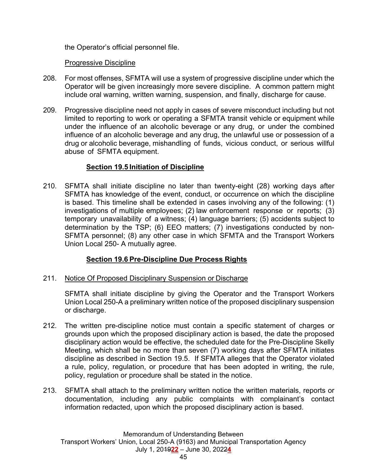the Operator's official personnel file.

### Progressive Discipline

- 208. For most offenses, SFMTA will use a system of progressive discipline under which the Operator will be given increasingly more severe discipline. A common pattern might include oral warning, written warning, suspension, and finally, discharge for cause.
- 209. Progressive discipline need not apply in cases of severe misconduct including but not limited to reporting to work or operating a SFMTA transit vehicle or equipment while under the influence of an alcoholic beverage or any drug, or under the combined influence of an alcoholic beverage and any drug, the unlawful use or possession of a drug or alcoholic beverage, mishandling of funds, vicious conduct, or serious willful abuse of SFMTA equipment.

## **Section 19.5 Initiation of Discipline**

210. SFMTA shall initiate discipline no later than twenty-eight (28) working days after SFMTA has knowledge of the event, conduct, or occurrence on which the discipline is based. This timeline shall be extended in cases involving any of the following: (1) investigations of multiple employees; (2) law enforcement response or reports; (3) temporary unavailability of a witness; (4) language barriers; (5) accidents subject to determination by the TSP; (6) EEO matters; (7) investigations conducted by non-SFMTA personnel; (8) any other case in which SFMTA and the Transport Workers Union Local 250- A mutually agree.

# **Section 19.6 Pre-Discipline Due Process Rights**

211. Notice Of Proposed Disciplinary Suspension or Discharge

 SFMTA shall initiate discipline by giving the Operator and the Transport Workers Union Local 250-A a preliminary written notice of the proposed disciplinary suspension or discharge.

- 212. The written pre-discipline notice must contain a specific statement of charges or grounds upon which the proposed disciplinary action is based, the date the proposed disciplinary action would be effective, the scheduled date for the Pre-Discipline Skelly Meeting, which shall be no more than seven (7) working days after SFMTA initiates discipline as described in Section 19.5. If SFMTA alleges that the Operator violated a rule, policy, regulation, or procedure that has been adopted in writing, the rule, policy, regulation or procedure shall be stated in the notice.
- 213. SFMTA shall attach to the preliminary written notice the written materials, reports or documentation, including any public complaints with complainant's contact information redacted, upon which the proposed disciplinary action is based.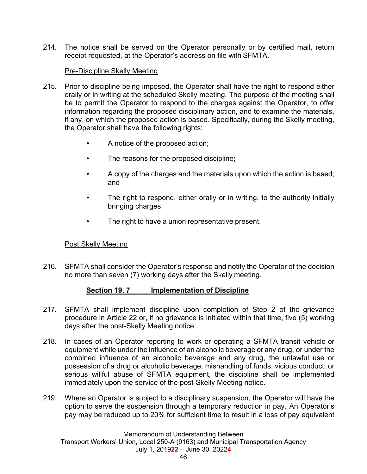214. The notice shall be served on the Operator personally or by certified mail, return receipt requested, at the Operator's address on file with SFMTA.

### Pre-Discipline Skelly Meeting

- 215. Prior to discipline being imposed, the Operator shall have the right to respond either orally or in writing at the scheduled Skelly meeting. The purpose of the meeting shall be to permit the Operator to respond to the charges against the Operator, to offer information regarding the proposed disciplinary action, and to examine the materials, if any, on which the proposed action is based. Specifically, during the Skelly meeting, the Operator shall have the following rights:
	- A notice of the proposed action;
	- The reasons for the proposed discipline;
	- A copy of the charges and the materials upon which the action is based; and
	- The right to respond, either orally or in writing, to the authority initially bringing charges.
	- The right to have a union representative present.

## Post Skelly Meeting

216. SFMTA shall consider the Operator's response and notify the Operator of the decision no more than seven (7) working days after the Skelly meeting.

### **Section 19. 7 Implementation of Discipline**

- 217. SFMTA shall implement discipline upon completion of Step 2 of the grievance procedure in Article 22 or, if no grievance is initiated within that time, five (5) working days after the post-Skelly Meeting notice.
- 218. In cases of an Operator reporting to work or operating a SFMTA transit vehicle or equipment while under the influence of an alcoholic beverage or any drug, or under the combined influence of an alcoholic beverage and any drug, the unlawful use or possession of a drug or alcoholic beverage, mishandling of funds, vicious conduct, or serious willful abuse of SFMTA equipment, the discipline shall be implemented immediately upon the service of the post-Skelly Meeting notice.
- 219. Where an Operator is subject to a disciplinary suspension, the Operator will have the option to serve the suspension through a temporary reduction in pay. An Operator's pay may be reduced up to 20% for sufficient time to result in a loss of pay equivalent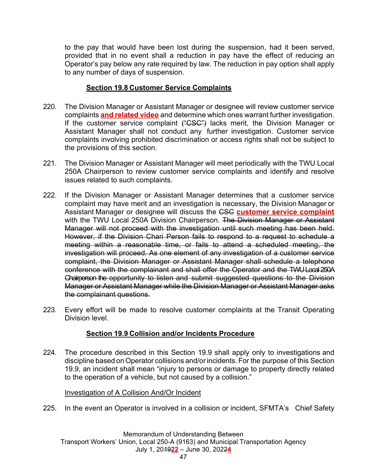to the pay that would have been lost during the suspension, had it been served, provided that in no event shall a reduction in pay have the effect of reducing an Operator's pay below any rate required by law. The reduction in pay option shall apply to any number of days of suspension.

### **Section 19.8 Customer Service Complaints**

- 220. The Division Manager or Assistant Manager or designee will review customer service complaints **and related video** and determine which ones warrant further investigation. If the customer service complaint ("CSC") lacks merit, the Division Manager or Assistant Manager shall not conduct any further investigation. Customer service complaints involving prohibited discrimination or access rights shall not be subject to the provisions of this section.
- 221. The Division Manager or Assistant Manager will meet periodically with the TWU Local 250A Chairperson to review customer service complaints and identify and resolve issues related to such complaints.
- 222. If the Division Manager or Assistant Manager determines that a customer service complaint may have merit and an investigation is necessary, the Division Manager or Assistant Manager or designee will discuss the CSC **customer service complaint** with the TWU Local 250A Division Chairperson. The Division Manager or Assistant Manager will not proceed with the investigation until such meeting has been held. However, if the Division Chari Person fails to respond to a request to schedule a meeting within a reasonable time, or fails to attend a scheduled meeting, the investigation will proceed. As one element of any investigation of a customer service complaint, the Division Manager or Assistant Manager shall schedule a telephone conference with the complainant and shall offer the Operator and the TWU Local 250A Chairperson the opportunity to listen and submit suggested questions to the Division Manager or Assistant Manager while the Division Manager or Assistant Manager asks the complainant questions.
- 223. Every effort will be made to resolve customer complaints at the Transit Operating Division level.

## **Section 19.9 Collision and/or Incidents Procedure**

224. The procedure described in this Section 19.9 shall apply only to investigations and discipline based on Operator collisions and/or incidents. For the purpose of this Section 19.9, an incident shall mean "injury to persons or damage to property directly related to the operation of a vehicle, but not caused by a collision."

### Investigation of A Collision And/Or Incident

225. In the event an Operator is involved in a collision or incident, SFMTA's Chief Safety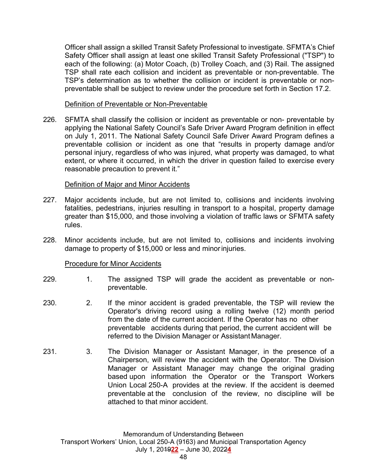Officer shall assign a skilled Transit Safety Professional to investigate. SFMTA's Chief Safety Officer shall assign at least one skilled Transit Safety Professional ("TSP") to each of the following: (a) Motor Coach, (b) Trolley Coach, and (3) Rail. The assigned TSP shall rate each collision and incident as preventable or non-preventable. The TSP's determination as to whether the collision or incident is preventable or nonpreventable shall be subject to review under the procedure set forth in Section 17.2.

Definition of Preventable or Non-Preventable

226. SFMTA shall classify the collision or incident as preventable or non- preventable by applying the National Safety Council's Safe Driver Award Program definition in effect on July 1, 2011. The National Safety Council Safe Driver Award Program defines a preventable collision or incident as one that "results in property damage and/or personal injury, regardless of who was injured, what property was damaged, to what extent, or where it occurred, in which the driver in question failed to exercise every reasonable precaution to prevent it."

### Definition of Major and Minor Accidents

- 227. Major accidents include, but are not limited to, collisions and incidents involving fatalities, pedestrians, injuries resulting in transport to a hospital, property damage greater than \$15,000, and those involving a violation of traffic laws or SFMTA safety rules.
- 228. Minor accidents include, but are not limited to, collisions and incidents involving damage to property of \$15,000 or less and minor injuries.

## Procedure for Minor Accidents

- 229. 1. The assigned TSP will grade the accident as preventable or nonpreventable.
- 230. 2. If the minor accident is graded preventable, the TSP will review the Operator's driving record using a rolling twelve (12) month period from the date of the current accident. If the Operator has no other preventable accidents during that period, the current accident will be referred to the Division Manager or Assistant Manager.
- 231. 3. The Division Manager or Assistant Manager, in the presence of a Chairperson, will review the accident with the Operator. The Division Manager or Assistant Manager may change the original grading based upon information the Operator or the Transport Workers Union Local 250-A provides at the review. If the accident is deemed preventable at the conclusion of the review, no discipline will be attached to that minor accident.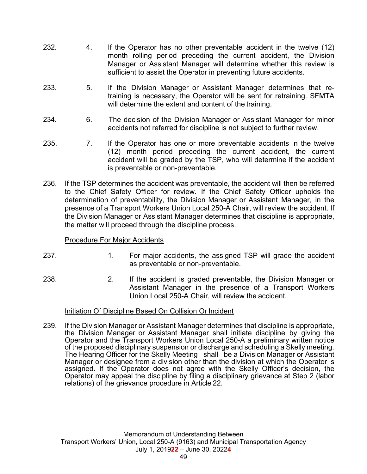- 232. 4. If the Operator has no other preventable accident in the twelve (12) month rolling period preceding the current accident, the Division Manager or Assistant Manager will determine whether this review is sufficient to assist the Operator in preventing future accidents.
- 233. 5. If the Division Manager or Assistant Manager determines that re training is necessary, the Operator will be sent for retraining. SFMTA will determine the extent and content of the training.
- 234. 6. The decision of the Division Manager or Assistant Manager for minor accidents not referred for discipline is not subject to further review.
- 235. 7. If the Operator has one or more preventable accidents in the twelve (12) month period preceding the current accident, the current accident will be graded by the TSP, who will determine if the accident is preventable or non-preventable.
- 236. If the TSP determines the accident was preventable, the accident will then be referred to the Chief Safety Officer for review. If the Chief Safety Officer upholds the determination of preventability, the Division Manager or Assistant Manager, in the presence of a Transport Workers Union Local 250-A Chair, will review the accident. If the Division Manager or Assistant Manager determines that discipline is appropriate, the matter will proceed through the discipline process.

### Procedure For Major Accidents

- 237. 1. For major accidents, the assigned TSP will grade the accident as preventable or non-preventable.
- 238. 2. If the accident is graded preventable, the Division Manager or Assistant Manager in the presence of a Transport Workers Union Local 250-A Chair, will review the accident.

### Initiation Of Discipline Based On Collision Or Incident

239. If the Division Manager or Assistant Manager determines that discipline is appropriate, the Division Manager or Assistant Manager shall initiate discipline by giving the Operator and the Transport Workers Union Local 250-A a preliminary written notice of the proposed disciplinary suspension or discharge and scheduling a Skelly meeting. The Hearing Officer for the Skelly Meeting shall be a Division Manager or Assistant Manager or designee from a division other than the division at which the Operator is assigned. If the Operator does not agree with the Skelly Officer's decision, the Operator may appeal the discipline by filing a disciplinary grievance at Step 2 (labor relations) of the grievance procedure in Article 22.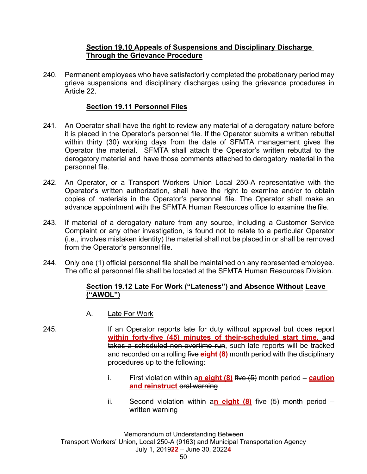### **Section 19.10 Appeals of Suspensions and Disciplinary Discharge Through the Grievance Procedure**

240. Permanent employees who have satisfactorily completed the probationary period may grieve suspensions and disciplinary discharges using the grievance procedures in Article 22.

### **Section 19.11 Personnel Files**

- 241. An Operator shall have the right to review any material of a derogatory nature before it is placed in the Operator's personnel file. If the Operator submits a written rebuttal within thirty (30) working days from the date of SFMTA management gives the Operator the material. SFMTA shall attach the Operator's written rebuttal to the derogatory material and have those comments attached to derogatory material in the personnel file.
- 242. An Operator, or a Transport Workers Union Local 250-A representative with the Operator's written authorization, shall have the right to examine and/or to obtain copies of materials in the Operator's personnel file. The Operator shall make an advance appointment with the SFMTA Human Resources office to examine the file.
- 243. If material of a derogatory nature from any source, including a Customer Service Complaint or any other investigation, is found not to relate to a particular Operator (i.e., involves mistaken identity) the material shall not be placed in or shall be removed from the Operator's personnel file.
- 244. Only one (1) official personnel file shall be maintained on any represented employee. The official personnel file shall be located at the SFMTA Human Resources Division.

### **Section 19.12 Late For Work ("Lateness") and Absence Without Leave ("AWOL")**

- A. Late For Work
- 245. **If an Operator reports late for duty without approval but does report within forty-five (45) minutes of their-scheduled start time,** and takes a scheduled non-overtime run, such late reports will be tracked and recorded on a rolling five **eight (8)** month period with the disciplinary procedures up to the following:
	- i. First violation within a**n eight (8)** five (5) month period **caution and reinstruct** oral warning
	- ii. Second violation within a**n eight (8)** five (5) month period written warning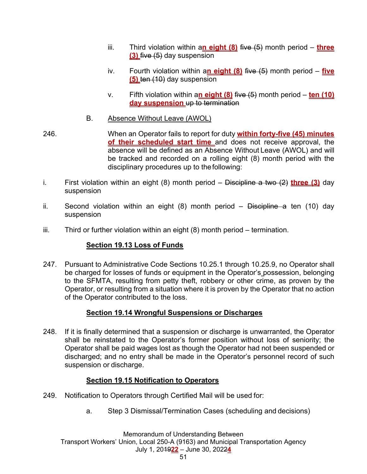- iii. Third violation within a**n eight (8)** five (5) month period **three (3)** five (5) day suspension
- iv. Fourth violation within a**n eight (8)** five (5) month period **five (5)** ten (10) day suspension
- v. Fifth violation within a**n eight (8)** five (5) month period **ten (10) day suspension** up to termination
- B. Absence Without Leave (AWOL)
- 246. When an Operator fails to report for duty **within forty-five (45) minutes of their scheduled start time** and does not receive approval, the absence will be defined as an Absence Without Leave (AWOL) and will be tracked and recorded on a rolling eight (8) month period with the disciplinary procedures up to the following:
- i. First violation within an eight (8) month period Discipline a two (2) **three (3)** day suspension
- ii. Second violation within an eight (8) month period Discipline a ten (10) day suspension
- iii. Third or further violation within an eight (8) month period termination.

## **Section 19.13 Loss of Funds**

247. Pursuant to Administrative Code Sections 10.25.1 through 10.25.9, no Operator shall be charged for losses of funds or equipment in the Operator's possession, belonging to the SFMTA, resulting from petty theft, robbery or other crime, as proven by the Operator, or resulting from a situation where it is proven by the Operator that no action of the Operator contributed to the loss.

# **Section 19.14 Wrongful Suspensions or Discharges**

248. If it is finally determined that a suspension or discharge is unwarranted, the Operator shall be reinstated to the Operator's former position without loss of seniority; the Operator shall be paid wages lost as though the Operator had not been suspended or discharged; and no entry shall be made in the Operator's personnel record of such suspension or discharge.

## **Section 19.15 Notification to Operators**

- 249. Notification to Operators through Certified Mail will be used for:
	- a. Step 3 Dismissal/Termination Cases (scheduling and decisions)

Memorandum of Understanding Between Transport Workers' Union, Local 250-A (9163) and Municipal Transportation Agency July 1, 2019**22** – June 30, 2022**4**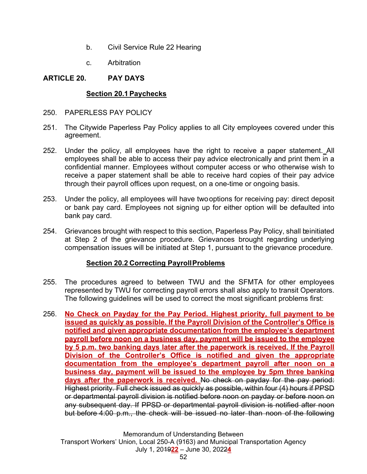- b. Civil Service Rule 22 Hearing
- c. Arbitration

## **ARTICLE 20. PAY DAYS**

## **Section 20.1 Paychecks**

- 250. PAPERLESS PAY POLICY
- 251. The Citywide Paperless Pay Policy applies to all City employees covered under this agreement.
- 252. Under the policy, all employees have the right to receive a paper statement. All employees shall be able to access their pay advice electronically and print them in a confidential manner. Employees without computer access or who otherwise wish to receive a paper statement shall be able to receive hard copies of their pay advice through their payroll offices upon request, on a one-time or ongoing basis.
- 253. Under the policy, all employees will have two options for receiving pay: direct deposit or bank pay card. Employees not signing up for either option will be defaulted into bank pay card.
- 254. Grievances brought with respect to this section, Paperless Pay Policy, shall be initiated at Step 2 of the grievance procedure. Grievances brought regarding underlying compensation issues will be initiated at Step 1, pursuant to the grievance procedure.

## **Section 20.2 Correcting Payroll Problems**

- 255. The procedures agreed to between TWU and the SFMTA for other employees represented by TWU for correcting payroll errors shall also apply to transit Operators. The following guidelines will be used to correct the most significant problems first:
- 256. **No Check on Payday for the Pay Period. Highest priority, full payment to be issued as quickly as possible. If the Payroll Division of the Controller's Office is notified and given appropriate documentation from the employee's department payroll before noon on a business day, payment will be issued to the employee by 5 p.m. two banking days later after the paperwork is received. If the Payroll Division of the Controller's Office is notified and given the appropriate documentation from the employee's department payroll after noon on a business day, payment will be issued to the employee by 5pm three banking days after the paperwork is received.** No check on payday for the pay period: Highest priority. Full check issued as quickly as possible, within four (4) hours if PPSD or departmental payroll division is notified before noon on payday or before noon on any subsequent day. If PPSD or departmental payroll division is notified after noon but before 4:00 p.m., the check will be issued no later than noon of the following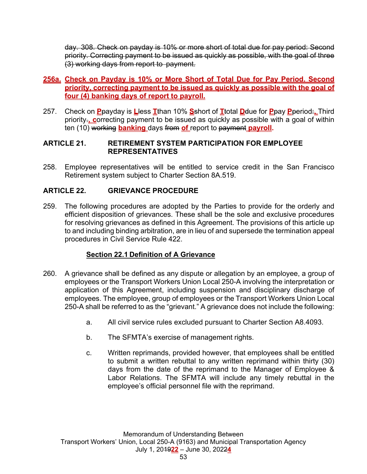day. 308. Check on payday is 10% or more short of total due for pay period: Second priority. Correcting payment to be issued as quickly as possible, with the goal of three (3) working days from report to payment.

### **256a. Check on Payday is 10% or More Short of Total Due for Pay Period. Second priority, correcting payment to be issued as quickly as possible with the goal of four (4) banking days of report to payroll.**

257. Check on **P**payday is **L**less **T**than 10% **S**short of **T**total **D**due for **P**pay **P**period:**.** Third priority.**, c**orrecting payment to be issued as quickly as possible with a goal of within ten (10) working **banking** days from **of** report to payment **payroll.**

### **ARTICLE 21. RETIREMENT SYSTEM PARTICIPATION FOR EMPLOYEE REPRESENTATIVES**

258. Employee representatives will be entitled to service credit in the San Francisco Retirement system subject to Charter Section 8A.519.

## **ARTICLE 22. GRIEVANCE PROCEDURE**

259. The following procedures are adopted by the Parties to provide for the orderly and efficient disposition of grievances. These shall be the sole and exclusive procedures for resolving grievances as defined in this Agreement. The provisions of this article up to and including binding arbitration, are in lieu of and supersede the termination appeal procedures in Civil Service Rule 422.

## **Section 22.1 Definition of A Grievance**

- 260. A grievance shall be defined as any dispute or allegation by an employee, a group of employees or the Transport Workers Union Local 250-A involving the interpretation or application of this Agreement, including suspension and disciplinary discharge of employees. The employee, group of employees or the Transport Workers Union Local 250-A shall be referred to as the "grievant." A grievance does not include the following:
	- a. All civil service rules excluded pursuant to Charter Section A8.4093.
	- b. The SFMTA's exercise of management rights.
	- c. Written reprimands, provided however, that employees shall be entitled to submit a written rebuttal to any written reprimand within thirty (30) days from the date of the reprimand to the Manager of Employee & Labor Relations. The SFMTA will include any timely rebuttal in the employee's official personnel file with the reprimand.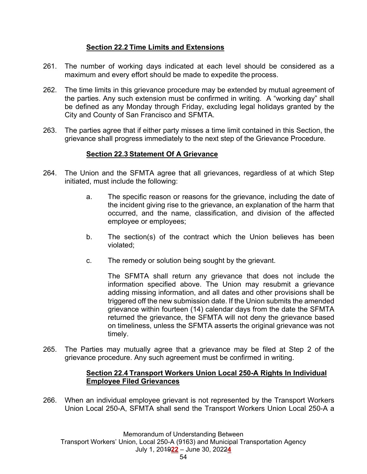## **Section 22.2 Time Limits and Extensions**

- 261. The number of working days indicated at each level should be considered as a maximum and every effort should be made to expedite the process.
- 262. The time limits in this grievance procedure may be extended by mutual agreement of the parties. Any such extension must be confirmed in writing. A "working day" shall be defined as any Monday through Friday, excluding legal holidays granted by the City and County of San Francisco and SFMTA.
- 263. The parties agree that if either party misses a time limit contained in this Section, the grievance shall progress immediately to the next step of the Grievance Procedure.

# **Section 22.3 Statement Of A Grievance**

- 264. The Union and the SFMTA agree that all grievances, regardless of at which Step initiated, must include the following:
	- a. The specific reason or reasons for the grievance, including the date of the incident giving rise to the grievance, an explanation of the harm that occurred, and the name, classification, and division of the affected employee or employees;
	- b. The section(s) of the contract which the Union believes has been violated;
	- c. The remedy or solution being sought by the grievant.

 The SFMTA shall return any grievance that does not include the information specified above. The Union may resubmit a grievance adding missing information, and all dates and other provisions shall be triggered off the new submission date. If the Union submits the amended grievance within fourteen (14) calendar days from the date the SFMTA returned the grievance, the SFMTA will not deny the grievance based on timeliness, unless the SFMTA asserts the original grievance was not timely.

265. The Parties may mutually agree that a grievance may be filed at Step 2 of the grievance procedure. Any such agreement must be confirmed in writing.

### **Section 22.4 Transport Workers Union Local 250-A Rights In Individual Employee Filed Grievances**

266. When an individual employee grievant is not represented by the Transport Workers Union Local 250-A, SFMTA shall send the Transport Workers Union Local 250-A a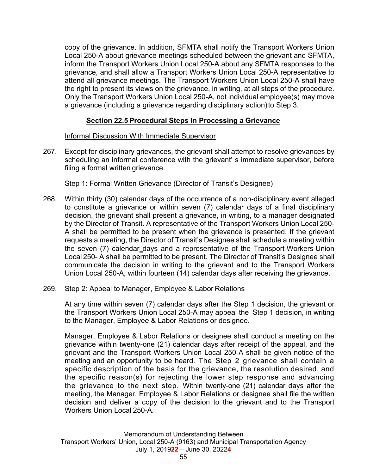copy of the grievance. In addition, SFMTA shall notify the Transport Workers Union Local 250-A about grievance meetings scheduled between the grievant and SFMTA, inform the Transport Workers Union Local 250-A about any SFMTA responses to the grievance, and shall allow a Transport Workers Union Local 250-A representative to attend all grievance meetings. The Transport Workers Union Local 250-A shall have the right to present its views on the grievance, in writing, at all steps of the procedure. Only the Transport Workers Union Local 250-A, not individual employee(s) may move a grievance (including a grievance regarding disciplinary action) to Step 3.

### **Section 22.5 Procedural Steps In Processing a Grievance**

### Informal Discussion With Immediate Supervisor

267. Except for disciplinary grievances, the grievant shall attempt to resolve grievances by scheduling an informal conference with the grievant' s immediate supervisor, before filing a formal written grievance.

### Step 1: Formal Written Grievance (Director of Transit's Designee)

268. Within thirty (30) calendar days of the occurrence of a non-disciplinary event alleged to constitute a grievance or within seven (7) calendar days of a final disciplinary decision, the grievant shall present a grievance, in writing, to a manager designated by the Director of Transit. A representative of the Transport Workers Union Local 250- A shall be permitted to be present when the grievance is presented. If the grievant requests a meeting, the Director of Transit's Designee shall schedule a meeting within the seven (7) calendar days and a representative of the Transport Workers Union Local 250- A shall be permitted to be present. The Director of Transit's Designee shall communicate the decision in writing to the grievant and to the Transport Workers Union Local 250-A, within fourteen (14) calendar days after receiving the grievance.

### 269. Step 2: Appeal to Manager, Employee & Labor Relations

 At any time within seven (7) calendar days after the Step 1 decision, the grievant or the Transport Workers Union Local 250-A may appeal the Step 1 decision, in writing to the Manager, Employee & Labor Relations or designee.

 Manager, Employee & Labor Relations or designee shall conduct a meeting on the grievance within twenty-one (21) calendar days after receipt of the appeal, and the grievant and the Transport Workers Union Local 250-A shall be given notice of the meeting and an opportunity to be heard. The Step 2 grievance shall contain a specific description of the basis for the grievance, the resolution desired, and the specific reason(s) for rejecting the lower step response and advancing the grievance to the next step. Within twenty-one (21) calendar days after the meeting, the Manager, Employee & Labor Relations or designee shall file the written decision and deliver a copy of the decision to the grievant and to the Transport Workers Union Local 250-A.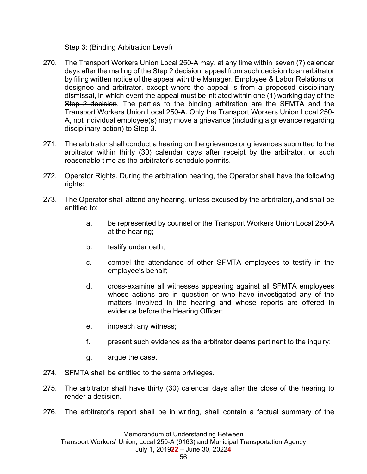### Step 3: (Binding Arbitration Level)

- 270. The Transport Workers Union Local 250-A may, at any time within seven (7) calendar days after the mailing of the Step 2 decision, appeal from such decision to an arbitrator by filing written notice of the appeal with the Manager, Employee & Labor Relations or designee and arbitrator, except where the appeal is from a proposed disciplinary dismissal, in which event the appeal must be initiated within one (1) working day of the Step 2 decision. The parties to the binding arbitration are the SFMTA and the Transport Workers Union Local 250-A. Only the Transport Workers Union Local 250- A, not individual employee(s) may move a grievance (including a grievance regarding disciplinary action) to Step 3.
- 271. The arbitrator shall conduct a hearing on the grievance or grievances submitted to the arbitrator within thirty (30) calendar days after receipt by the arbitrator, or such reasonable time as the arbitrator's schedule permits.
- 272. Operator Rights. During the arbitration hearing, the Operator shall have the following rights:
- 273. The Operator shall attend any hearing, unless excused by the arbitrator), and shall be entitled to:
	- a. be represented by counsel or the Transport Workers Union Local 250-A at the hearing;
	- b. testify under oath;
	- c. compel the attendance of other SFMTA employees to testify in the employee's behalf;
	- d. cross-examine all witnesses appearing against all SFMTA employees whose actions are in question or who have investigated any of the matters involved in the hearing and whose reports are offered in evidence before the Hearing Officer;
	- e. impeach any witness;
	- f. present such evidence as the arbitrator deems pertinent to the inquiry;
	- g. argue the case.
- 274. SFMTA shall be entitled to the same privileges.
- 275. The arbitrator shall have thirty (30) calendar days after the close of the hearing to render a decision.
- 276. The arbitrator's report shall be in writing, shall contain a factual summary of the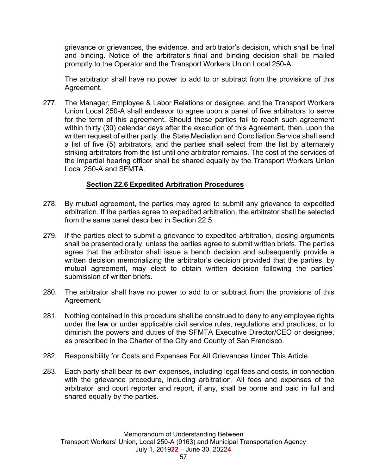grievance or grievances, the evidence, and arbitrator's decision, which shall be final and binding. Notice of the arbitrator's final and binding decision shall be mailed promptly to the Operator and the Transport Workers Union Local 250-A.

 The arbitrator shall have no power to add to or subtract from the provisions of this Agreement.

277. The Manager, Employee & Labor Relations or designee, and the Transport Workers Union Local 250-A shall endeavor to agree upon a panel of five arbitrators to serve for the term of this agreement. Should these parties fail to reach such agreement within thirty (30) calendar days after the execution of this Agreement, then, upon the written request of either party, the State Mediation and Conciliation Service shall send a list of five (5) arbitrators, and the parties shall select from the list by alternately striking arbitrators from the list until one arbitrator remains. The cost of the services of the impartial hearing officer shall be shared equally by the Transport Workers Union Local 250-A and SFMTA.

### **Section 22.6 Expedited Arbitration Procedures**

- 278. By mutual agreement, the parties may agree to submit any grievance to expedited arbitration. If the parties agree to expedited arbitration, the arbitrator shall be selected from the same panel described in Section 22.5.
- 279. If the parties elect to submit a grievance to expedited arbitration, closing arguments shall be presented orally, unless the parties agree to submit written briefs. The parties agree that the arbitrator shall issue a bench decision and subsequently provide a written decision memorializing the arbitrator's decision provided that the parties, by mutual agreement, may elect to obtain written decision following the parties' submission of written briefs.
- 280. The arbitrator shall have no power to add to or subtract from the provisions of this Agreement.
- 281. Nothing contained in this procedure shall be construed to deny to any employee rights under the law or under applicable civil service rules, regulations and practices, or to diminish the powers and duties of the SFMTA Executive Director/CEO or designee, as prescribed in the Charter of the City and County of San Francisco.
- 282. Responsibility for Costs and Expenses For All Grievances Under This Article
- 283. Each party shall bear its own expenses, including legal fees and costs, in connection with the grievance procedure, including arbitration. All fees and expenses of the arbitrator and court reporter and report, if any, shall be borne and paid in full and shared equally by the parties.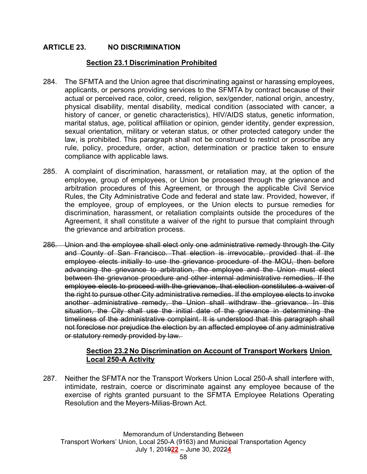### **ARTICLE 23. NO DISCRIMINATION**

### **Section 23.1 Discrimination Prohibited**

- 284. The SFMTA and the Union agree that discriminating against or harassing employees, applicants, or persons providing services to the SFMTA by contract because of their actual or perceived race, color, creed, religion, sex/gender, national origin, ancestry, physical disability, mental disability, medical condition (associated with cancer, a history of cancer, or genetic characteristics), HIV/AIDS status, genetic information, marital status, age, political affiliation or opinion, gender identity, gender expression, sexual orientation, military or veteran status, or other protected category under the law, is prohibited. This paragraph shall not be construed to restrict or proscribe any rule, policy, procedure, order, action, determination or practice taken to ensure compliance with applicable laws.
- 285. A complaint of discrimination, harassment, or retaliation may, at the option of the employee, group of employees, or Union be processed through the grievance and arbitration procedures of this Agreement, or through the applicable Civil Service Rules, the City Administrative Code and federal and state law. Provided, however, if the employee, group of employees, or the Union elects to pursue remedies for discrimination, harassment, or retaliation complaints outside the procedures of the Agreement, it shall constitute a waiver of the right to pursue that complaint through the grievance and arbitration process.
- 286. Union and the employee shall elect only one administrative remedy through the City and County of San Francisco. That election is irrevocable, provided that if the employee elects initially to use the grievance procedure of the MOU, then before advancing the grievance to arbitration, the employee and the Union must elect between the grievance procedure and other internal administrative remedies. If the employee elects to proceed with the grievance, that election constitutes a waiver of the right to pursue other City administrative remedies. If the employee elects to invoke another administrative remedy, the Union shall withdraw the grievance. In this situation, the City shall use the initial date of the grievance in determining the timeliness of the administrative complaint. It is understood that this paragraph shall not foreclose nor prejudice the election by an affected employee of any administrative or statutory remedy provided by law.

#### **Section 23.2 No Discrimination on Account of Transport Workers Union Local 250-A Activity**

287. Neither the SFMTA nor the Transport Workers Union Local 250-A shall interfere with, intimidate, restrain, coerce or discriminate against any employee because of the exercise of rights granted pursuant to the SFMTA Employee Relations Operating Resolution and the Meyers-Milias-Brown Act.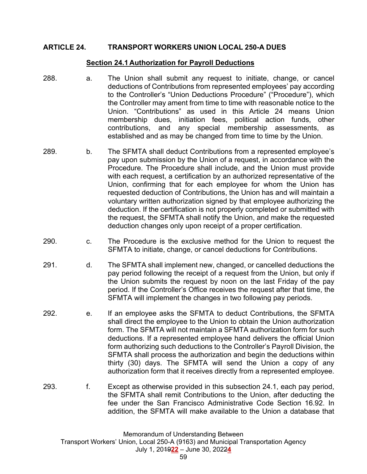#### **ARTICLE 24. TRANSPORT WORKERS UNION LOCAL 250-A DUES**

#### **Section 24.1 Authorization for Payroll Deductions**

- 288. a. The Union shall submit any request to initiate, change, or cancel deductions of Contributions from represented employees' pay according to the Controller's "Union Deductions Procedure" ("Procedure"), which the Controller may ament from time to time with reasonable notice to the Union. "Contributions" as used in this Article 24 means Union membership dues, initiation fees, political action funds, other contributions, and any special membership assessments, as established and as may be changed from time to time by the Union.
- 289. b. The SFMTA shall deduct Contributions from a represented employee's pay upon submission by the Union of a request, in accordance with the Procedure. The Procedure shall include, and the Union must provide with each request, a certification by an authorized representative of the Union, confirming that for each employee for whom the Union has requested deduction of Contributions, the Union has and will maintain a voluntary written authorization signed by that employee authorizing the deduction. If the certification is not properly completed or submitted with the request, the SFMTA shall notify the Union, and make the requested deduction changes only upon receipt of a proper certification.
- 290. c. The Procedure is the exclusive method for the Union to request the SFMTA to initiate, change, or cancel deductions for Contributions.
- 291. d. The SFMTA shall implement new, changed, or cancelled deductions the pay period following the receipt of a request from the Union, but only if the Union submits the request by noon on the last Friday of the pay period. If the Controller's Office receives the request after that time, the SFMTA will implement the changes in two following pay periods.
- 292. e. If an employee asks the SFMTA to deduct Contributions, the SFMTA shall direct the employee to the Union to obtain the Union authorization form. The SFMTA will not maintain a SFMTA authorization form for such deductions. If a represented employee hand delivers the official Union form authorizing such deductions to the Controller's Payroll Division, the SFMTA shall process the authorization and begin the deductions within thirty (30) days. The SFMTA will send the Union a copy of any authorization form that it receives directly from a represented employee.
- 293. f. Except as otherwise provided in this subsection 24.1, each pay period, the SFMTA shall remit Contributions to the Union, after deducting the fee under the San Francisco Administrative Code Section 16.92. In addition, the SFMTA will make available to the Union a database that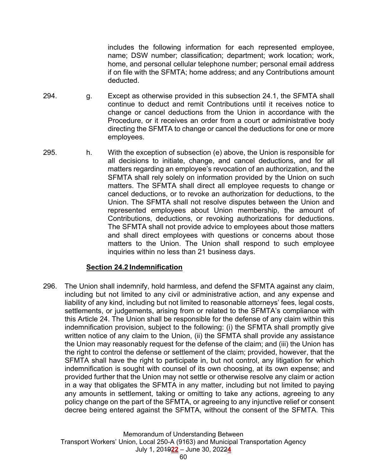includes the following information for each represented employee, name; DSW number; classification; department; work location; work, home, and personal cellular telephone number; personal email address if on file with the SFMTA; home address; and any Contributions amount deducted.

- 294. g. Except as otherwise provided in this subsection 24.1, the SFMTA shall continue to deduct and remit Contributions until it receives notice to change or cancel deductions from the Union in accordance with the Procedure, or it receives an order from a court or administrative body directing the SFMTA to change or cancel the deductions for one or more employees.
- 295. h. With the exception of subsection (e) above, the Union is responsible for all decisions to initiate, change, and cancel deductions, and for all matters regarding an employee's revocation of an authorization, and the SFMTA shall rely solely on information provided by the Union on such matters. The SFMTA shall direct all employee requests to change or cancel deductions, or to revoke an authorization for deductions, to the Union. The SFMTA shall not resolve disputes between the Union and represented employees about Union membership, the amount of Contributions, deductions, or revoking authorizations for deductions. The SFMTA shall not provide advice to employees about those matters and shall direct employees with questions or concerns about those matters to the Union. The Union shall respond to such employee inquiries within no less than 21 business days.

### **Section 24.2 Indemnification**

296. The Union shall indemnify, hold harmless, and defend the SFMTA against any claim, including but not limited to any civil or administrative action, and any expense and liability of any kind, including but not limited to reasonable attorneys' fees, legal costs, settlements, or judgements, arising from or related to the SFMTA's compliance with this Article 24. The Union shall be responsible for the defense of any claim within this indemnification provision, subject to the following: (i) the SFMTA shall promptly give written notice of any claim to the Union, (ii) the SFMTA shall provide any assistance the Union may reasonably request for the defense of the claim; and (iii) the Union has the right to control the defense or settlement of the claim; provided, however, that the SFMTA shall have the right to participate in, but not control, any litigation for which indemnification is sought with counsel of its own choosing, at its own expense; and provided further that the Union may not settle or otherwise resolve any claim or action in a way that obligates the SFMTA in any matter, including but not limited to paying any amounts in settlement, taking or omitting to take any actions, agreeing to any policy change on the part of the SFMTA, or agreeing to any injunctive relief or consent decree being entered against the SFMTA, without the consent of the SFMTA. This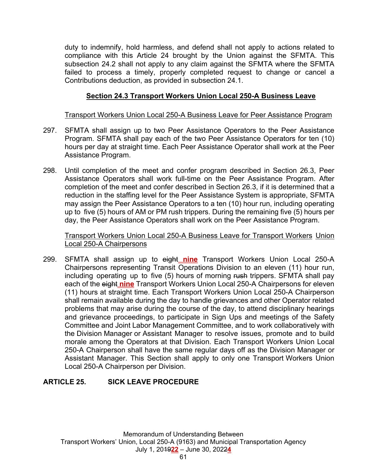duty to indemnify, hold harmless, and defend shall not apply to actions related to compliance with this Article 24 brought by the Union against the SFMTA. This subsection 24.2 shall not apply to any claim against the SFMTA where the SFMTA failed to process a timely, properly completed request to change or cancel a Contributions deduction, as provided in subsection 24.1.

# **Section 24.3 Transport Workers Union Local 250-A Business Leave**

### Transport Workers Union Local 250-A Business Leave for Peer Assistance Program

- 297. SFMTA shall assign up to two Peer Assistance Operators to the Peer Assistance Program. SFMTA shall pay each of the two Peer Assistance Operators for ten (10) hours per day at straight time. Each Peer Assistance Operator shall work at the Peer Assistance Program.
- 298. Until completion of the meet and confer program described in Section 26.3, Peer Assistance Operators shall work full-time on the Peer Assistance Program. After completion of the meet and confer described in Section 26.3, if it is determined that a reduction in the staffing level for the Peer Assistance System is appropriate, SFMTA may assign the Peer Assistance Operators to a ten (10) hour run, including operating up to five (5) hours of AM or PM rush trippers. During the remaining five (5) hours per day, the Peer Assistance Operators shall work on the Peer Assistance Program.

Transport Workers Union Local 250-A Business Leave for Transport Workers Union Local 250-A Chairpersons

299. SFMTA shall assign up to eight **nine** Transport Workers Union Local 250-A Chairpersons representing Transit Operations Division to an eleven (11) hour run, including operating up to five (5) hours of morning rush trippers. SFMTA shall pay each of the eight **nine** Transport Workers Union Local 250-A Chairpersons for eleven (11) hours at straight time. Each Transport Workers Union Local 250-A Chairperson shall remain available during the day to handle grievances and other Operator related problems that may arise during the course of the day, to attend disciplinary hearings and grievance proceedings, to participate in Sign Ups and meetings of the Safety Committee and Joint Labor Management Committee, and to work collaboratively with the Division Manager or Assistant Manager to resolve issues, promote and to build morale among the Operators at that Division. Each Transport Workers Union Local 250-A Chairperson shall have the same regular days off as the Division Manager or Assistant Manager. This Section shall apply to only one Transport Workers Union Local 250-A Chairperson per Division.

## **ARTICLE 25. SICK LEAVE PROCEDURE**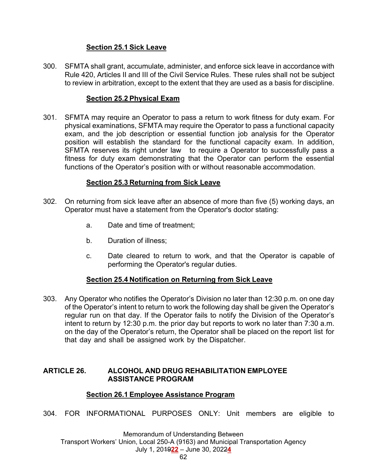### **Section 25.1 Sick Leave**

300. SFMTA shall grant, accumulate, administer, and enforce sick leave in accordance with Rule 420, Articles II and III of the Civil Service Rules. These rules shall not be subject to review in arbitration, except to the extent that they are used as a basis for discipline.

### **Section 25.2 Physical Exam**

301. SFMTA may require an Operator to pass a return to work fitness for duty exam. For physical examinations, SFMTA may require the Operator to pass a functional capacity exam, and the job description or essential function job analysis for the Operator position will establish the standard for the functional capacity exam. In addition, SFMTA reserves its right under law to require a Operator to successfully pass a fitness for duty exam demonstrating that the Operator can perform the essential functions of the Operator's position with or without reasonable accommodation.

### **Section 25.3 Returning from Sick Leave**

- 302. On returning from sick leave after an absence of more than five (5) working days, an Operator must have a statement from the Operator's doctor stating:
	- a. Date and time of treatment;
	- b. Duration of illness;
	- c. Date cleared to return to work, and that the Operator is capable of performing the Operator's regular duties.

### **Section 25.4 Notification on Returning from Sick Leave**

303. Any Operator who notifies the Operator's Division no later than 12:30 p.m. on one day of the Operator's intent to return to work the following day shall be given the Operator's regular run on that day. If the Operator fails to notify the Division of the Operator's intent to return by 12:30 p.m. the prior day but reports to work no later than 7:30 a.m. on the day of the Operator's return, the Operator shall be placed on the report list for that day and shall be assigned work by the Dispatcher.

### **ARTICLE 26. ALCOHOL AND DRUG REHABILITATION EMPLOYEE ASSISTANCE PROGRAM**

### **Section 26.1 Employee Assistance Program**

304. FOR INFORMATIONAL PURPOSES ONLY: Unit members are eligible to

Memorandum of Understanding Between Transport Workers' Union, Local 250-A (9163) and Municipal Transportation Agency July 1, 2019**22** – June 30, 2022**4**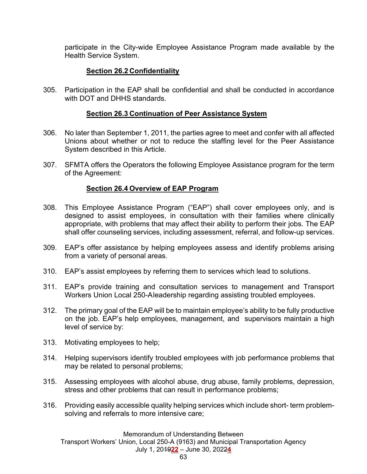participate in the City-wide Employee Assistance Program made available by the Health Service System.

## **Section 26.2 Confidentiality**

305. Participation in the EAP shall be confidential and shall be conducted in accordance with DOT and DHHS standards.

## **Section 26.3 Continuation of Peer Assistance System**

- 306. No later than September 1, 2011, the parties agree to meet and confer with all affected Unions about whether or not to reduce the staffing level for the Peer Assistance System described in this Article.
- 307. SFMTA offers the Operators the following Employee Assistance program for the term of the Agreement:

## **Section 26.4 Overview of EAP Program**

- 308. This Employee Assistance Program ("EAP") shall cover employees only, and is designed to assist employees, in consultation with their families where clinically appropriate, with problems that may affect their ability to perform their jobs. The EAP shall offer counseling services, including assessment, referral, and follow-up services.
- 309. EAP's offer assistance by helping employees assess and identify problems arising from a variety of personal areas.
- 310. EAP's assist employees by referring them to services which lead to solutions.
- 311. EAP's provide training and consultation services to management and Transport Workers Union Local 250-A leadership regarding assisting troubled employees.
- 312. The primary goal of the EAP will be to maintain employee's ability to be fully productive on the job. EAP's help employees, management, and supervisors maintain a high level of service by:
- 313. Motivating employees to help;
- 314. Helping supervisors identify troubled employees with job performance problems that may be related to personal problems;
- 315. Assessing employees with alcohol abuse, drug abuse, family problems, depression, stress and other problems that can result in performance problems;
- 316. Providing easily accessible quality helping services which include short- term problemsolving and referrals to more intensive care;

Memorandum of Understanding Between

Transport Workers' Union, Local 250-A (9163) and Municipal Transportation Agency

July 1, 2019**22** – June 30, 2022**4**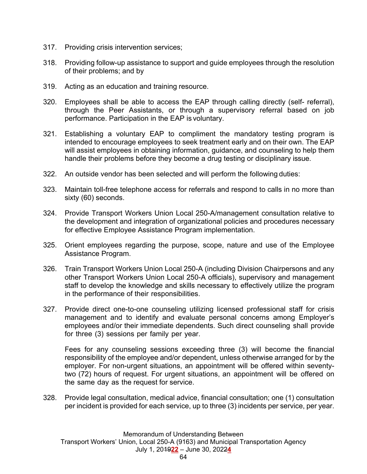- 317. Providing crisis intervention services;
- 318. Providing follow-up assistance to support and guide employees through the resolution of their problems; and by
- 319. Acting as an education and training resource.
- 320. Employees shall be able to access the EAP through calling directly (self- referral), through the Peer Assistants, or through a supervisory referral based on job performance. Participation in the EAP is voluntary.
- 321. Establishing a voluntary EAP to compliment the mandatory testing program is intended to encourage employees to seek treatment early and on their own. The EAP will assist employees in obtaining information, guidance, and counseling to help them handle their problems before they become a drug testing or disciplinary issue.
- 322. An outside vendor has been selected and will perform the following duties:
- 323. Maintain toll-free telephone access for referrals and respond to calls in no more than sixty (60) seconds.
- 324. Provide Transport Workers Union Local 250-A/management consultation relative to the development and integration of organizational policies and procedures necessary for effective Employee Assistance Program implementation.
- 325. Orient employees regarding the purpose, scope, nature and use of the Employee Assistance Program.
- 326. Train Transport Workers Union Local 250-A (including Division Chairpersons and any other Transport Workers Union Local 250-A officials), supervisory and management staff to develop the knowledge and skills necessary to effectively utilize the program in the performance of their responsibilities.
- 327. Provide direct one-to-one counseling utilizing licensed professional staff for crisis management and to identify and evaluate personal concerns among Employer's employees and/or their immediate dependents. Such direct counseling shall provide for three (3) sessions per family per year.

 Fees for any counseling sessions exceeding three (3) will become the financial responsibility of the employee and/or dependent, unless otherwise arranged for by the employer. For non-urgent situations, an appointment will be offered within seventytwo (72) hours of request. For urgent situations, an appointment will be offered on the same day as the request for service.

328. Provide legal consultation, medical advice, financial consultation; one (1) consultation per incident is provided for each service, up to three (3) incidents per service, per year.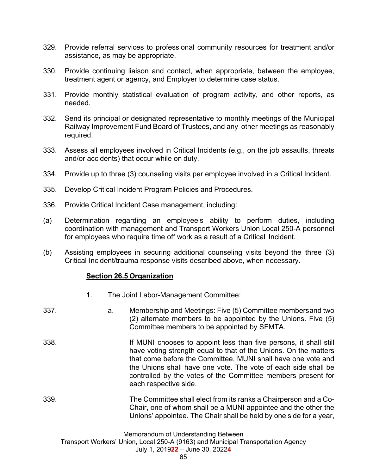- 329. Provide referral services to professional community resources for treatment and/or assistance, as may be appropriate.
- 330. Provide continuing liaison and contact, when appropriate, between the employee, treatment agent or agency, and Employer to determine case status.
- 331. Provide monthly statistical evaluation of program activity, and other reports, as needed.
- 332. Send its principal or designated representative to monthly meetings of the Municipal Railway Improvement Fund Board of Trustees, and any other meetings as reasonably required.
- 333. Assess all employees involved in Critical Incidents (e.g., on the job assaults, threats and/or accidents) that occur while on duty.
- 334. Provide up to three (3) counseling visits per employee involved in a Critical Incident.
- 335. Develop Critical Incident Program Policies and Procedures.
- 336. Provide Critical Incident Case management, including:
- (a) Determination regarding an employee's ability to perform duties, including coordination with management and Transport Workers Union Local 250-A personnel for employees who require time off work as a result of a Critical Incident.
- (b) Assisting employees in securing additional counseling visits beyond the three (3) Critical Incident/trauma response visits described above, when necessary.

#### **Section 26.5 Organization**

- 1. The Joint Labor-Management Committee:
- 337. a. Membership and Meetings: Five (5) Committee members and two (2) alternate members to be appointed by the Unions. Five (5) Committee members to be appointed by SFMTA. 338. **If MUNI** chooses to appoint less than five persons, it shall still have voting strength equal to that of the Unions. On the matters that come before the Committee, MUNI shall have one vote and the Unions shall have one vote. The vote of each side shall be controlled by the votes of the Committee members present for each respective side. 339. The Committee shall elect from its ranks a Chairperson and a Co-Chair, one of whom shall be a MUNI appointee and the other the Unions' appointee. The Chair shall be held by one side for a year,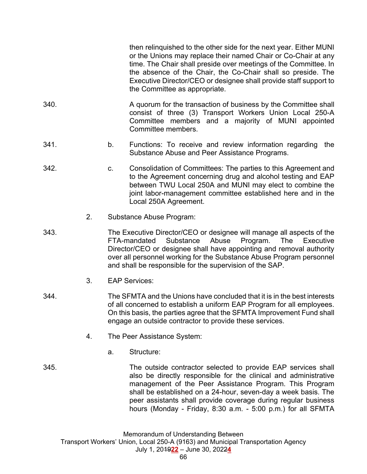then relinquished to the other side for the next year. Either MUNI or the Unions may replace their named Chair or Co-Chair at any time. The Chair shall preside over meetings of the Committee. In the absence of the Chair, the Co-Chair shall so preside. The Executive Director/CEO or designee shall provide staff support to the Committee as appropriate.

- 340. A quorum for the transaction of business by the Committee shall consist of three (3) Transport Workers Union Local 250-A Committee members and a majority of MUNI appointed Committee members.
- 341. b. Functions: To receive and review information regarding the Substance Abuse and Peer Assistance Programs.
- 342. c. Consolidation of Committees: The parties to this Agreement and to the Agreement concerning drug and alcohol testing and EAP between TWU Local 250A and MUNI may elect to combine the joint labor-management committee established here and in the Local 250A Agreement.
	- 2. Substance Abuse Program:
- 343. The Executive Director/CEO or designee will manage all aspects of the FTA-mandated Substance Abuse Program. The Executive Director/CEO or designee shall have appointing and removal authority over all personnel working for the Substance Abuse Program personnel and shall be responsible for the supervision of the SAP.
	- 3. EAP Services:
- 344. The SFMTA and the Unions have concluded that it is in the best interests of all concerned to establish a uniform EAP Program for all employees. On this basis, the parties agree that the SFMTA Improvement Fund shall engage an outside contractor to provide these services.
	- 4. The Peer Assistance System:
		- a. Structure:

345. The outside contractor selected to provide EAP services shall also be directly responsible for the clinical and administrative management of the Peer Assistance Program. This Program shall be established on a 24-hour, seven-day a week basis. The peer assistants shall provide coverage during regular business hours (Monday - Friday, 8:30 a.m. - 5:00 p.m.) for all SFMTA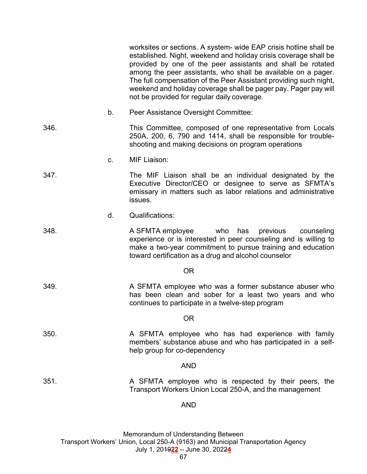|           |         | worksites or sections. A system- wide EAP crisis hotline shall be<br>established. Night, weekend and holiday crisis coverage shall be<br>provided by one of the peer assistants and shall be rotated<br>among the peer assistants, who shall be available on a pager.<br>The full compensation of the Peer Assistant providing such night,<br>weekend and holiday coverage shall be pager pay. Pager pay will<br>not be provided for regular daily coverage. |
|-----------|---------|--------------------------------------------------------------------------------------------------------------------------------------------------------------------------------------------------------------------------------------------------------------------------------------------------------------------------------------------------------------------------------------------------------------------------------------------------------------|
|           | b.      | Peer Assistance Oversight Committee:                                                                                                                                                                                                                                                                                                                                                                                                                         |
| 346.      |         | This Committee, composed of one representative from Locals<br>250A, 200, 6, 790 and 1414, shall be responsible for trouble-<br>shooting and making decisions on program operations                                                                                                                                                                                                                                                                           |
|           | $C_{-}$ | <b>MIF Liaison:</b>                                                                                                                                                                                                                                                                                                                                                                                                                                          |
| 347.      |         | The MIF Liaison shall be an individual designated by the<br>Executive Director/CEO or designee to serve as SFMTA's<br>emissary in matters such as labor relations and administrative<br>issues.                                                                                                                                                                                                                                                              |
|           | d.      | <b>Qualifications:</b>                                                                                                                                                                                                                                                                                                                                                                                                                                       |
| 348.      |         | A SFMTA employee<br>who has<br>previous<br>counseling<br>experience or is interested in peer counseling and is willing to<br>make a two-year commitment to pursue training and education<br>toward certification as a drug and alcohol counselor                                                                                                                                                                                                             |
| <b>OR</b> |         |                                                                                                                                                                                                                                                                                                                                                                                                                                                              |
| 349.      |         | A SFMTA employee who was a former substance abuser who<br>has been clean and sober for a least two years and who<br>continues to participate in a twelve-step program                                                                                                                                                                                                                                                                                        |
|           |         | <b>OR</b>                                                                                                                                                                                                                                                                                                                                                                                                                                                    |
| 350.      |         | A SFMTA employee who has had experience with family<br>members' substance abuse and who has participated in a self-<br>help group for co-dependency                                                                                                                                                                                                                                                                                                          |
|           |         | <b>AND</b>                                                                                                                                                                                                                                                                                                                                                                                                                                                   |
| 351.      |         | A SFMTA employee who is respected by their peers, the<br>Transport Workers Union Local 250-A, and the management                                                                                                                                                                                                                                                                                                                                             |
|           |         | <b>AND</b>                                                                                                                                                                                                                                                                                                                                                                                                                                                   |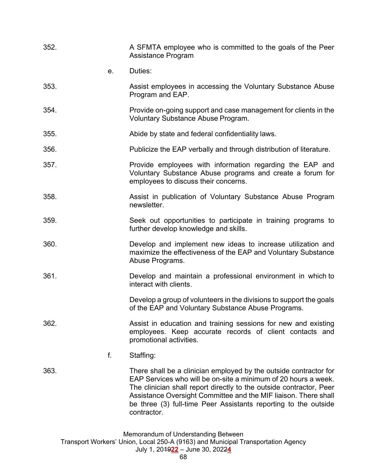| 352. |    | A SFMTA employee who is committed to the goals of the Peer<br>Assistance Program                                                                                                                                                                                                                                                                                |
|------|----|-----------------------------------------------------------------------------------------------------------------------------------------------------------------------------------------------------------------------------------------------------------------------------------------------------------------------------------------------------------------|
|      | е. | Duties:                                                                                                                                                                                                                                                                                                                                                         |
| 353. |    | Assist employees in accessing the Voluntary Substance Abuse<br>Program and EAP.                                                                                                                                                                                                                                                                                 |
| 354. |    | Provide on-going support and case management for clients in the<br>Voluntary Substance Abuse Program.                                                                                                                                                                                                                                                           |
| 355. |    | Abide by state and federal confidentiality laws.                                                                                                                                                                                                                                                                                                                |
| 356. |    | Publicize the EAP verbally and through distribution of literature.                                                                                                                                                                                                                                                                                              |
| 357. |    | Provide employees with information regarding the EAP and<br>Voluntary Substance Abuse programs and create a forum for<br>employees to discuss their concerns.                                                                                                                                                                                                   |
| 358. |    | Assist in publication of Voluntary Substance Abuse Program<br>newsletter.                                                                                                                                                                                                                                                                                       |
| 359. |    | Seek out opportunities to participate in training programs to<br>further develop knowledge and skills.                                                                                                                                                                                                                                                          |
| 360. |    | Develop and implement new ideas to increase utilization and<br>maximize the effectiveness of the EAP and Voluntary Substance<br>Abuse Programs.                                                                                                                                                                                                                 |
| 361. |    | Develop and maintain a professional environment in which to<br>interact with clients.                                                                                                                                                                                                                                                                           |
|      |    | Develop a group of volunteers in the divisions to support the goals<br>of the EAP and Voluntary Substance Abuse Programs.                                                                                                                                                                                                                                       |
| 362. |    | Assist in education and training sessions for new and existing<br>employees. Keep accurate records of client contacts and<br>promotional activities.                                                                                                                                                                                                            |
|      | f. | Staffing:                                                                                                                                                                                                                                                                                                                                                       |
| 363. |    | There shall be a clinician employed by the outside contractor for<br>EAP Services who will be on-site a minimum of 20 hours a week.<br>The clinician shall report directly to the outside contractor, Peer<br>Assistance Oversight Committee and the MIF liaison. There shall<br>be three (3) full-time Peer Assistants reporting to the outside<br>contractor. |
|      |    | Memorandum of Understanding Between                                                                                                                                                                                                                                                                                                                             |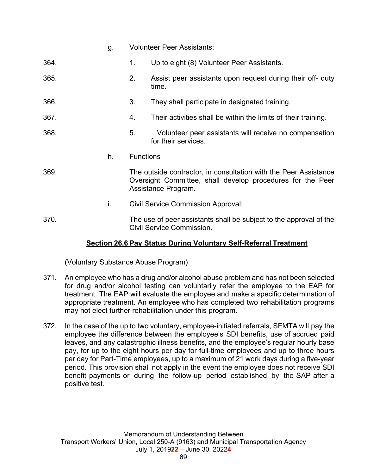|      | g. | <b>Volunteer Peer Assistants:</b>                                                                                                                     |                                                                               |  |
|------|----|-------------------------------------------------------------------------------------------------------------------------------------------------------|-------------------------------------------------------------------------------|--|
| 364. |    | 1.                                                                                                                                                    | Up to eight (8) Volunteer Peer Assistants.                                    |  |
| 365. |    | 2.                                                                                                                                                    | Assist peer assistants upon request during their off- duty<br>time.           |  |
| 366. |    | 3.                                                                                                                                                    | They shall participate in designated training.                                |  |
| 367. |    | 4.                                                                                                                                                    | Their activities shall be within the limits of their training.                |  |
| 368. |    | 5.                                                                                                                                                    | Volunteer peer assistants will receive no compensation<br>for their services. |  |
|      | h. | <b>Functions</b>                                                                                                                                      |                                                                               |  |
| 369. |    | The outside contractor, in consultation with the Peer Assistance<br>Oversight Committee, shall develop procedures for the Peer<br>Assistance Program. |                                                                               |  |
|      | i. |                                                                                                                                                       | <b>Civil Service Commission Approval:</b>                                     |  |
| 370. |    | The use of peer assistants shall be subject to the approval of the<br>Civil Service Commission.                                                       |                                                                               |  |

## **Section 26.6 Pay Status During Voluntary Self-Referral Treatment**

(Voluntary Substance Abuse Program)

- 371. An employee who has a drug and/or alcohol abuse problem and has not been selected for drug and/or alcohol testing can voluntarily refer the employee to the EAP for treatment. The EAP will evaluate the employee and make a specific determination of appropriate treatment. An employee who has completed two rehabilitation programs may not elect further rehabilitation under this program.
- 372. In the case of the up to two voluntary, employee-initiated referrals, SFMTA will pay the employee the difference between the employee's SDI benefits, use of accrued paid leaves, and any catastrophic illness benefits, and the employee's regular hourly base pay, for up to the eight hours per day for full-time employees and up to three hours per day for Part-Time employees, up to a maximum of 21 work days during a five-year period. This provision shall not apply in the event the employee does not receive SDI benefit payments or during the follow-up period established by the SAP after a positive test.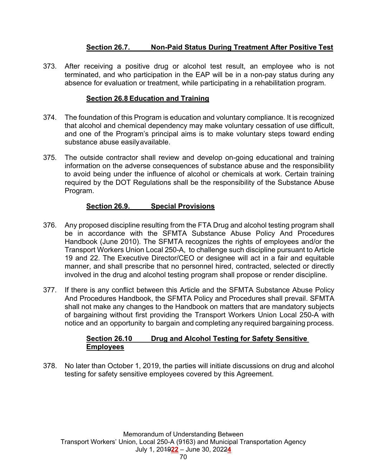## **Section 26.7. Non-Paid Status During Treatment After Positive Test**

373. After receiving a positive drug or alcohol test result, an employee who is not terminated, and who participation in the EAP will be in a non-pay status during any absence for evaluation or treatment, while participating in a rehabilitation program.

#### **Section 26.8 Education and Training**

- 374. The foundation of this Program is education and voluntary compliance. It is recognized that alcohol and chemical dependency may make voluntary cessation of use difficult, and one of the Program's principal aims is to make voluntary steps toward ending substance abuse easily available.
- 375. The outside contractor shall review and develop on-going educational and training information on the adverse consequences of substance abuse and the responsibility to avoid being under the influence of alcohol or chemicals at work. Certain training required by the DOT Regulations shall be the responsibility of the Substance Abuse Program.

## **Section 26.9. Special Provisions**

- 376. Any proposed discipline resulting from the FTA Drug and alcohol testing program shall be in accordance with the SFMTA Substance Abuse Policy And Procedures Handbook (June 2010). The SFMTA recognizes the rights of employees and/or the Transport Workers Union Local 250-A, to challenge such discipline pursuant to Article 19 and 22. The Executive Director/CEO or designee will act in a fair and equitable manner, and shall prescribe that no personnel hired, contracted, selected or directly involved in the drug and alcohol testing program shall propose or render discipline.
- 377. If there is any conflict between this Article and the SFMTA Substance Abuse Policy And Procedures Handbook, the SFMTA Policy and Procedures shall prevail. SFMTA shall not make any changes to the Handbook on matters that are mandatory subjects of bargaining without first providing the Transport Workers Union Local 250-A with notice and an opportunity to bargain and completing any required bargaining process.

#### **Section 26.10 Drug and Alcohol Testing for Safety Sensitive Employees**

378. No later than October 1, 2019, the parties will initiate discussions on drug and alcohol testing for safety sensitive employees covered by this Agreement.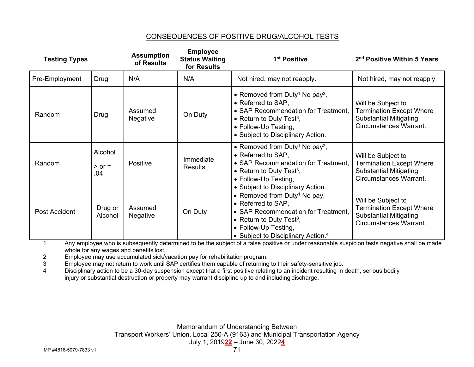#### CONSEQUENCES OF POSITIVE DRUG/ALCOHOL TESTS

| <b>Testing Types</b> |                              | <b>Assumption</b><br>of Results | <b>Employee</b><br><b>Status Waiting</b><br>for Results | 1 <sup>st</sup> Positive                                                                                                                                                                                                 | 2 <sup>nd</sup> Positive Within 5 Years                                                                                 |
|----------------------|------------------------------|---------------------------------|---------------------------------------------------------|--------------------------------------------------------------------------------------------------------------------------------------------------------------------------------------------------------------------------|-------------------------------------------------------------------------------------------------------------------------|
| Pre-Employment       | Drug                         | N/A                             | N/A                                                     | Not hired, may not reapply.                                                                                                                                                                                              | Not hired, may not reapply.                                                                                             |
| Random               | Drug                         | Assumed<br>Negative             | On Duty                                                 | • Removed from Duty <sup>1</sup> No pay <sup>2</sup> ,<br>• Referred to SAP,<br>• SAP Recommendation for Treatment,<br>• Return to Duty Test <sup>3</sup> ,<br>• Follow-Up Testing,<br>• Subject to Disciplinary Action. | Will be Subject to<br><b>Termination Except Where</b><br><b>Substantial Mitigating</b><br>Circumstances Warrant.        |
| Random               | Alcohol<br>$>$ or $=$<br>.04 | Positive                        | Immediate<br><b>Results</b>                             | • Removed from Duty <sup>1</sup> No pay <sup>2</sup> ,<br>• Referred to SAP.<br>• SAP Recommendation for Treatment,<br>• Return to Duty Test <sup>3</sup> ,<br>• Follow-Up Testing,<br>• Subject to Disciplinary Action. | Will be Subject to<br><b>Termination Except Where</b><br><b>Substantial Mitigating</b><br><b>Circumstances Warrant.</b> |
| Post Accident        | Drug or<br>Alcohol           | Assumed<br>Negative             | On Duty                                                 | • Removed from Duty <sup>1</sup> No pay,<br>• Referred to SAP,<br>• SAP Recommendation for Treatment,<br>• Return to Duty Test <sup>3</sup> ,<br>• Follow-Up Testing,<br>• Subject to Disciplinary Action. <sup>4</sup>  | Will be Subject to<br><b>Termination Except Where</b><br><b>Substantial Mitigating</b><br>Circumstances Warrant.        |

1 Any employee who is subsequently determined to be the subject of a false positive or under reasonable suspicion tests negative shall be made whole for any wages and benefits lost.

2 Employee may use accumulated sick/vacation pay for rehabilitation program.

3 Employee may not return to work until SAP certifies them capable of returning to their safety-sensitive job.

4 Disciplinary action to be a 30-day suspension except that a first positive relating to an incident resulting in death, serious bodily injury or substantial destruction or property may warrant discipline up to and including discharge.

> Memorandum of Understanding Between Transport Workers' Union, Local 250-A (9163) and Municipal Transportation Agency July 1, 2019**22** – June 30, 2022**4**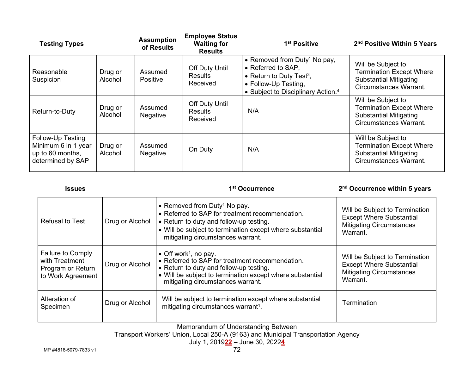| <b>Testing Types</b>                                                              |                    | <b>Assumption</b><br>of Results | <b>Employee Status</b><br><b>Waiting for</b><br><b>Results</b> | 1 <sup>st</sup> Positive                                                                                                                                                         | 2 <sup>nd</sup> Positive Within 5 Years                                                                          |
|-----------------------------------------------------------------------------------|--------------------|---------------------------------|----------------------------------------------------------------|----------------------------------------------------------------------------------------------------------------------------------------------------------------------------------|------------------------------------------------------------------------------------------------------------------|
| Reasonable<br>Suspicion                                                           | Drug or<br>Alcohol | Assumed<br>Positive             | Off Duty Until<br><b>Results</b><br>Received                   | • Removed from Duty <sup>1</sup> No pay,<br>• Referred to SAP,<br>• Return to Duty Test <sup>3</sup> ,<br>• Follow-Up Testing,<br>• Subject to Disciplinary Action. <sup>4</sup> | Will be Subject to<br><b>Termination Except Where</b><br><b>Substantial Mitigating</b><br>Circumstances Warrant. |
| Return-to-Duty                                                                    | Drug or<br>Alcohol | Assumed<br>Negative             | <b>Off Duty Until</b><br><b>Results</b><br>Received            | N/A                                                                                                                                                                              | Will be Subject to<br><b>Termination Except Where</b><br><b>Substantial Mitigating</b><br>Circumstances Warrant. |
| Follow-Up Testing<br>Minimum 6 in 1 year<br>up to 60 months,<br>determined by SAP | Drug or<br>Alcohol | Assumed<br>Negative             | On Duty                                                        | N/A                                                                                                                                                                              | Will be Subject to<br><b>Termination Except Where</b><br><b>Substantial Mitigating</b><br>Circumstances Warrant. |

#### 1<sup>st</sup> Occurrence 2<sup>nd</sup> Occurrence within 5 years

| <b>Refusal to Test</b>                                                               | Drug or Alcohol | • Removed from Duty <sup>1</sup> No pay.<br>• Referred to SAP for treatment recommendation.<br>• Return to duty and follow-up testing.<br>• Will be subject to termination except where substantial<br>mitigating circumstances warrant. | Will be Subject to Termination<br><b>Except Where Substantial</b><br><b>Mitigating Circumstances</b><br>Warrant. |
|--------------------------------------------------------------------------------------|-----------------|------------------------------------------------------------------------------------------------------------------------------------------------------------------------------------------------------------------------------------------|------------------------------------------------------------------------------------------------------------------|
| <b>Failure to Comply</b><br>with Treatment<br>Program or Return<br>to Work Agreement | Drug or Alcohol | • Off work <sup>1</sup> , no pay.<br>• Referred to SAP for treatment recommendation.<br>• Return to duty and follow-up testing.<br>• Will be subject to termination except where substantial<br>mitigating circumstances warrant.        | Will be Subject to Termination<br><b>Except Where Substantial</b><br><b>Mitigating Circumstances</b><br>Warrant. |
| Alteration of<br>Specimen                                                            | Drug or Alcohol | Will be subject to termination except where substantial<br>mitigating circumstances warrant <sup>1</sup> .                                                                                                                               | Termination                                                                                                      |

Memorandum of Understanding Between

Transport Workers' Union, Local 250-A (9163) and Municipal Transportation Agency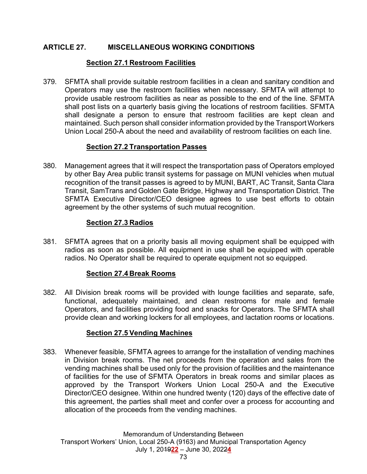## **ARTICLE 27. MISCELLANEOUS WORKING CONDITIONS**

## **Section 27.1 Restroom Facilities**

379. SFMTA shall provide suitable restroom facilities in a clean and sanitary condition and Operators may use the restroom facilities when necessary. SFMTA will attempt to provide usable restroom facilities as near as possible to the end of the line. SFMTA shall post lists on a quarterly basis giving the locations of restroom facilities. SFMTA shall designate a person to ensure that restroom facilities are kept clean and maintained. Such person shall consider information provided by the Transport Workers Union Local 250-A about the need and availability of restroom facilities on each line.

## **Section 27.2 Transportation Passes**

380. Management agrees that it will respect the transportation pass of Operators employed by other Bay Area public transit systems for passage on MUNI vehicles when mutual recognition of the transit passes is agreed to by MUNI, BART, AC Transit, Santa Clara Transit, SamTrans and Golden Gate Bridge, Highway and Transportation District. The SFMTA Executive Director/CEO designee agrees to use best efforts to obtain agreement by the other systems of such mutual recognition.

## **Section 27.3 Radios**

381. SFMTA agrees that on a priority basis all moving equipment shall be equipped with radios as soon as possible. All equipment in use shall be equipped with operable radios. No Operator shall be required to operate equipment not so equipped.

## **Section 27.4 Break Rooms**

382. All Division break rooms will be provided with lounge facilities and separate, safe, functional, adequately maintained, and clean restrooms for male and female Operators, and facilities providing food and snacks for Operators. The SFMTA shall provide clean and working lockers for all employees, and lactation rooms or locations.

# **Section 27.5 Vending Machines**

383. Whenever feasible, SFMTA agrees to arrange for the installation of vending machines in Division break rooms. The net proceeds from the operation and sales from the vending machines shall be used only for the provision of facilities and the maintenance of facilities for the use of SFMTA Operators in break rooms and similar places as approved by the Transport Workers Union Local 250-A and the Executive Director/CEO designee. Within one hundred twenty (120) days of the effective date of this agreement, the parties shall meet and confer over a process for accounting and allocation of the proceeds from the vending machines.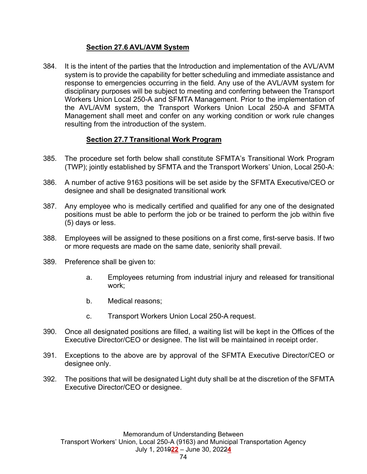## **Section 27.6 AVL/AVM System**

384. It is the intent of the parties that the Introduction and implementation of the AVL/AVM system is to provide the capability for better scheduling and immediate assistance and response to emergencies occurring in the field. Any use of the AVL/AVM system for disciplinary purposes will be subject to meeting and conferring between the Transport Workers Union Local 250-A and SFMTA Management. Prior to the implementation of the AVL/AVM system, the Transport Workers Union Local 250-A and SFMTA Management shall meet and confer on any working condition or work rule changes resulting from the introduction of the system.

#### **Section 27.7 Transitional Work Program**

- 385. The procedure set forth below shall constitute SFMTA's Transitional Work Program (TWP); jointly established by SFMTA and the Transport Workers' Union, Local 250-A:
- 386. A number of active 9163 positions will be set aside by the SFMTA Executive/CEO or designee and shall be designated transitional work
- 387. Any employee who is medically certified and qualified for any one of the designated positions must be able to perform the job or be trained to perform the job within five (5) days or less.
- 388. Employees will be assigned to these positions on a first come, first-serve basis. If two or more requests are made on the same date, seniority shall prevail.
- 389. Preference shall be given to:
	- a. Employees returning from industrial injury and released for transitional work;
	- b. Medical reasons;
	- c. Transport Workers Union Local 250-A request.
- 390. Once all designated positions are filled, a waiting list will be kept in the Offices of the Executive Director/CEO or designee. The list will be maintained in receipt order.
- 391. Exceptions to the above are by approval of the SFMTA Executive Director/CEO or designee only.
- 392. The positions that will be designated Light duty shall be at the discretion of the SFMTA Executive Director/CEO or designee.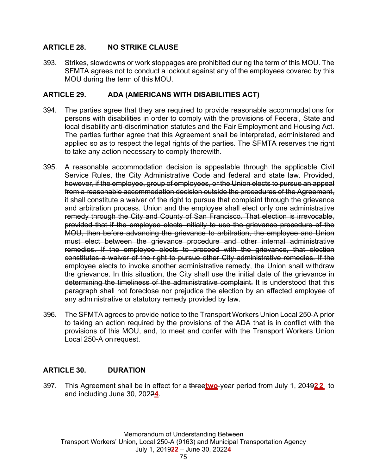## **ARTICLE 28. NO STRIKE CLAUSE**

393. Strikes, slowdowns or work stoppages are prohibited during the term of this MOU. The SFMTA agrees not to conduct a lockout against any of the employees covered by this MOU during the term of this MOU.

## **ARTICLE 29. ADA (AMERICANS WITH DISABILITIES ACT)**

- 394. The parties agree that they are required to provide reasonable accommodations for persons with disabilities in order to comply with the provisions of Federal, State and local disability anti-discrimination statutes and the Fair Employment and Housing Act. The parties further agree that this Agreement shall be interpreted, administered and applied so as to respect the legal rights of the parties. The SFMTA reserves the right to take any action necessary to comply therewith.
- 395. A reasonable accommodation decision is appealable through the applicable Civil Service Rules, the City Administrative Code and federal and state law. Provided, however, if the employee, group of employees, or the Union elects to pursue an appeal from a reasonable accommodation decision outside the procedures of the Agreement, it shall constitute a waiver of the right to pursue that complaint through the grievance and arbitration process. Union and the employee shall elect only one administrative remedy through the City and County of San Francisco. That election is irrevocable, provided that if the employee elects initially to use the grievance procedure of the MOU, then before advancing the grievance to arbitration, the employee and Union must elect between the grievance procedure and other internal administrative remedies. If the employee elects to proceed with the grievance, that election constitutes a waiver of the right to pursue other City administrative remedies. If the employee elects to invoke another administrative remedy, the Union shall withdraw the grievance. In this situation, the City shall use the initial date of the grievance in determining the timeliness of the administrative complaint. It is understood that this paragraph shall not foreclose nor prejudice the election by an affected employee of any administrative or statutory remedy provided by law.
- 396. The SFMTA agrees to provide notice to the Transport Workers Union Local 250-A prior to taking an action required by the provisions of the ADA that is in conflict with the provisions of this MOU, and, to meet and confer with the Transport Workers Union Local 250-A on request.

## **ARTICLE 30. DURATION**

397. This Agreement shall be in effect for a three**two**-year period from July 1, 2019**2 2** to and including June 30, 2022**4**.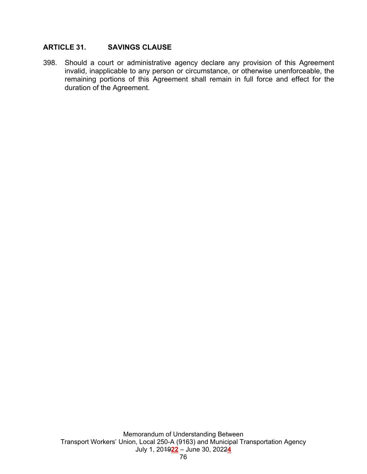## **ARTICLE 31. SAVINGS CLAUSE**

398. Should a court or administrative agency declare any provision of this Agreement invalid, inapplicable to any person or circumstance, or otherwise unenforceable, the remaining portions of this Agreement shall remain in full force and effect for the duration of the Agreement.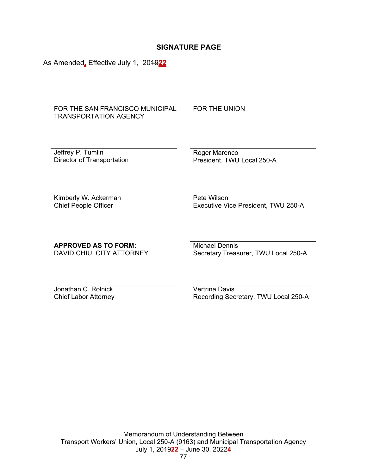#### **SIGNATURE PAGE**

As Amended**,** Effective July 1, 2019**22** 

FOR THE SAN FRANCISCO MUNICIPAL TRANSPORTATION AGENCY

FOR THE UNION

Jeffrey P. Tumlin Director of Transportation Roger Marenco President, TWU Local 250-A

Kimberly W. Ackerman Chief People Officer

 Pete Wilson Executive Vice President, TWU 250-A

#### **APPROVED AS TO FORM:**

DAVID CHIU, CITY ATTORNEY

Michael Dennis Secretary Treasurer, TWU Local 250-A

Jonathan C. Rolnick Chief Labor Attorney Vertrina Davis Recording Secretary, TWU Local 250-A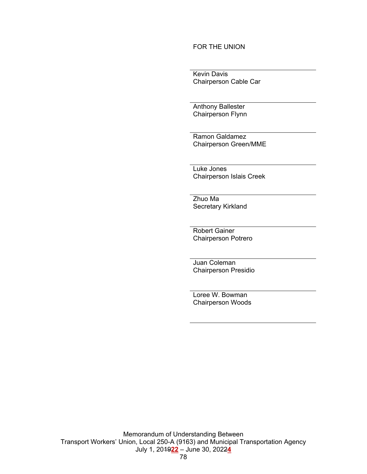#### FOR THE UNION

 Kevin Davis Chairperson Cable Car

 Anthony Ballester Chairperson Flynn

 Ramon Galdamez Chairperson Green/MME

 Luke Jones Chairperson Islais Creek

 Zhuo Ma Secretary Kirkland

 Robert Gainer Chairperson Potrero

 Juan Coleman Chairperson Presidio

 Loree W. Bowman Chairperson Woods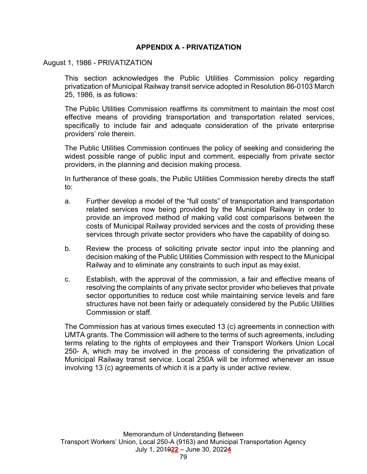#### **APPENDIX A - PRIVATIZATION**

#### August 1, 1986 - PRIVATIZATION

This section acknowledges the Public Utilities Commission policy regarding privatization of Municipal Railway transit service adopted in Resolution 86-0103 March 25, 1986, is as follows:

The Public Utilities Commission reaffirms its commitment to maintain the most cost effective means of providing transportation and transportation related services, specifically to include fair and adequate consideration of the private enterprise providers' role therein.

The Public Utilities Commission continues the policy of seeking and considering the widest possible range of public input and comment, especially from private sector providers, in the planning and decision making process.

In furtherance of these goals, the Public Utilities Commission hereby directs the staff to:

- a. Further develop a model of the "full costs" of transportation and transportation related services now being provided by the Municipal Railway in order to provide an improved method of making valid cost comparisons between the costs of Municipal Railway provided services and the costs of providing these services through private sector providers who have the capability of doing so.
- b. Review the process of soliciting private sector input into the planning and decision making of the Public Utilities Commission with respect to the Municipal Railway and to eliminate any constraints to such input as may exist.
- c. Establish, with the approval of the commission, a fair and effective means of resolving the complaints of any private sector provider who believes that private sector opportunities to reduce cost while maintaining service levels and fare structures have not been fairly or adequately considered by the Public Utilities Commission or staff.

The Commission has at various times executed 13 (c) agreements in connection with UMTA grants. The Commission will adhere to the terms of such agreements, including terms relating to the rights of employees and their Transport Workers Union Local 250- A, which may be involved in the process of considering the privatization of Municipal Railway transit service. Local 250A will be informed whenever an issue involving 13 (c) agreements of which it is a party is under active review.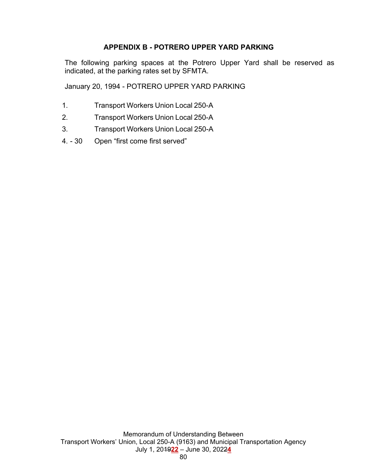## **APPENDIX B - POTRERO UPPER YARD PARKING**

The following parking spaces at the Potrero Upper Yard shall be reserved as indicated, at the parking rates set by SFMTA.

January 20, 1994 - POTRERO UPPER YARD PARKING

- 1. Transport Workers Union Local 250-A
- 2. Transport Workers Union Local 250-A
- 3. Transport Workers Union Local 250-A
- 4. 30 Open "first come first served"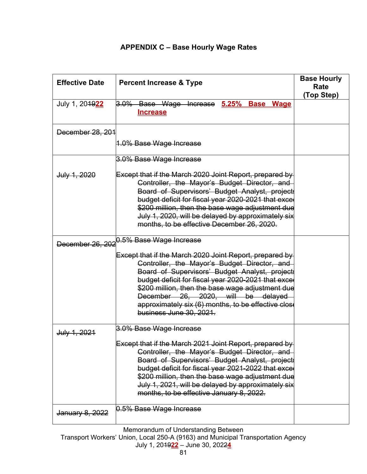| <b>Effective Date</b> | <b>Percent Increase &amp; Type</b>                                                                                                                                                                                                                                                                                                                                                         | <b>Base Hourly</b><br>Rate<br>(Top Step) |
|-----------------------|--------------------------------------------------------------------------------------------------------------------------------------------------------------------------------------------------------------------------------------------------------------------------------------------------------------------------------------------------------------------------------------------|------------------------------------------|
| July 1, 204922        | 3.0% Base Wage Increase 5.25% Base<br><b>Wage</b><br><u>Increase</u>                                                                                                                                                                                                                                                                                                                       |                                          |
| December 28, 201      |                                                                                                                                                                                                                                                                                                                                                                                            |                                          |
|                       | 1.0% Base Wage Increase                                                                                                                                                                                                                                                                                                                                                                    |                                          |
|                       | 3.0% Base Wage Increase                                                                                                                                                                                                                                                                                                                                                                    |                                          |
| July 1, 2020          | Except that if the March 2020 Joint Report, prepared by<br>Controller, the Mayor's Budget Director, and<br>Board of Supervisors' Budget Analyst, project<br>budget deficit for fiscal year 2020-2021 that exce<br>\$200 million, then the base wage adjustment due<br>July 1, 2020, will be delayed by approximately six<br>months, to be effective December 26, 2020.                     |                                          |
| December 26, 202      | 0.5% Base Wage Increase                                                                                                                                                                                                                                                                                                                                                                    |                                          |
|                       | Except that if the March 2020 Joint Report, prepared by<br>Controller, the Mayor's Budget Director, and<br>Board of Supervisors' Budget Analyst, project<br>budget deficit for fiscal year 2020-2021 that exce<br>\$200 million, then the base wage adjustment due<br>December 26, 2020, will be delayed<br>approximately six (6) months, to be effective close<br>business June 30, 2021. |                                          |
| July 1, 2021          | 3.0% Base Wage Increase                                                                                                                                                                                                                                                                                                                                                                    |                                          |
|                       | Except that if the March 2021 Joint Report, prepared by<br>Controller, the Mayor's Budget Director, and<br>Board of Supervisors' Budget Analyst, project<br>budget deficit for fiscal year 2021-2022 that exce<br>\$200 million, then the base wage adjustment due<br>July 1, 2021, will be delayed by approximately six<br>months, to be effective January 8, 2022.                       |                                          |
| January 8, 2022       | 0.5% Base Wage Increase                                                                                                                                                                                                                                                                                                                                                                    |                                          |

Memorandum of Understanding Between

Transport Workers' Union, Local 250-A (9163) and Municipal Transportation Agency July 1, 2019**22** – June 30, 2022**4**